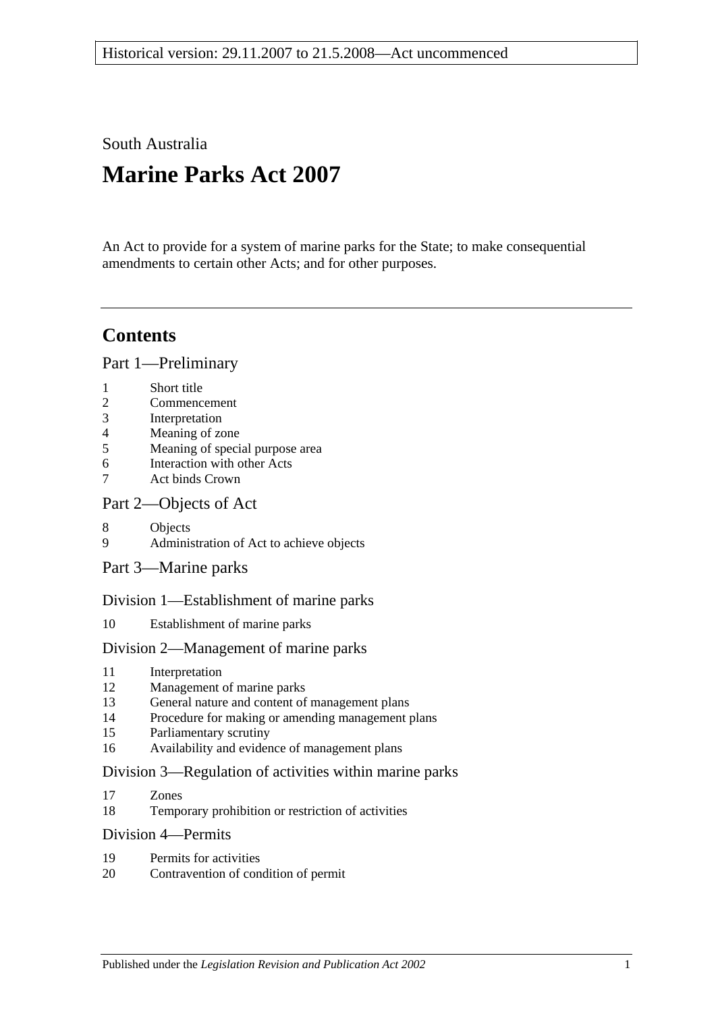South Australia

# **Marine Parks Act 2007**

An Act to provide for a system of marine parks for the State; to make consequential amendments to certain other Acts; and for other purposes.

# **Contents**

[Part 1—Preliminary](#page-4-0)

- 2 [Commencement](#page-4-2)
- 3 [Interpretation](#page-4-3)
- 4 [Meaning of zone](#page-6-0)
- 5 [Meaning of special purpose area](#page-7-0)
- 6 [Interaction with other Acts](#page-7-1)
- 7 [Act binds Crown](#page-7-2)

# [Part 2—Objects of Act](#page-8-0)

- 8 [Objects](#page-8-1)
- 9 [Administration of Act to achieve objects](#page-9-0)
- [Part 3—Marine parks](#page-9-1)

# [Division 1—Establishment of marine parks](#page-9-2)

10 [Establishment of marine parks](#page-9-3)

# [Division 2—Management of marine parks](#page-11-0)

- 11 [Interpretation](#page-11-1)
- 12 [Management of marine parks](#page-11-2)
- 13 [General nature and content of management plans](#page-11-3)
- 14 [Procedure for making or amending management plans](#page-12-0)
- 15 [Parliamentary scrutiny](#page-14-0)
- 16 [Availability and evidence of management plans](#page-14-1)

# [Division 3—Regulation of activities within marine parks](#page-15-0)

- 17 [Zones](#page-15-1)
- 18 [Temporary prohibition or restriction of activities](#page-15-2)

# [Division 4—Permits](#page-16-0)

- 19 [Permits for activities](#page-16-1)
- 20 [Contravention of condition of permit](#page-17-0)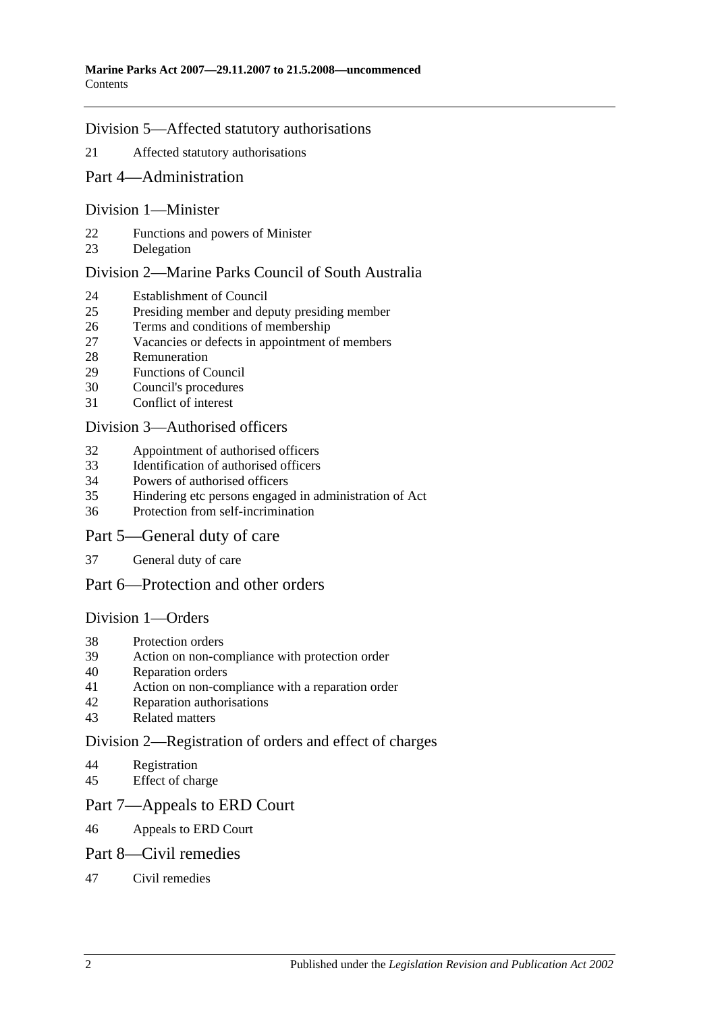## [Division 5—Affected statutory authorisations](#page-17-1)

- [Affected statutory authorisations](#page-17-2)
- [Part 4—Administration](#page-18-0)

### [Division 1—Minister](#page-18-1)

- [Functions and powers of Minister](#page-18-2)
- [Delegation](#page-18-3)

## [Division 2—Marine Parks Council of South Australia](#page-19-0)

- [Establishment of Council](#page-19-1)
- [Presiding member and deputy presiding member](#page-20-0)
- [Terms and conditions of membership](#page-20-1)
- [Vacancies or defects in appointment of members](#page-20-2)<br>28 Remuneration
- **[Remuneration](#page-20-3)**
- [Functions of Council](#page-20-4)
- [Council's procedures](#page-21-0)
- [Conflict of interest](#page-22-0)

### [Division 3—Authorised officers](#page-22-1)

- [Appointment of authorised officers](#page-22-2)
- [Identification of authorised officers](#page-23-0)
- [Powers of authorised officers](#page-23-1)
- [Hindering etc persons engaged in administration of Act](#page-25-0)
- [Protection from self-incrimination](#page-25-1)

### [Part 5—General duty of care](#page-25-2)

[General duty of care](#page-25-3)

# [Part 6—Protection and other orders](#page-26-0)

### [Division 1—Orders](#page-26-1)

- [Protection orders](#page-26-2)
- [Action on non-compliance with protection order](#page-27-0)
- [Reparation orders](#page-28-0)
- [Action on non-compliance with a reparation order](#page-29-0)
- [Reparation authorisations](#page-29-1)
- [Related matters](#page-30-0)

### [Division 2—Registration of orders and effect of charges](#page-31-0)

- [Registration](#page-31-1)
- [Effect of charge](#page-32-0)

### [Part 7—Appeals to ERD Court](#page-32-1)

[Appeals to ERD Court](#page-32-2)

### [Part 8—Civil remedies](#page-33-0)

[Civil remedies](#page-33-1)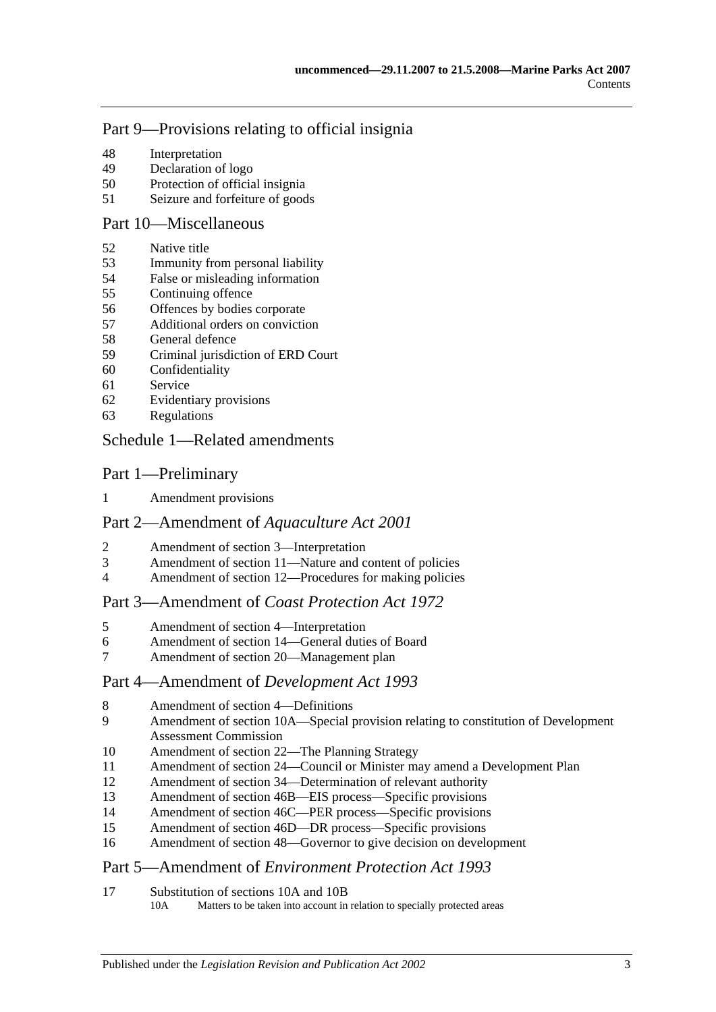# [Part 9—Provisions relating to official insignia](#page-36-0)

- [Interpretation](#page-36-1)
- [Declaration of logo](#page-37-0)
- [Protection of official insignia](#page-37-1)
- [Seizure and forfeiture of goods](#page-37-2)

# [Part 10—Miscellaneous](#page-38-0)

- [Native title](#page-38-1)
- [Immunity from personal liability](#page-38-2)
- [False or misleading information](#page-38-3)
- [Continuing offence](#page-39-0)
- [Offences by bodies corporate](#page-39-1)
- [Additional orders on conviction](#page-39-2)
- [General defence](#page-39-3)
- [Criminal jurisdiction of ERD Court](#page-40-0)
- [Confidentiality](#page-40-1)
- [Service](#page-40-2)
- [Evidentiary provisions](#page-41-0)
- [Regulations](#page-41-1)

# [Schedule 1—Related amendments](#page-42-0)

# Part 1—Preliminary

[Amendment provisions](#page-42-1)

# Part 2—Amendment of *Aquaculture Act 2001*

- [Amendment of section 3—Interpretation](#page-42-2)
- [Amendment of section 11—Nature and content of policies](#page-43-0)
- [Amendment of section 12—Procedures for making policies](#page-43-1)

# Part 3—Amendment of *Coast Protection Act 1972*

- [Amendment of section 4—Interpretation](#page-43-2)
- [Amendment of section 14—General duties of Board](#page-44-0)
- [Amendment of section 20—Management plan](#page-44-1)

# Part 4—Amendment of *Development Act 1993*

- 8 8 [Amendment of section 4—Definitions](#page-44-2)<br>9 Amendment of section 10A—Special r
- Amendment of section 10A—Special provision relating to constitution of Development [Assessment Commission](#page-44-3)
- [Amendment of section 22—The Planning Strategy](#page-45-0)
- [Amendment of section 24—Council or Minister may amend a Development Plan](#page-45-1)
- [Amendment of section 34—Determination of relevant authority](#page-46-0)
- [Amendment of section 46B—EIS process—Specific provisions](#page-46-1)
- [Amendment of section 46C—PER process—Specific provisions](#page-47-0)
- [Amendment of section 46D—DR process—Specific provisions](#page-47-1)
- [Amendment of section 48—Governor to give decision on development](#page-47-2)

# Part 5—Amendment of *Environment Protection Act 1993*

[Substitution of sections 10A and 10B](#page-48-0)<br>10A Matters to be taken into account in

Matters to be taken into account in relation to specially protected areas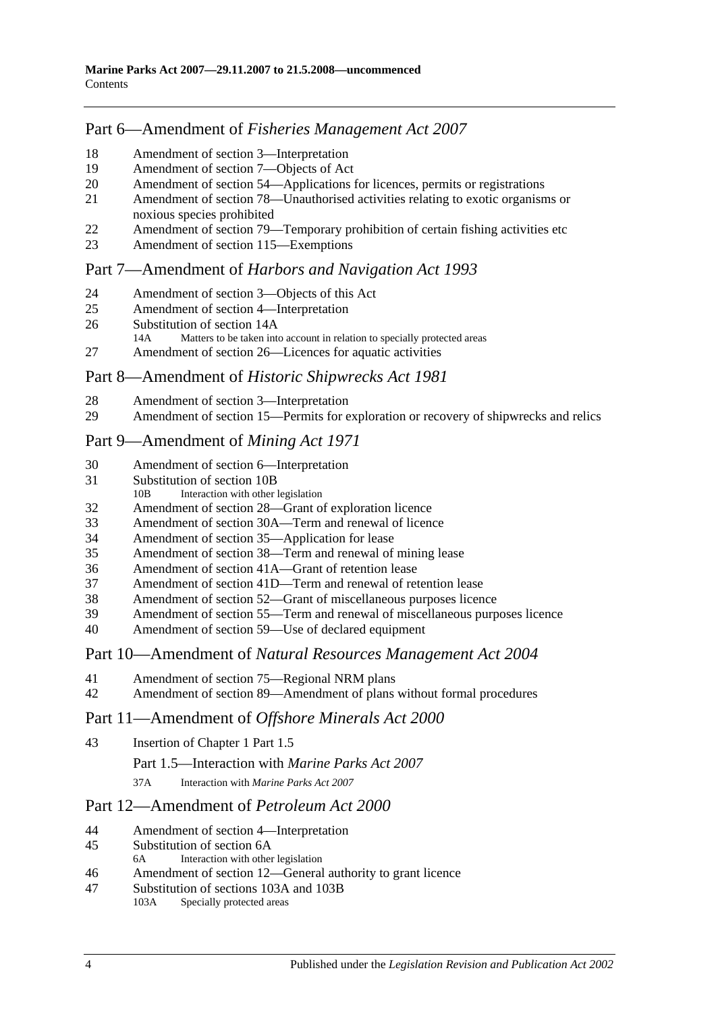# Part 6—Amendment of *Fisheries Management Act 2007*

- [Amendment of section](#page-48-1) 3—Interpretation
- [Amendment of section](#page-49-0) 7—Objects of Act
- Amendment of section [54—Applications for licences, permits or registrations](#page-49-1)
- Amendment of section [78—Unauthorised activities relating to exotic organisms or](#page-49-2)  [noxious species prohibited](#page-49-2)
- [Amendment of section 79—Temporary prohibition of certain fishing activities etc](#page-49-3)
- [Amendment of section](#page-50-0) 115—Exemptions

# Part 7—Amendment of *Harbors and Navigation Act 1993*

- 
- [Amendment of section 3—Objects of this Act](#page-50-1)<br>25 Amendment of section 4—Interpretation [Amendment of section 4—Interpretation](#page-50-2)
- [Substitution of section 14A](#page-50-3)<br>14A Matters to be taken into
- Matters to be taken into account in relation to specially protected areas
- [Amendment of section 26—Licences for aquatic activities](#page-51-0)

# Part 8—Amendment of *Historic Shipwrecks Act 1981*

- [Amendment of section 3—Interpretation](#page-51-1)
- [Amendment of section 15—Permits for exploration or recovery of shipwrecks and relics](#page-51-2)

# Part 9—Amendment of *Mining Act 1971*

- [Amendment of section 6—Interpretation](#page-52-0)
- [Substitution of section 10B](#page-53-0)<br>10B Interaction with other
- Interaction with other legislation
- [Amendment of section 28—Grant of exploration licence](#page-53-1)
- [Amendment of section 30A—Term and renewal of licence](#page-54-0)
- [Amendment of section 35—Application for lease](#page-54-1)
- [Amendment of section 38—Term and renewal of mining lease](#page-54-2)
- [Amendment of section 41A—Grant of retention lease](#page-55-0)
- [Amendment of section 41D—Term and renewal of retention lease](#page-55-1)
- [Amendment of section 52—Grant of miscellaneous purposes licence](#page-56-0)
- [Amendment of section 55—Term and renewal of miscellaneous purposes licence](#page-56-1)
- [Amendment of section 59—Use of declared equipment](#page-57-0)

# Part 10—Amendment of *Natural Resources Management Act 2004*

- [Amendment of section 75—Regional NRM plans](#page-57-1)
- [Amendment of section 89—Amendment of plans without formal procedures](#page-57-2)

# Part 11—Amendment of *Offshore Minerals Act 2000*

- [Insertion of Chapter 1 Part 1.5](#page-57-3)
	- Part 1.5—Interaction with *Marine Parks Act 2007*
	- 37A Interaction with *Marine Parks Act 2007*

# Part 12—Amendment of *Petroleum Act 2000*

- [Amendment of section 4—Interpretation](#page-58-0)
- [Substitution of section 6A](#page-58-1)<br>6A Interaction with other
- Interaction with other legislation
- [Amendment of section 12—General authority to grant licence](#page-59-0)
- [Substitution of sections 103A and 103B](#page-59-1)<br>103A Specially protected areas Specially protected areas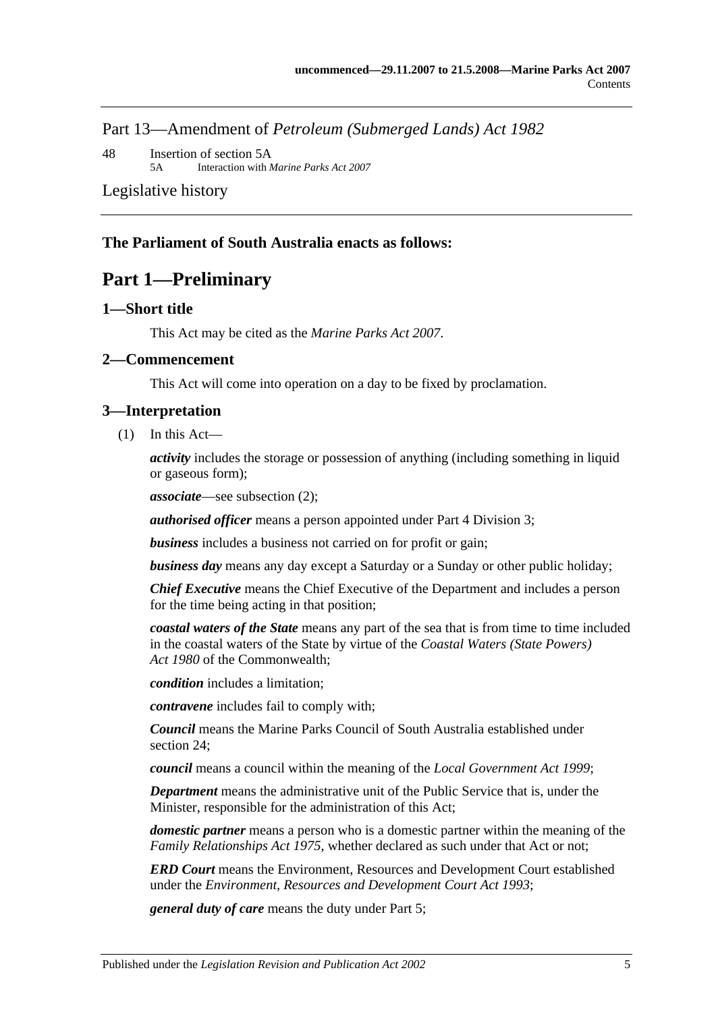Part 13—Amendment of *Petroleum (Submerged Lands) Act 1982*

48 [Insertion of section 5A](#page-59-2) 5A Interaction with *Marine Parks Act 2007*

[Legislative history](#page-60-0)

## <span id="page-4-0"></span>**The Parliament of South Australia enacts as follows:**

# **Part 1—Preliminary**

## <span id="page-4-1"></span>**1—Short title**

This Act may be cited as the *Marine Parks Act 2007*.

## <span id="page-4-2"></span>**2—Commencement**

This Act will come into operation on a day to be fixed by proclamation.

## <span id="page-4-3"></span>**3—Interpretation**

(1) In this Act—

*activity* includes the storage or possession of anything (including something in liquid or gaseous form);

*associate*—see [subsection](#page-5-0) (2);

*authorised officer* means a person appointed under [Part 4 Division 3;](#page-22-1)

*business* includes a business not carried on for profit or gain;

*business day* means any day except a Saturday or a Sunday or other public holiday;

*Chief Executive* means the Chief Executive of the Department and includes a person for the time being acting in that position;

*coastal waters of the State* means any part of the sea that is from time to time included in the coastal waters of the State by virtue of the *Coastal Waters (State Powers) Act 1980* of the Commonwealth;

*condition* includes a limitation;

*contravene* includes fail to comply with;

*Council* means the Marine Parks Council of South Australia established under [section](#page-19-1) 24;

*council* means a council within the meaning of the *[Local Government Act](http://www.legislation.sa.gov.au/index.aspx?action=legref&type=act&legtitle=Local%20Government%20Act%201999) 1999*;

*Department* means the administrative unit of the Public Service that is, under the Minister, responsible for the administration of this Act;

*domestic partner* means a person who is a domestic partner within the meaning of the *[Family Relationships Act](http://www.legislation.sa.gov.au/index.aspx?action=legref&type=act&legtitle=Family%20Relationships%20Act%201975) 1975*, whether declared as such under that Act or not;

*ERD Court* means the Environment, Resources and Development Court established under the *[Environment, Resources and Development Court Act](http://www.legislation.sa.gov.au/index.aspx?action=legref&type=act&legtitle=Environment%20Resources%20and%20Development%20Court%20Act%201993) 1993*;

*general duty of care* means the duty under [Part 5;](#page-25-2)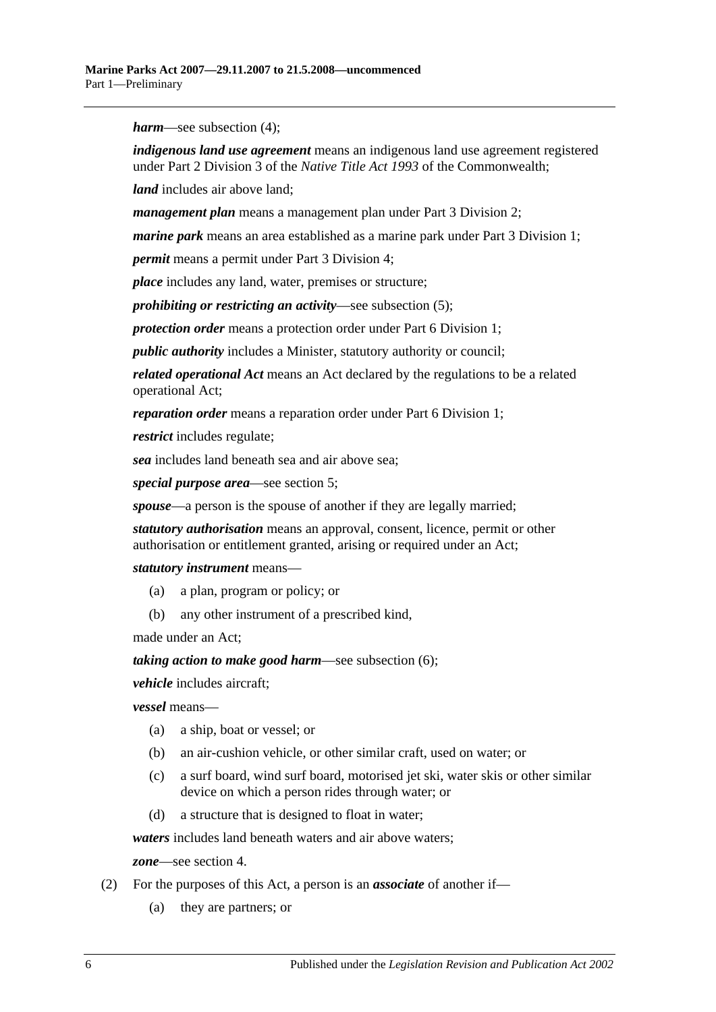*harm*—see [subsection](#page-6-1) (4);

*indigenous land use agreement* means an indigenous land use agreement registered under Part 2 Division 3 of the *Native Title Act 1993* of the Commonwealth;

*land* includes air above land;

*management plan* means a management plan under [Part 3 Division 2;](#page-11-0)

*marine park* means an area established as a marine park under [Part 3 Division 1;](#page-9-2)

*permit* means a permit under [Part 3 Division 4;](#page-16-0)

*place* includes any land, water, premises or structure;

*prohibiting or restricting an activity*—see [subsection](#page-6-2) (5);

*protection order* means a protection order under [Part 6 Division 1;](#page-26-1)

*public authority* includes a Minister, statutory authority or council;

*related operational Act* means an Act declared by the regulations to be a related operational Act;

*reparation order* means a reparation order under [Part 6 Division 1;](#page-26-1)

*restrict* includes regulate;

*sea* includes land beneath sea and air above sea;

*special purpose area*—see [section](#page-7-0) 5;

*spouse*—a person is the spouse of another if they are legally married;

*statutory authorisation* means an approval, consent, licence, permit or other authorisation or entitlement granted, arising or required under an Act;

*statutory instrument* means—

- (a) a plan, program or policy; or
- (b) any other instrument of a prescribed kind,

made under an Act;

*taking action to make good harm*—see [subsection](#page-6-3) (6);

*vehicle* includes aircraft;

*vessel* means—

- (a) a ship, boat or vessel; or
- (b) an air-cushion vehicle, or other similar craft, used on water; or
- (c) a surf board, wind surf board, motorised jet ski, water skis or other similar device on which a person rides through water; or
- (d) a structure that is designed to float in water;

*waters* includes land beneath waters and air above waters;

*zone*—see [section](#page-6-0) 4.

- <span id="page-5-0"></span>(2) For the purposes of this Act, a person is an *associate* of another if—
	- (a) they are partners; or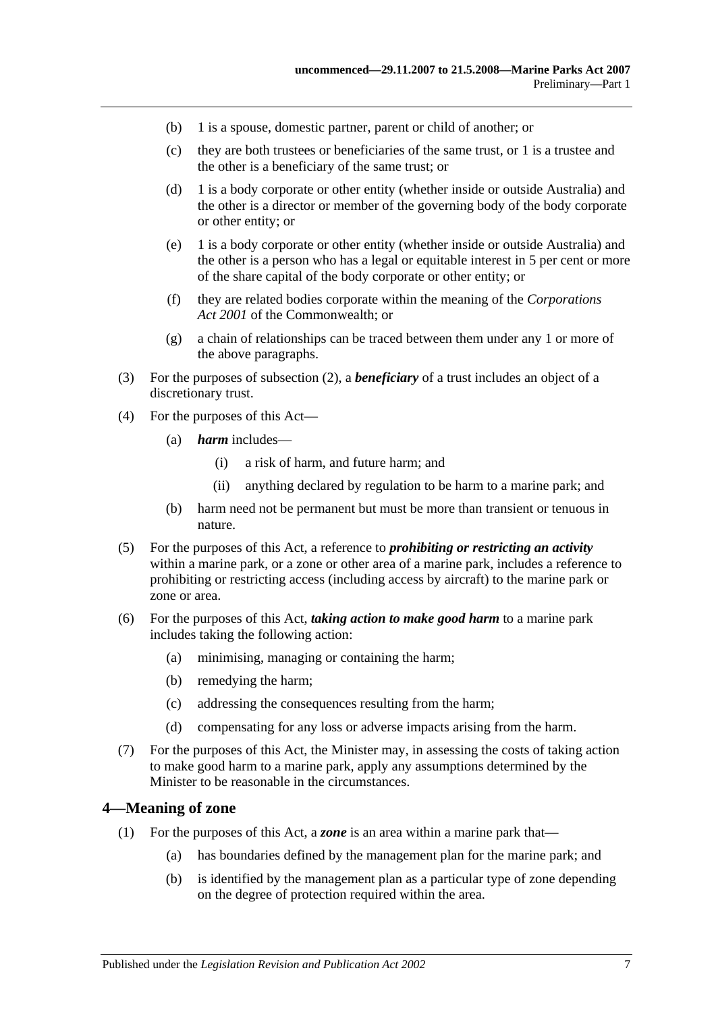- (b) 1 is a spouse, domestic partner, parent or child of another; or
- (c) they are both trustees or beneficiaries of the same trust, or 1 is a trustee and the other is a beneficiary of the same trust; or
- (d) 1 is a body corporate or other entity (whether inside or outside Australia) and the other is a director or member of the governing body of the body corporate or other entity; or
- (e) 1 is a body corporate or other entity (whether inside or outside Australia) and the other is a person who has a legal or equitable interest in 5 per cent or more of the share capital of the body corporate or other entity; or
- (f) they are related bodies corporate within the meaning of the *Corporations Act 2001* of the Commonwealth; or
- (g) a chain of relationships can be traced between them under any 1 or more of the above paragraphs.
- (3) For the purposes of [subsection](#page-5-0) (2), a *beneficiary* of a trust includes an object of a discretionary trust.
- <span id="page-6-1"></span>(4) For the purposes of this Act—
	- (a) *harm* includes—
		- (i) a risk of harm, and future harm; and
		- (ii) anything declared by regulation to be harm to a marine park; and
	- (b) harm need not be permanent but must be more than transient or tenuous in nature.
- <span id="page-6-2"></span>(5) For the purposes of this Act, a reference to *prohibiting or restricting an activity* within a marine park, or a zone or other area of a marine park, includes a reference to prohibiting or restricting access (including access by aircraft) to the marine park or zone or area.
- <span id="page-6-3"></span>(6) For the purposes of this Act, *taking action to make good harm* to a marine park includes taking the following action:
	- (a) minimising, managing or containing the harm;
	- (b) remedying the harm;
	- (c) addressing the consequences resulting from the harm;
	- (d) compensating for any loss or adverse impacts arising from the harm.
- (7) For the purposes of this Act, the Minister may, in assessing the costs of taking action to make good harm to a marine park, apply any assumptions determined by the Minister to be reasonable in the circumstances.

#### <span id="page-6-0"></span>**4—Meaning of zone**

- (1) For the purposes of this Act, a *zone* is an area within a marine park that—
	- (a) has boundaries defined by the management plan for the marine park; and
	- (b) is identified by the management plan as a particular type of zone depending on the degree of protection required within the area.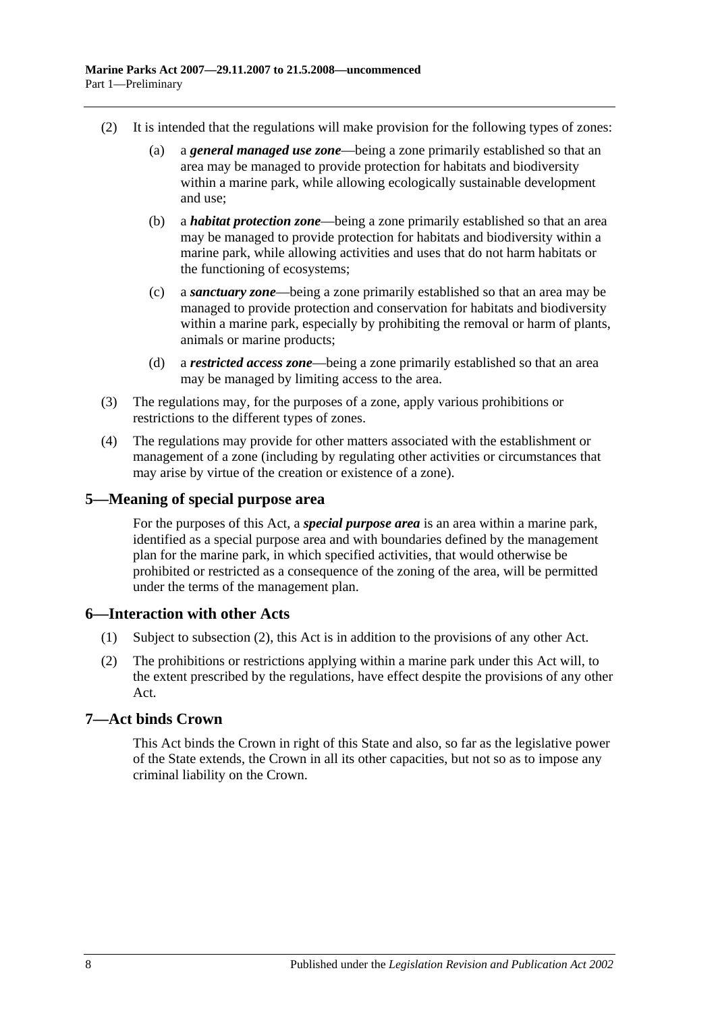- (2) It is intended that the regulations will make provision for the following types of zones:
	- (a) a *general managed use zone*—being a zone primarily established so that an area may be managed to provide protection for habitats and biodiversity within a marine park, while allowing ecologically sustainable development and use;
	- (b) a *habitat protection zone*—being a zone primarily established so that an area may be managed to provide protection for habitats and biodiversity within a marine park, while allowing activities and uses that do not harm habitats or the functioning of ecosystems;
	- (c) a *sanctuary zone*—being a zone primarily established so that an area may be managed to provide protection and conservation for habitats and biodiversity within a marine park, especially by prohibiting the removal or harm of plants, animals or marine products;
	- (d) a *restricted access zone*—being a zone primarily established so that an area may be managed by limiting access to the area.
- (3) The regulations may, for the purposes of a zone, apply various prohibitions or restrictions to the different types of zones.
- (4) The regulations may provide for other matters associated with the establishment or management of a zone (including by regulating other activities or circumstances that may arise by virtue of the creation or existence of a zone).

# <span id="page-7-0"></span>**5—Meaning of special purpose area**

For the purposes of this Act, a *special purpose area* is an area within a marine park, identified as a special purpose area and with boundaries defined by the management plan for the marine park, in which specified activities, that would otherwise be prohibited or restricted as a consequence of the zoning of the area, will be permitted under the terms of the management plan.

# <span id="page-7-1"></span>**6—Interaction with other Acts**

- (1) Subject to [subsection](#page-7-3) (2), this Act is in addition to the provisions of any other Act.
- <span id="page-7-3"></span>(2) The prohibitions or restrictions applying within a marine park under this Act will, to the extent prescribed by the regulations, have effect despite the provisions of any other Act.

# <span id="page-7-2"></span>**7—Act binds Crown**

This Act binds the Crown in right of this State and also, so far as the legislative power of the State extends, the Crown in all its other capacities, but not so as to impose any criminal liability on the Crown.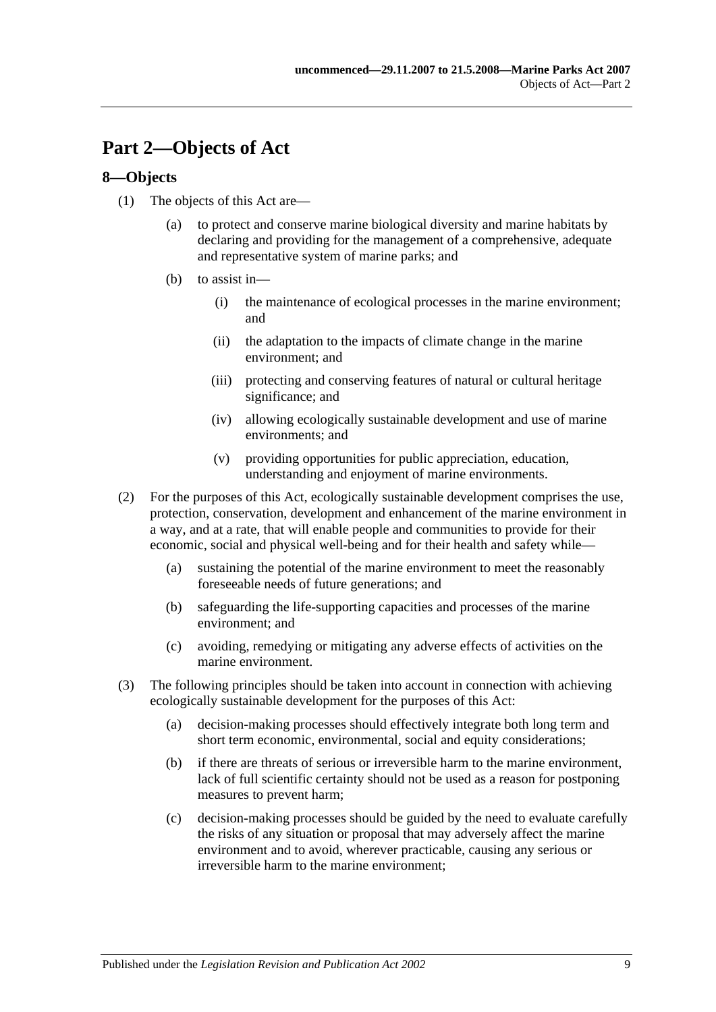# <span id="page-8-0"></span>**Part 2—Objects of Act**

# <span id="page-8-1"></span>**8—Objects**

- (1) The objects of this Act are—
	- (a) to protect and conserve marine biological diversity and marine habitats by declaring and providing for the management of a comprehensive, adequate and representative system of marine parks; and
	- (b) to assist in—
		- (i) the maintenance of ecological processes in the marine environment; and
		- (ii) the adaptation to the impacts of climate change in the marine environment; and
		- (iii) protecting and conserving features of natural or cultural heritage significance; and
		- (iv) allowing ecologically sustainable development and use of marine environments; and
		- (v) providing opportunities for public appreciation, education, understanding and enjoyment of marine environments.
- (2) For the purposes of this Act, ecologically sustainable development comprises the use, protection, conservation, development and enhancement of the marine environment in a way, and at a rate, that will enable people and communities to provide for their economic, social and physical well-being and for their health and safety while—
	- (a) sustaining the potential of the marine environment to meet the reasonably foreseeable needs of future generations; and
	- (b) safeguarding the life-supporting capacities and processes of the marine environment; and
	- (c) avoiding, remedying or mitigating any adverse effects of activities on the marine environment.
- (3) The following principles should be taken into account in connection with achieving ecologically sustainable development for the purposes of this Act:
	- (a) decision-making processes should effectively integrate both long term and short term economic, environmental, social and equity considerations;
	- (b) if there are threats of serious or irreversible harm to the marine environment, lack of full scientific certainty should not be used as a reason for postponing measures to prevent harm;
	- (c) decision-making processes should be guided by the need to evaluate carefully the risks of any situation or proposal that may adversely affect the marine environment and to avoid, wherever practicable, causing any serious or irreversible harm to the marine environment;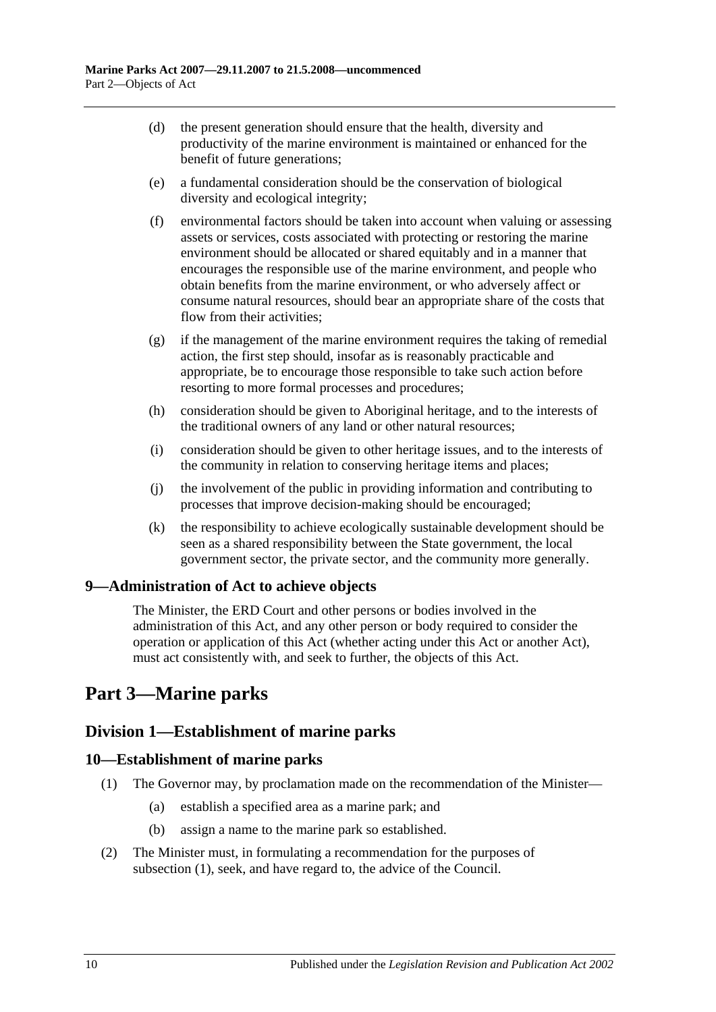- (d) the present generation should ensure that the health, diversity and productivity of the marine environment is maintained or enhanced for the benefit of future generations;
- (e) a fundamental consideration should be the conservation of biological diversity and ecological integrity;
- (f) environmental factors should be taken into account when valuing or assessing assets or services, costs associated with protecting or restoring the marine environment should be allocated or shared equitably and in a manner that encourages the responsible use of the marine environment, and people who obtain benefits from the marine environment, or who adversely affect or consume natural resources, should bear an appropriate share of the costs that flow from their activities;
- $(g)$  if the management of the marine environment requires the taking of remedial action, the first step should, insofar as is reasonably practicable and appropriate, be to encourage those responsible to take such action before resorting to more formal processes and procedures;
- (h) consideration should be given to Aboriginal heritage, and to the interests of the traditional owners of any land or other natural resources;
- (i) consideration should be given to other heritage issues, and to the interests of the community in relation to conserving heritage items and places;
- (j) the involvement of the public in providing information and contributing to processes that improve decision-making should be encouraged;
- (k) the responsibility to achieve ecologically sustainable development should be seen as a shared responsibility between the State government, the local government sector, the private sector, and the community more generally.

# <span id="page-9-0"></span>**9—Administration of Act to achieve objects**

The Minister, the ERD Court and other persons or bodies involved in the administration of this Act, and any other person or body required to consider the operation or application of this Act (whether acting under this Act or another Act), must act consistently with, and seek to further, the objects of this Act.

# <span id="page-9-1"></span>**Part 3—Marine parks**

# <span id="page-9-2"></span>**Division 1—Establishment of marine parks**

# <span id="page-9-4"></span><span id="page-9-3"></span>**10—Establishment of marine parks**

- (1) The Governor may, by proclamation made on the recommendation of the Minister—
	- (a) establish a specified area as a marine park; and
	- (b) assign a name to the marine park so established.
- (2) The Minister must, in formulating a recommendation for the purposes of [subsection](#page-9-4) (1), seek, and have regard to, the advice of the Council.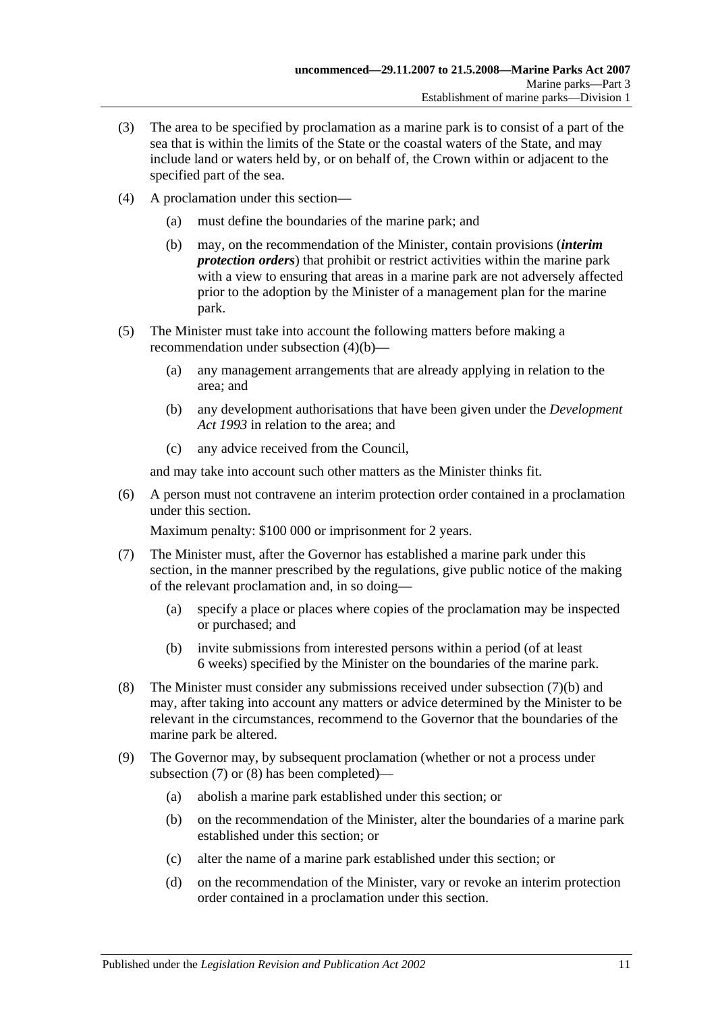- (3) The area to be specified by proclamation as a marine park is to consist of a part of the sea that is within the limits of the State or the coastal waters of the State, and may include land or waters held by, or on behalf of, the Crown within or adjacent to the specified part of the sea.
- <span id="page-10-0"></span>(4) A proclamation under this section—
	- (a) must define the boundaries of the marine park; and
	- (b) may, on the recommendation of the Minister, contain provisions (*interim protection orders*) that prohibit or restrict activities within the marine park with a view to ensuring that areas in a marine park are not adversely affected prior to the adoption by the Minister of a management plan for the marine park.
- (5) The Minister must take into account the following matters before making a recommendation under [subsection](#page-10-0) (4)(b)—
	- (a) any management arrangements that are already applying in relation to the area; and
	- (b) any development authorisations that have been given under the *[Development](http://www.legislation.sa.gov.au/index.aspx?action=legref&type=act&legtitle=Development%20Act%201993)  Act [1993](http://www.legislation.sa.gov.au/index.aspx?action=legref&type=act&legtitle=Development%20Act%201993)* in relation to the area; and
	- (c) any advice received from the Council,

and may take into account such other matters as the Minister thinks fit.

(6) A person must not contravene an interim protection order contained in a proclamation under this section.

Maximum penalty: \$100 000 or imprisonment for 2 years.

- <span id="page-10-2"></span>(7) The Minister must, after the Governor has established a marine park under this section, in the manner prescribed by the regulations, give public notice of the making of the relevant proclamation and, in so doing—
	- (a) specify a place or places where copies of the proclamation may be inspected or purchased; and
	- (b) invite submissions from interested persons within a period (of at least 6 weeks) specified by the Minister on the boundaries of the marine park.
- <span id="page-10-3"></span><span id="page-10-1"></span>(8) The Minister must consider any submissions received under [subsection](#page-10-1) (7)(b) and may, after taking into account any matters or advice determined by the Minister to be relevant in the circumstances, recommend to the Governor that the boundaries of the marine park be altered.
- <span id="page-10-7"></span><span id="page-10-6"></span><span id="page-10-5"></span><span id="page-10-4"></span>(9) The Governor may, by subsequent proclamation (whether or not a process under [subsection](#page-10-2) (7) or [\(8\)](#page-10-3) has been completed)—
	- (a) abolish a marine park established under this section; or
	- (b) on the recommendation of the Minister, alter the boundaries of a marine park established under this section; or
	- (c) alter the name of a marine park established under this section; or
	- (d) on the recommendation of the Minister, vary or revoke an interim protection order contained in a proclamation under this section.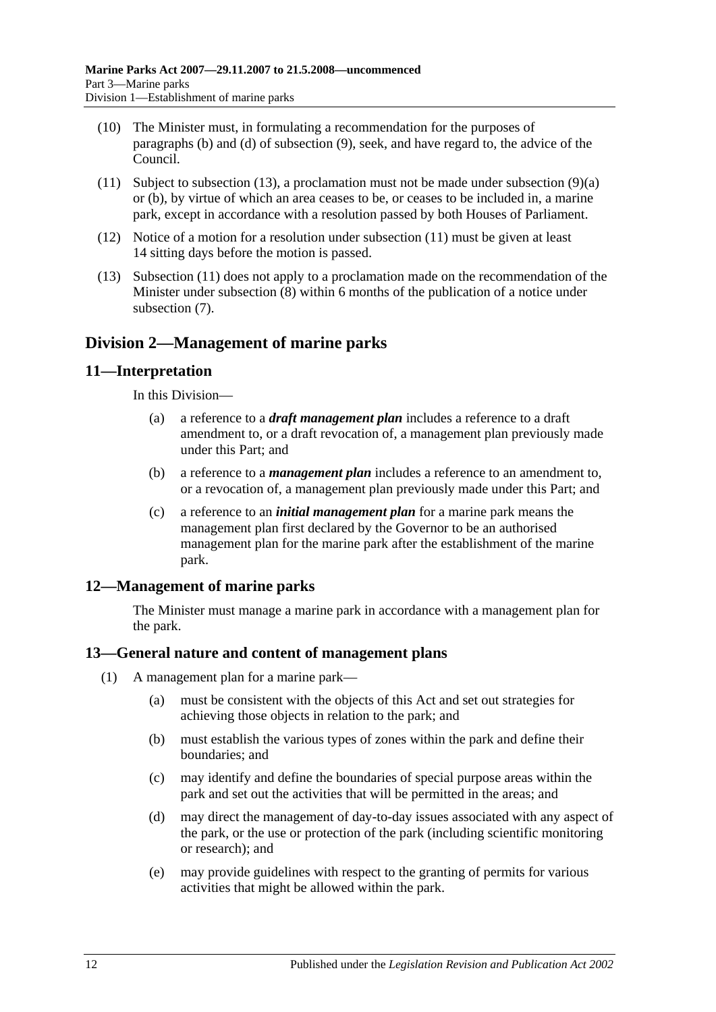- (10) The Minister must, in formulating a recommendation for the purposes of [paragraphs](#page-10-4) (b) and [\(d\)](#page-10-5) of [subsection](#page-10-6) (9), seek, and have regard to, the advice of the Council.
- <span id="page-11-5"></span>(11) Subject to [subsection](#page-11-4) (13), a proclamation must not be made under [subsection](#page-10-7) (9)(a) or [\(b\),](#page-10-4) by virtue of which an area ceases to be, or ceases to be included in, a marine park, except in accordance with a resolution passed by both Houses of Parliament.
- (12) Notice of a motion for a resolution under [subsection](#page-11-5) (11) must be given at least 14 sitting days before the motion is passed.
- <span id="page-11-4"></span>(13) [Subsection](#page-11-5) (11) does not apply to a proclamation made on the recommendation of the Minister under [subsection](#page-10-3) (8) within 6 months of the publication of a notice under [subsection](#page-10-2) (7).

# <span id="page-11-0"></span>**Division 2—Management of marine parks**

# <span id="page-11-1"></span>**11—Interpretation**

In this Division—

- (a) a reference to a *draft management plan* includes a reference to a draft amendment to, or a draft revocation of, a management plan previously made under this Part; and
- (b) a reference to a *management plan* includes a reference to an amendment to, or a revocation of, a management plan previously made under this Part; and
- (c) a reference to an *initial management plan* for a marine park means the management plan first declared by the Governor to be an authorised management plan for the marine park after the establishment of the marine park.

# <span id="page-11-2"></span>**12—Management of marine parks**

The Minister must manage a marine park in accordance with a management plan for the park.

# <span id="page-11-3"></span>**13—General nature and content of management plans**

- (1) A management plan for a marine park—
	- (a) must be consistent with the objects of this Act and set out strategies for achieving those objects in relation to the park; and
	- (b) must establish the various types of zones within the park and define their boundaries; and
	- (c) may identify and define the boundaries of special purpose areas within the park and set out the activities that will be permitted in the areas; and
	- (d) may direct the management of day-to-day issues associated with any aspect of the park, or the use or protection of the park (including scientific monitoring or research); and
	- (e) may provide guidelines with respect to the granting of permits for various activities that might be allowed within the park.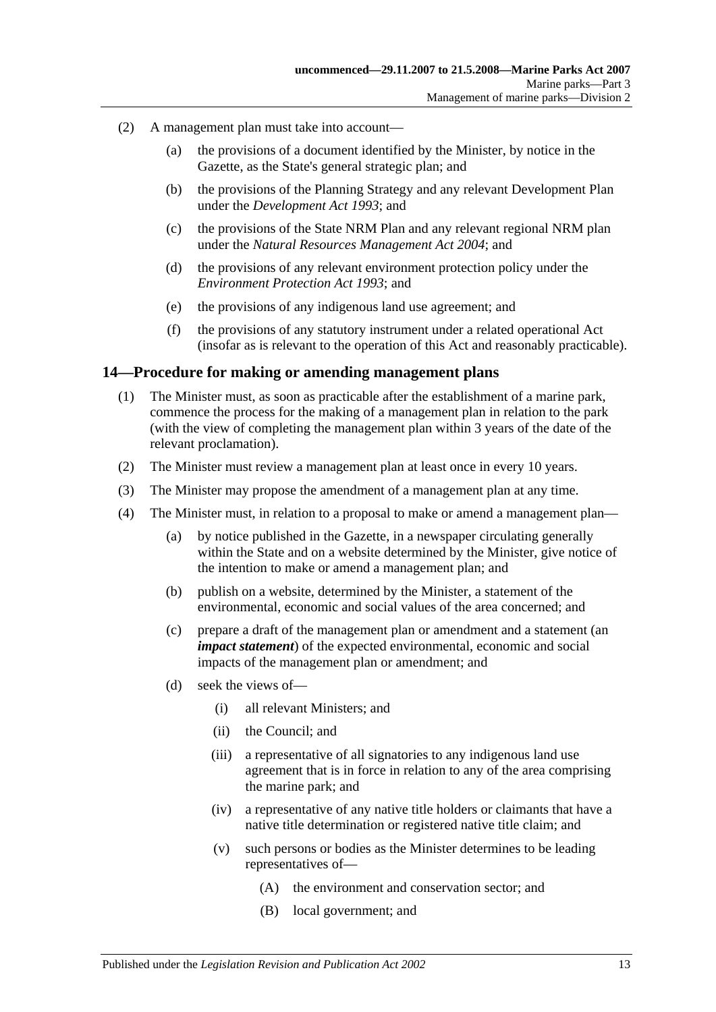- (2) A management plan must take into account—
	- (a) the provisions of a document identified by the Minister, by notice in the Gazette, as the State's general strategic plan; and
	- (b) the provisions of the Planning Strategy and any relevant Development Plan under the *[Development Act](http://www.legislation.sa.gov.au/index.aspx?action=legref&type=act&legtitle=Development%20Act%201993) 1993*; and
	- (c) the provisions of the State NRM Plan and any relevant regional NRM plan under the *[Natural Resources Management Act](http://www.legislation.sa.gov.au/index.aspx?action=legref&type=act&legtitle=Natural%20Resources%20Management%20Act%202004) 2004*; and
	- (d) the provisions of any relevant environment protection policy under the *[Environment Protection Act](http://www.legislation.sa.gov.au/index.aspx?action=legref&type=act&legtitle=Environment%20Protection%20Act%201993) 1993*; and
	- (e) the provisions of any indigenous land use agreement; and
	- (f) the provisions of any statutory instrument under a related operational Act (insofar as is relevant to the operation of this Act and reasonably practicable).

### <span id="page-12-0"></span>**14—Procedure for making or amending management plans**

- (1) The Minister must, as soon as practicable after the establishment of a marine park, commence the process for the making of a management plan in relation to the park (with the view of completing the management plan within 3 years of the date of the relevant proclamation).
- (2) The Minister must review a management plan at least once in every 10 years.
- (3) The Minister may propose the amendment of a management plan at any time.
- (4) The Minister must, in relation to a proposal to make or amend a management plan—
	- (a) by notice published in the Gazette, in a newspaper circulating generally within the State and on a website determined by the Minister, give notice of the intention to make or amend a management plan; and
	- (b) publish on a website, determined by the Minister, a statement of the environmental, economic and social values of the area concerned; and
	- (c) prepare a draft of the management plan or amendment and a statement (an *impact statement*) of the expected environmental, economic and social impacts of the management plan or amendment; and
	- (d) seek the views of—
		- (i) all relevant Ministers; and
		- (ii) the Council; and
		- (iii) a representative of all signatories to any indigenous land use agreement that is in force in relation to any of the area comprising the marine park; and
		- (iv) a representative of any native title holders or claimants that have a native title determination or registered native title claim; and
		- (v) such persons or bodies as the Minister determines to be leading representatives of—
			- (A) the environment and conservation sector; and
			- (B) local government; and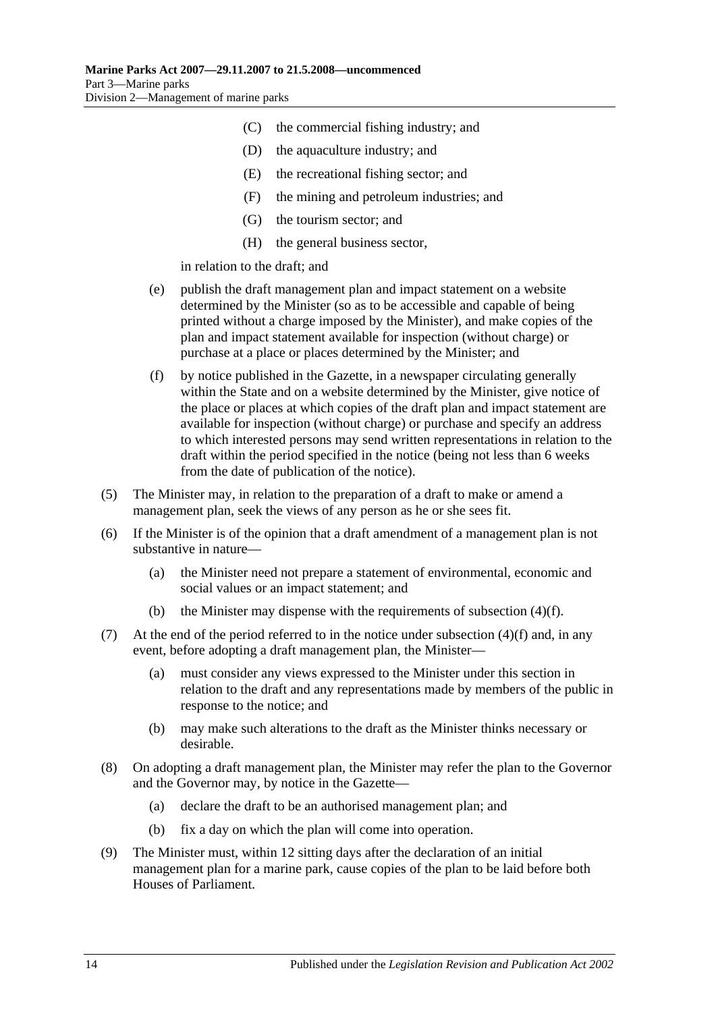- (C) the commercial fishing industry; and
- (D) the aquaculture industry; and
- (E) the recreational fishing sector; and
- (F) the mining and petroleum industries; and
- (G) the tourism sector; and
- (H) the general business sector,

in relation to the draft; and

- (e) publish the draft management plan and impact statement on a website determined by the Minister (so as to be accessible and capable of being printed without a charge imposed by the Minister), and make copies of the plan and impact statement available for inspection (without charge) or purchase at a place or places determined by the Minister; and
- <span id="page-13-0"></span>(f) by notice published in the Gazette, in a newspaper circulating generally within the State and on a website determined by the Minister, give notice of the place or places at which copies of the draft plan and impact statement are available for inspection (without charge) or purchase and specify an address to which interested persons may send written representations in relation to the draft within the period specified in the notice (being not less than 6 weeks from the date of publication of the notice).
- (5) The Minister may, in relation to the preparation of a draft to make or amend a management plan, seek the views of any person as he or she sees fit.
- (6) If the Minister is of the opinion that a draft amendment of a management plan is not substantive in nature—
	- (a) the Minister need not prepare a statement of environmental, economic and social values or an impact statement; and
	- (b) the Minister may dispense with the requirements of [subsection](#page-13-0)  $(4)(f)$ .
- (7) At the end of the period referred to in the notice under [subsection](#page-13-0)  $(4)(f)$  and, in any event, before adopting a draft management plan, the Minister—
	- (a) must consider any views expressed to the Minister under this section in relation to the draft and any representations made by members of the public in response to the notice; and
	- (b) may make such alterations to the draft as the Minister thinks necessary or desirable.
- (8) On adopting a draft management plan, the Minister may refer the plan to the Governor and the Governor may, by notice in the Gazette—
	- (a) declare the draft to be an authorised management plan; and
	- (b) fix a day on which the plan will come into operation.
- (9) The Minister must, within 12 sitting days after the declaration of an initial management plan for a marine park, cause copies of the plan to be laid before both Houses of Parliament.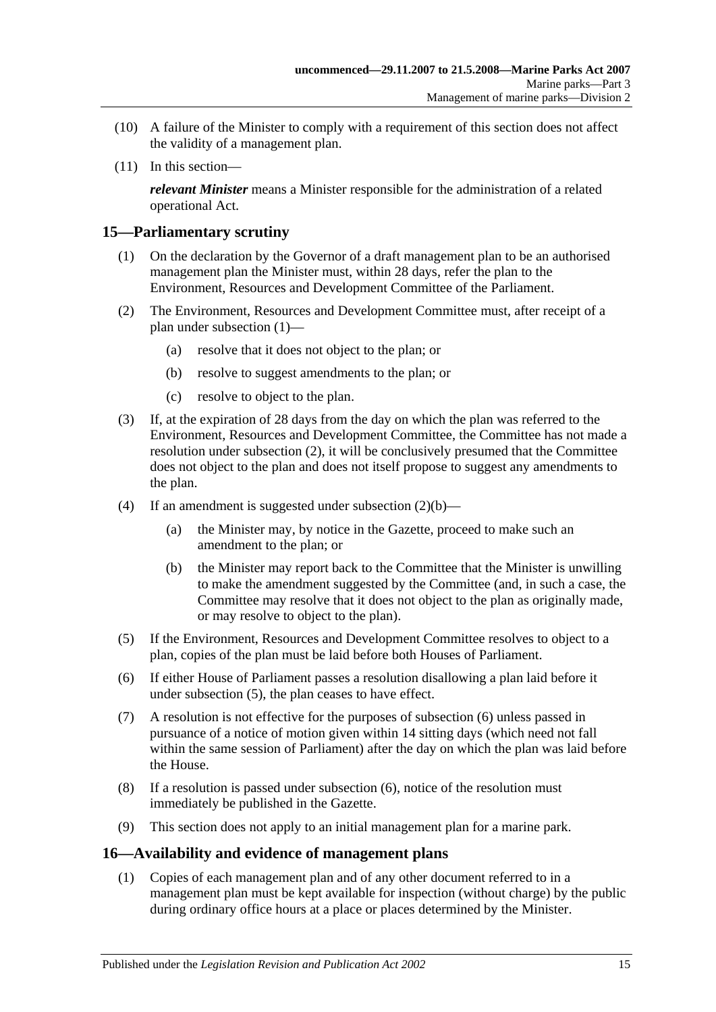- (10) A failure of the Minister to comply with a requirement of this section does not affect the validity of a management plan.
- (11) In this section—

*relevant Minister* means a Minister responsible for the administration of a related operational Act.

# <span id="page-14-2"></span><span id="page-14-0"></span>**15—Parliamentary scrutiny**

- (1) On the declaration by the Governor of a draft management plan to be an authorised management plan the Minister must, within 28 days, refer the plan to the Environment, Resources and Development Committee of the Parliament.
- <span id="page-14-4"></span><span id="page-14-3"></span>(2) The Environment, Resources and Development Committee must, after receipt of a plan under [subsection](#page-14-2) (1)—
	- (a) resolve that it does not object to the plan; or
	- (b) resolve to suggest amendments to the plan; or
	- (c) resolve to object to the plan.
- (3) If, at the expiration of 28 days from the day on which the plan was referred to the Environment, Resources and Development Committee, the Committee has not made a resolution under [subsection](#page-14-3) (2), it will be conclusively presumed that the Committee does not object to the plan and does not itself propose to suggest any amendments to the plan.
- (4) If an amendment is suggested under [subsection](#page-14-4)  $(2)(b)$ 
	- (a) the Minister may, by notice in the Gazette, proceed to make such an amendment to the plan; or
	- (b) the Minister may report back to the Committee that the Minister is unwilling to make the amendment suggested by the Committee (and, in such a case, the Committee may resolve that it does not object to the plan as originally made, or may resolve to object to the plan).
- <span id="page-14-5"></span>(5) If the Environment, Resources and Development Committee resolves to object to a plan, copies of the plan must be laid before both Houses of Parliament.
- <span id="page-14-6"></span>(6) If either House of Parliament passes a resolution disallowing a plan laid before it under [subsection](#page-14-5) (5), the plan ceases to have effect.
- (7) A resolution is not effective for the purposes of [subsection](#page-14-6) (6) unless passed in pursuance of a notice of motion given within 14 sitting days (which need not fall within the same session of Parliament) after the day on which the plan was laid before the House.
- (8) If a resolution is passed under [subsection](#page-14-6) (6), notice of the resolution must immediately be published in the Gazette.
- (9) This section does not apply to an initial management plan for a marine park.

### <span id="page-14-1"></span>**16—Availability and evidence of management plans**

(1) Copies of each management plan and of any other document referred to in a management plan must be kept available for inspection (without charge) by the public during ordinary office hours at a place or places determined by the Minister.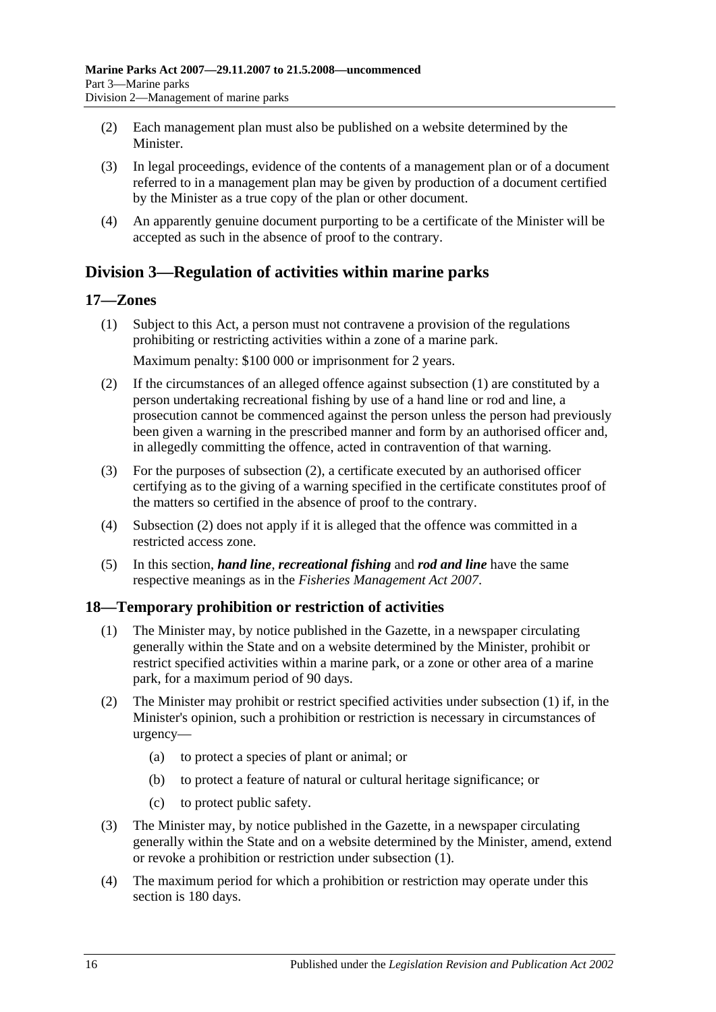- (2) Each management plan must also be published on a website determined by the **Minister**
- (3) In legal proceedings, evidence of the contents of a management plan or of a document referred to in a management plan may be given by production of a document certified by the Minister as a true copy of the plan or other document.
- (4) An apparently genuine document purporting to be a certificate of the Minister will be accepted as such in the absence of proof to the contrary.

# <span id="page-15-0"></span>**Division 3—Regulation of activities within marine parks**

# <span id="page-15-3"></span><span id="page-15-1"></span>**17—Zones**

(1) Subject to this Act, a person must not contravene a provision of the regulations prohibiting or restricting activities within a zone of a marine park.

Maximum penalty: \$100 000 or imprisonment for 2 years.

- <span id="page-15-4"></span>(2) If the circumstances of an alleged offence against [subsection](#page-15-3) (1) are constituted by a person undertaking recreational fishing by use of a hand line or rod and line, a prosecution cannot be commenced against the person unless the person had previously been given a warning in the prescribed manner and form by an authorised officer and, in allegedly committing the offence, acted in contravention of that warning.
- (3) For the purposes of [subsection](#page-15-4) (2), a certificate executed by an authorised officer certifying as to the giving of a warning specified in the certificate constitutes proof of the matters so certified in the absence of proof to the contrary.
- (4) [Subsection](#page-15-4) (2) does not apply if it is alleged that the offence was committed in a restricted access zone.
- (5) In this section, *hand line*, *recreational fishing* and *rod and line* have the same respective meanings as in the *[Fisheries Management Act](http://www.legislation.sa.gov.au/index.aspx?action=legref&type=act&legtitle=Fisheries%20Management%20Act%202007) 2007*.

# <span id="page-15-5"></span><span id="page-15-2"></span>**18—Temporary prohibition or restriction of activities**

- (1) The Minister may, by notice published in the Gazette, in a newspaper circulating generally within the State and on a website determined by the Minister, prohibit or restrict specified activities within a marine park, or a zone or other area of a marine park, for a maximum period of 90 days.
- (2) The Minister may prohibit or restrict specified activities under [subsection](#page-15-5) (1) if, in the Minister's opinion, such a prohibition or restriction is necessary in circumstances of urgency—
	- (a) to protect a species of plant or animal; or
	- (b) to protect a feature of natural or cultural heritage significance; or
	- (c) to protect public safety.
- (3) The Minister may, by notice published in the Gazette, in a newspaper circulating generally within the State and on a website determined by the Minister, amend, extend or revoke a prohibition or restriction under [subsection](#page-15-5) (1).
- (4) The maximum period for which a prohibition or restriction may operate under this section is 180 days.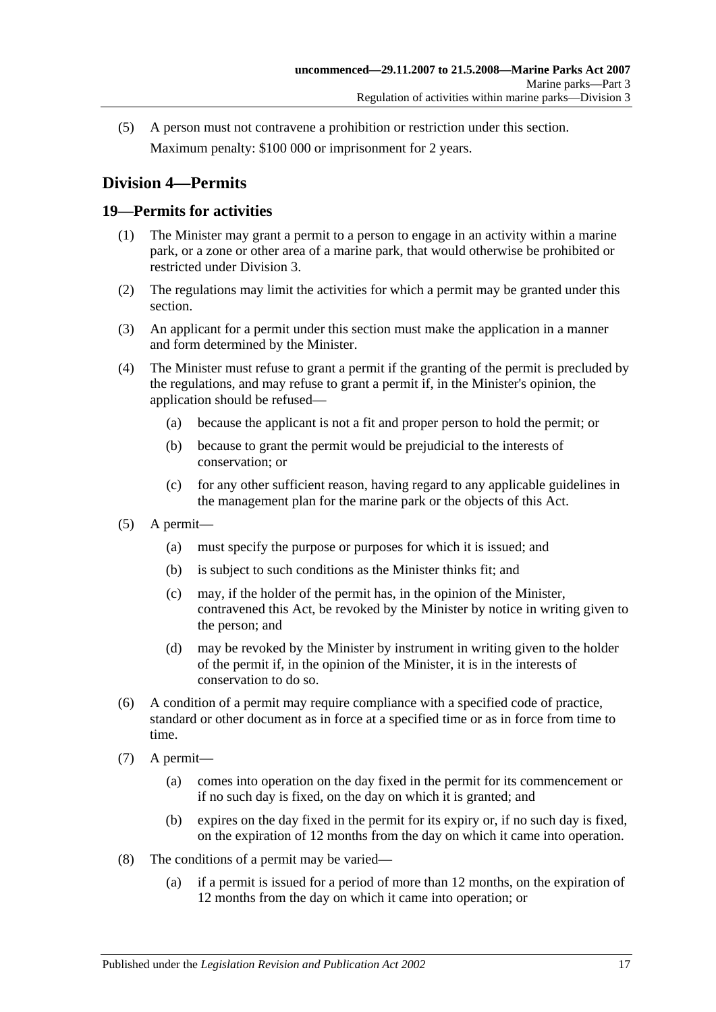(5) A person must not contravene a prohibition or restriction under this section. Maximum penalty: \$100 000 or imprisonment for 2 years.

# <span id="page-16-0"></span>**Division 4—Permits**

# <span id="page-16-1"></span>**19—Permits for activities**

- (1) The Minister may grant a permit to a person to engage in an activity within a marine park, or a zone or other area of a marine park, that would otherwise be prohibited or restricted under [Division 3.](#page-15-0)
- (2) The regulations may limit the activities for which a permit may be granted under this section.
- (3) An applicant for a permit under this section must make the application in a manner and form determined by the Minister.
- (4) The Minister must refuse to grant a permit if the granting of the permit is precluded by the regulations, and may refuse to grant a permit if, in the Minister's opinion, the application should be refused—
	- (a) because the applicant is not a fit and proper person to hold the permit; or
	- (b) because to grant the permit would be prejudicial to the interests of conservation; or
	- (c) for any other sufficient reason, having regard to any applicable guidelines in the management plan for the marine park or the objects of this Act.
- (5) A permit—
	- (a) must specify the purpose or purposes for which it is issued; and
	- (b) is subject to such conditions as the Minister thinks fit; and
	- (c) may, if the holder of the permit has, in the opinion of the Minister, contravened this Act, be revoked by the Minister by notice in writing given to the person; and
	- (d) may be revoked by the Minister by instrument in writing given to the holder of the permit if, in the opinion of the Minister, it is in the interests of conservation to do so.
- (6) A condition of a permit may require compliance with a specified code of practice, standard or other document as in force at a specified time or as in force from time to time.
- (7) A permit—
	- (a) comes into operation on the day fixed in the permit for its commencement or if no such day is fixed, on the day on which it is granted; and
	- (b) expires on the day fixed in the permit for its expiry or, if no such day is fixed, on the expiration of 12 months from the day on which it came into operation.
- (8) The conditions of a permit may be varied—
	- (a) if a permit is issued for a period of more than 12 months, on the expiration of 12 months from the day on which it came into operation; or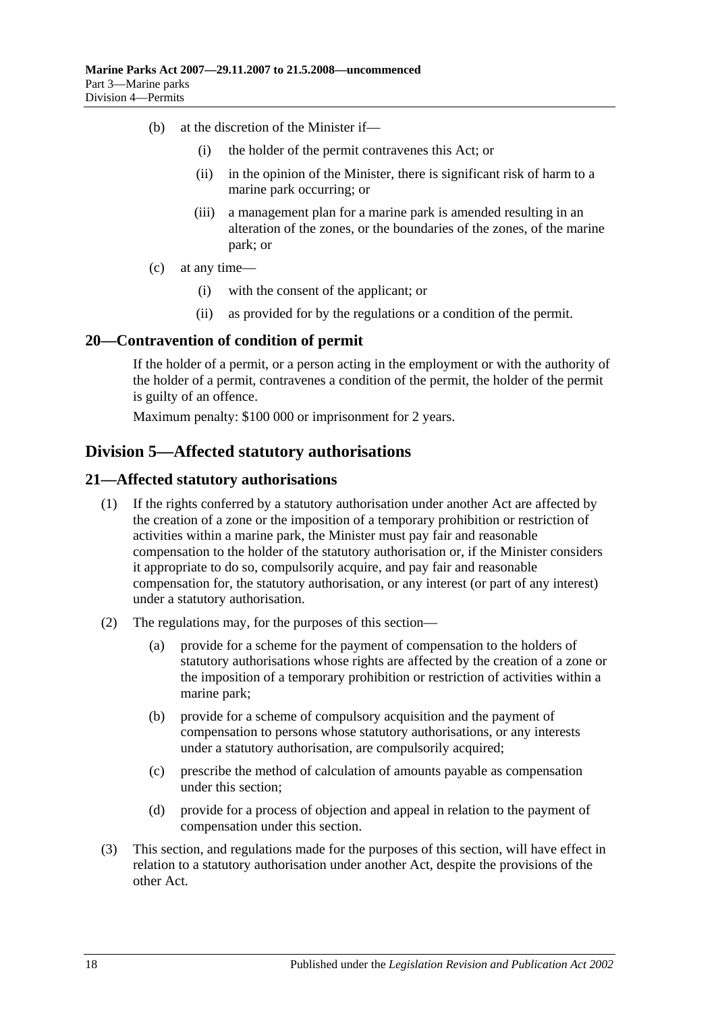- (b) at the discretion of the Minister if—
	- (i) the holder of the permit contravenes this Act; or
	- (ii) in the opinion of the Minister, there is significant risk of harm to a marine park occurring; or
	- (iii) a management plan for a marine park is amended resulting in an alteration of the zones, or the boundaries of the zones, of the marine park; or
- (c) at any time—
	- (i) with the consent of the applicant; or
	- (ii) as provided for by the regulations or a condition of the permit.

## <span id="page-17-0"></span>**20—Contravention of condition of permit**

If the holder of a permit, or a person acting in the employment or with the authority of the holder of a permit, contravenes a condition of the permit, the holder of the permit is guilty of an offence.

Maximum penalty: \$100 000 or imprisonment for 2 years.

# <span id="page-17-1"></span>**Division 5—Affected statutory authorisations**

## <span id="page-17-2"></span>**21—Affected statutory authorisations**

- (1) If the rights conferred by a statutory authorisation under another Act are affected by the creation of a zone or the imposition of a temporary prohibition or restriction of activities within a marine park, the Minister must pay fair and reasonable compensation to the holder of the statutory authorisation or, if the Minister considers it appropriate to do so, compulsorily acquire, and pay fair and reasonable compensation for, the statutory authorisation, or any interest (or part of any interest) under a statutory authorisation.
- (2) The regulations may, for the purposes of this section—
	- (a) provide for a scheme for the payment of compensation to the holders of statutory authorisations whose rights are affected by the creation of a zone or the imposition of a temporary prohibition or restriction of activities within a marine park;
	- (b) provide for a scheme of compulsory acquisition and the payment of compensation to persons whose statutory authorisations, or any interests under a statutory authorisation, are compulsorily acquired;
	- (c) prescribe the method of calculation of amounts payable as compensation under this section;
	- (d) provide for a process of objection and appeal in relation to the payment of compensation under this section.
- (3) This section, and regulations made for the purposes of this section, will have effect in relation to a statutory authorisation under another Act, despite the provisions of the other Act.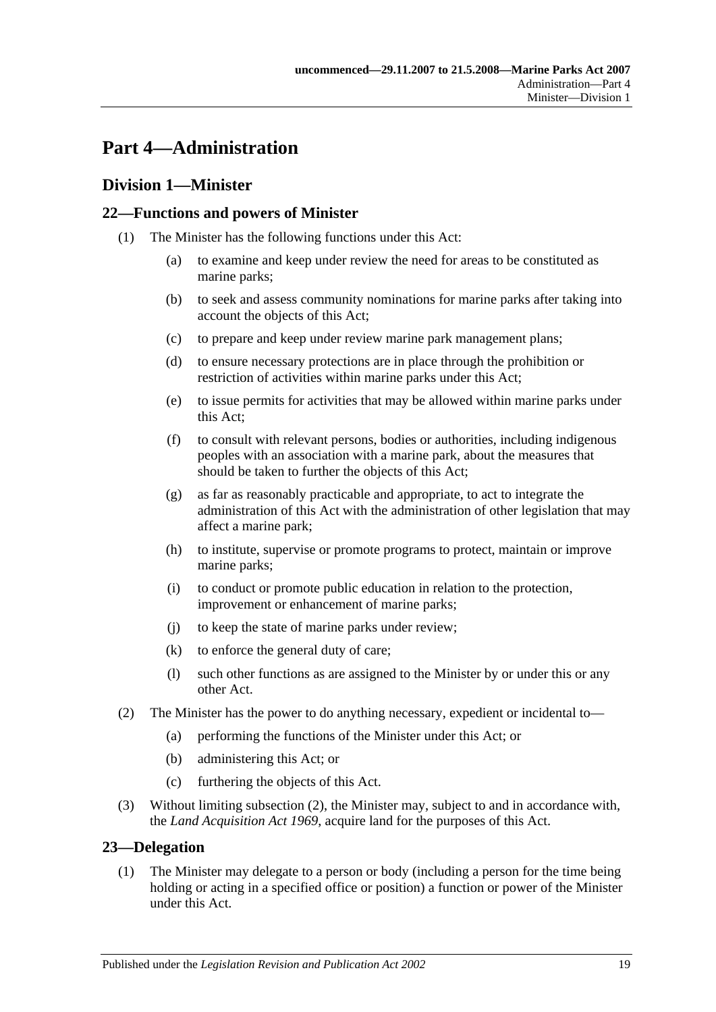# <span id="page-18-0"></span>**Part 4—Administration**

# <span id="page-18-1"></span>**Division 1—Minister**

# <span id="page-18-2"></span>**22—Functions and powers of Minister**

- (1) The Minister has the following functions under this Act:
	- (a) to examine and keep under review the need for areas to be constituted as marine parks;
	- (b) to seek and assess community nominations for marine parks after taking into account the objects of this Act;
	- (c) to prepare and keep under review marine park management plans;
	- (d) to ensure necessary protections are in place through the prohibition or restriction of activities within marine parks under this Act;
	- (e) to issue permits for activities that may be allowed within marine parks under this Act;
	- (f) to consult with relevant persons, bodies or authorities, including indigenous peoples with an association with a marine park, about the measures that should be taken to further the objects of this Act;
	- (g) as far as reasonably practicable and appropriate, to act to integrate the administration of this Act with the administration of other legislation that may affect a marine park;
	- (h) to institute, supervise or promote programs to protect, maintain or improve marine parks;
	- (i) to conduct or promote public education in relation to the protection, improvement or enhancement of marine parks;
	- (j) to keep the state of marine parks under review;
	- (k) to enforce the general duty of care;
	- (l) such other functions as are assigned to the Minister by or under this or any other Act.
- <span id="page-18-4"></span>(2) The Minister has the power to do anything necessary, expedient or incidental to—
	- (a) performing the functions of the Minister under this Act; or
	- (b) administering this Act; or
	- (c) furthering the objects of this Act.
- (3) Without limiting [subsection](#page-18-4) (2), the Minister may, subject to and in accordance with, the *[Land Acquisition Act](http://www.legislation.sa.gov.au/index.aspx?action=legref&type=act&legtitle=Land%20Acquisition%20Act%201969) 1969*, acquire land for the purposes of this Act.

### <span id="page-18-3"></span>**23—Delegation**

(1) The Minister may delegate to a person or body (including a person for the time being holding or acting in a specified office or position) a function or power of the Minister under this Act.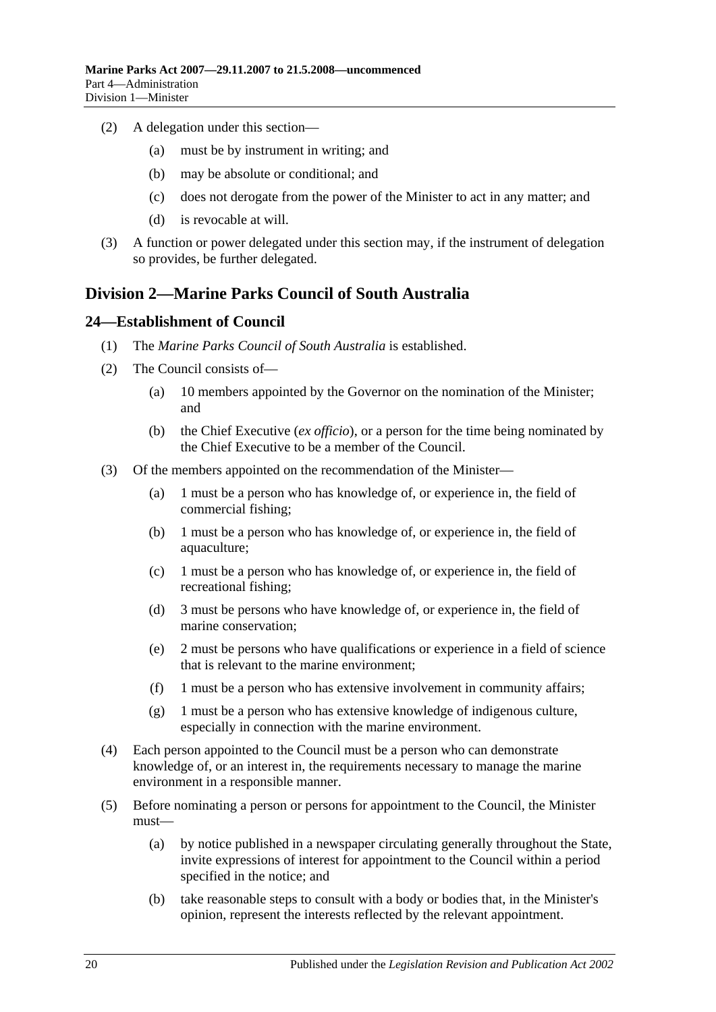- (2) A delegation under this section—
	- (a) must be by instrument in writing; and
	- (b) may be absolute or conditional; and
	- (c) does not derogate from the power of the Minister to act in any matter; and
	- (d) is revocable at will.
- (3) A function or power delegated under this section may, if the instrument of delegation so provides, be further delegated.

# <span id="page-19-0"></span>**Division 2—Marine Parks Council of South Australia**

### <span id="page-19-1"></span>**24—Establishment of Council**

- (1) The *Marine Parks Council of South Australia* is established.
- (2) The Council consists of—
	- (a) 10 members appointed by the Governor on the nomination of the Minister; and
	- (b) the Chief Executive (*ex officio*), or a person for the time being nominated by the Chief Executive to be a member of the Council.
- <span id="page-19-2"></span>(3) Of the members appointed on the recommendation of the Minister—
	- (a) 1 must be a person who has knowledge of, or experience in, the field of commercial fishing;
	- (b) 1 must be a person who has knowledge of, or experience in, the field of aquaculture;
	- (c) 1 must be a person who has knowledge of, or experience in, the field of recreational fishing;
	- (d) 3 must be persons who have knowledge of, or experience in, the field of marine conservation;
	- (e) 2 must be persons who have qualifications or experience in a field of science that is relevant to the marine environment;
	- (f) 1 must be a person who has extensive involvement in community affairs;
	- (g) 1 must be a person who has extensive knowledge of indigenous culture, especially in connection with the marine environment.
- (4) Each person appointed to the Council must be a person who can demonstrate knowledge of, or an interest in, the requirements necessary to manage the marine environment in a responsible manner.
- (5) Before nominating a person or persons for appointment to the Council, the Minister must—
	- (a) by notice published in a newspaper circulating generally throughout the State, invite expressions of interest for appointment to the Council within a period specified in the notice; and
	- (b) take reasonable steps to consult with a body or bodies that, in the Minister's opinion, represent the interests reflected by the relevant appointment.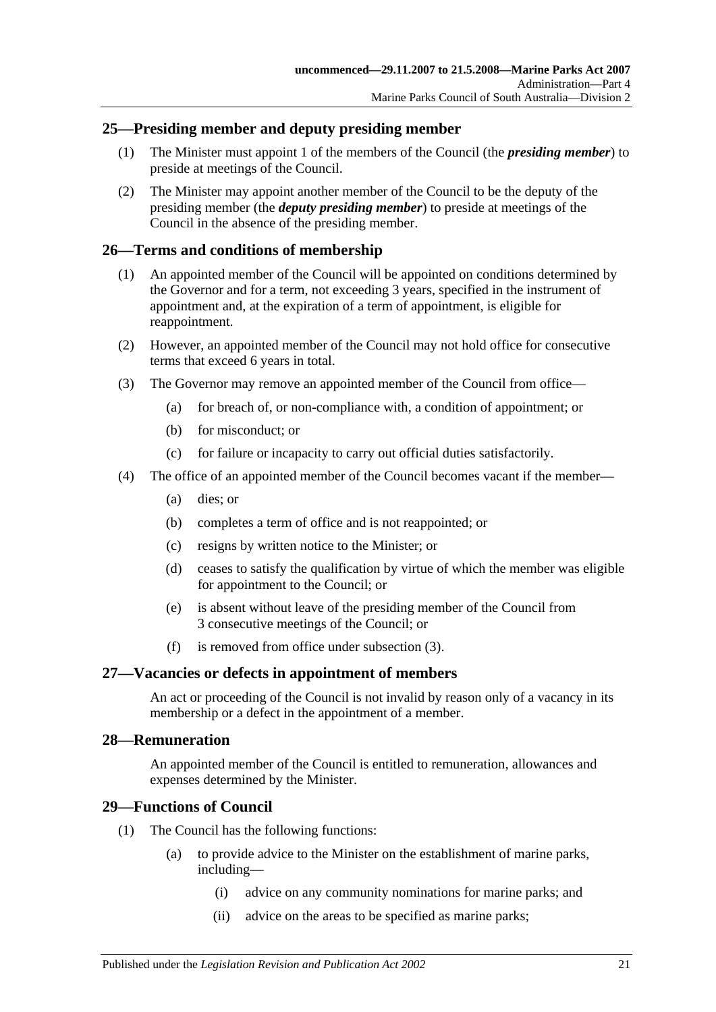# <span id="page-20-0"></span>**25—Presiding member and deputy presiding member**

- (1) The Minister must appoint 1 of the members of the Council (the *presiding member*) to preside at meetings of the Council.
- (2) The Minister may appoint another member of the Council to be the deputy of the presiding member (the *deputy presiding member*) to preside at meetings of the Council in the absence of the presiding member.

## <span id="page-20-1"></span>**26—Terms and conditions of membership**

- (1) An appointed member of the Council will be appointed on conditions determined by the Governor and for a term, not exceeding 3 years, specified in the instrument of appointment and, at the expiration of a term of appointment, is eligible for reappointment.
- (2) However, an appointed member of the Council may not hold office for consecutive terms that exceed 6 years in total.
- <span id="page-20-5"></span>(3) The Governor may remove an appointed member of the Council from office—
	- (a) for breach of, or non-compliance with, a condition of appointment; or
	- (b) for misconduct; or
	- (c) for failure or incapacity to carry out official duties satisfactorily.
- (4) The office of an appointed member of the Council becomes vacant if the member—
	- (a) dies; or
	- (b) completes a term of office and is not reappointed; or
	- (c) resigns by written notice to the Minister; or
	- (d) ceases to satisfy the qualification by virtue of which the member was eligible for appointment to the Council; or
	- (e) is absent without leave of the presiding member of the Council from 3 consecutive meetings of the Council; or
	- (f) is removed from office under [subsection](#page-20-5) (3).

### <span id="page-20-2"></span>**27—Vacancies or defects in appointment of members**

An act or proceeding of the Council is not invalid by reason only of a vacancy in its membership or a defect in the appointment of a member.

### <span id="page-20-3"></span>**28—Remuneration**

An appointed member of the Council is entitled to remuneration, allowances and expenses determined by the Minister.

### <span id="page-20-4"></span>**29—Functions of Council**

- (1) The Council has the following functions:
	- (a) to provide advice to the Minister on the establishment of marine parks, including—
		- (i) advice on any community nominations for marine parks; and
		- (ii) advice on the areas to be specified as marine parks;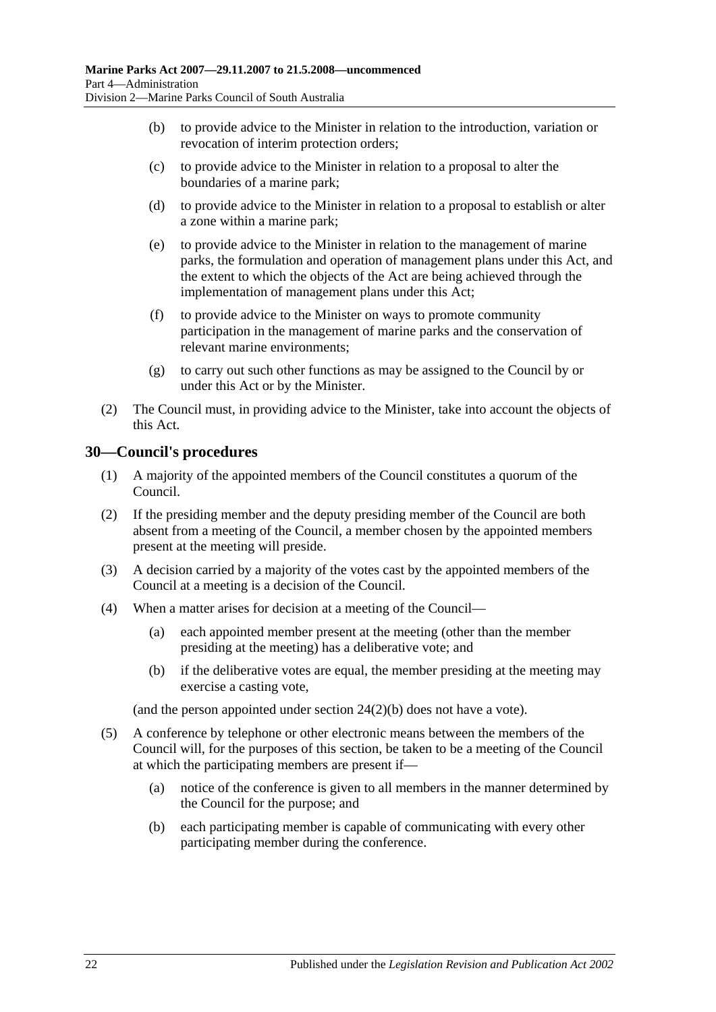- (b) to provide advice to the Minister in relation to the introduction, variation or revocation of interim protection orders;
- (c) to provide advice to the Minister in relation to a proposal to alter the boundaries of a marine park;
- (d) to provide advice to the Minister in relation to a proposal to establish or alter a zone within a marine park;
- (e) to provide advice to the Minister in relation to the management of marine parks, the formulation and operation of management plans under this Act, and the extent to which the objects of the Act are being achieved through the implementation of management plans under this Act;
- (f) to provide advice to the Minister on ways to promote community participation in the management of marine parks and the conservation of relevant marine environments;
- (g) to carry out such other functions as may be assigned to the Council by or under this Act or by the Minister.
- (2) The Council must, in providing advice to the Minister, take into account the objects of this Act.

# <span id="page-21-0"></span>**30—Council's procedures**

- (1) A majority of the appointed members of the Council constitutes a quorum of the Council.
- (2) If the presiding member and the deputy presiding member of the Council are both absent from a meeting of the Council, a member chosen by the appointed members present at the meeting will preside.
- (3) A decision carried by a majority of the votes cast by the appointed members of the Council at a meeting is a decision of the Council.
- (4) When a matter arises for decision at a meeting of the Council—
	- (a) each appointed member present at the meeting (other than the member presiding at the meeting) has a deliberative vote; and
	- (b) if the deliberative votes are equal, the member presiding at the meeting may exercise a casting vote,

(and the person appointed under section [24\(2\)\(b\)](#page-19-2) does not have a vote).

- (5) A conference by telephone or other electronic means between the members of the Council will, for the purposes of this section, be taken to be a meeting of the Council at which the participating members are present if—
	- (a) notice of the conference is given to all members in the manner determined by the Council for the purpose; and
	- (b) each participating member is capable of communicating with every other participating member during the conference.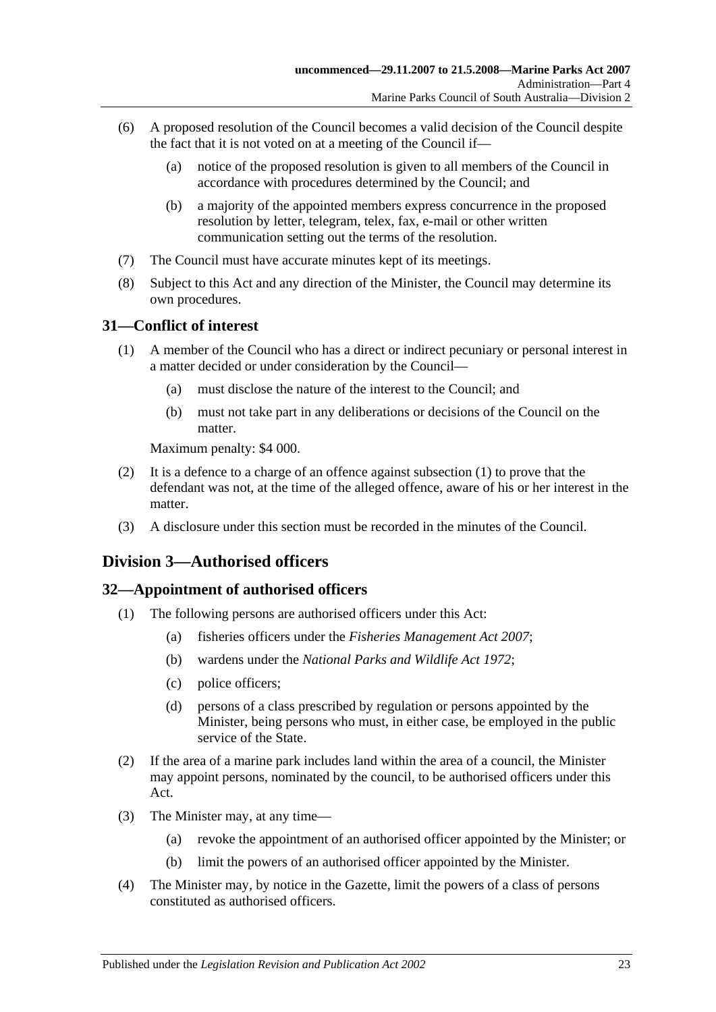- (6) A proposed resolution of the Council becomes a valid decision of the Council despite the fact that it is not voted on at a meeting of the Council if—
	- (a) notice of the proposed resolution is given to all members of the Council in accordance with procedures determined by the Council; and
	- (b) a majority of the appointed members express concurrence in the proposed resolution by letter, telegram, telex, fax, e-mail or other written communication setting out the terms of the resolution.
- (7) The Council must have accurate minutes kept of its meetings.
- (8) Subject to this Act and any direction of the Minister, the Council may determine its own procedures.

# <span id="page-22-3"></span><span id="page-22-0"></span>**31—Conflict of interest**

- (1) A member of the Council who has a direct or indirect pecuniary or personal interest in a matter decided or under consideration by the Council—
	- (a) must disclose the nature of the interest to the Council; and
	- (b) must not take part in any deliberations or decisions of the Council on the matter.

Maximum penalty: \$4 000.

- (2) It is a defence to a charge of an offence against [subsection](#page-22-3) (1) to prove that the defendant was not, at the time of the alleged offence, aware of his or her interest in the matter.
- (3) A disclosure under this section must be recorded in the minutes of the Council.

# <span id="page-22-1"></span>**Division 3—Authorised officers**

# <span id="page-22-2"></span>**32—Appointment of authorised officers**

- (1) The following persons are authorised officers under this Act:
	- (a) fisheries officers under the *[Fisheries Management Act](http://www.legislation.sa.gov.au/index.aspx?action=legref&type=act&legtitle=Fisheries%20Management%20Act%202007) 2007*;
	- (b) wardens under the *[National Parks and Wildlife Act](http://www.legislation.sa.gov.au/index.aspx?action=legref&type=act&legtitle=National%20Parks%20and%20Wildlife%20Act%201972) 1972*;
	- (c) police officers;
	- (d) persons of a class prescribed by regulation or persons appointed by the Minister, being persons who must, in either case, be employed in the public service of the State.
- (2) If the area of a marine park includes land within the area of a council, the Minister may appoint persons, nominated by the council, to be authorised officers under this Act.
- (3) The Minister may, at any time—
	- (a) revoke the appointment of an authorised officer appointed by the Minister; or
	- (b) limit the powers of an authorised officer appointed by the Minister.
- (4) The Minister may, by notice in the Gazette, limit the powers of a class of persons constituted as authorised officers.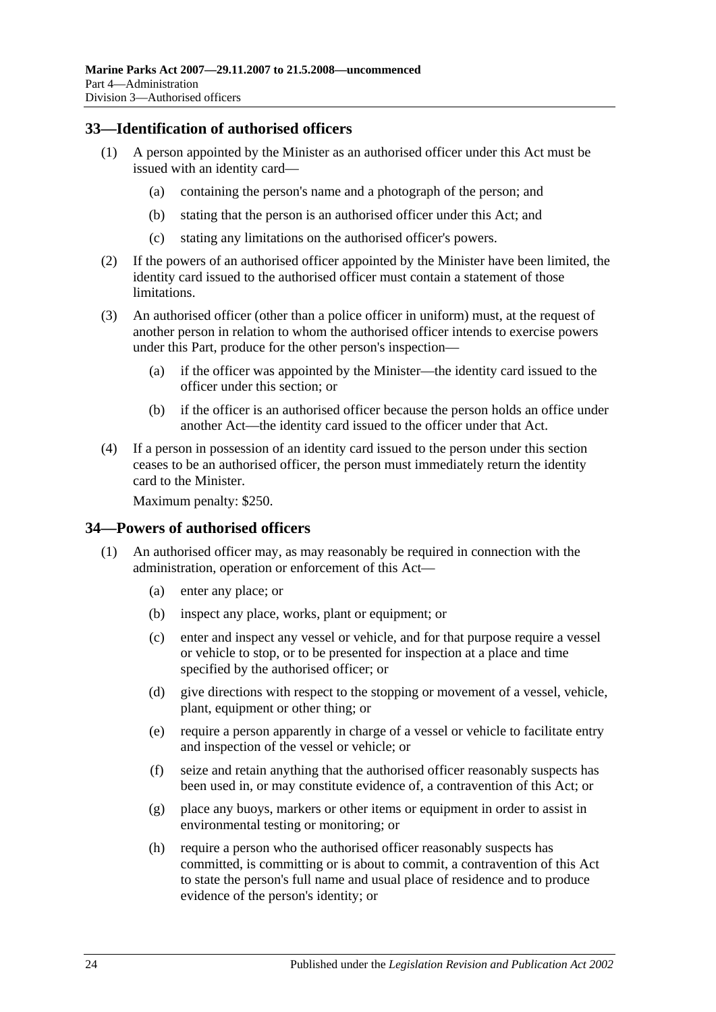# <span id="page-23-0"></span>**33—Identification of authorised officers**

- (1) A person appointed by the Minister as an authorised officer under this Act must be issued with an identity card—
	- (a) containing the person's name and a photograph of the person; and
	- (b) stating that the person is an authorised officer under this Act; and
	- (c) stating any limitations on the authorised officer's powers.
- (2) If the powers of an authorised officer appointed by the Minister have been limited, the identity card issued to the authorised officer must contain a statement of those limitations.
- (3) An authorised officer (other than a police officer in uniform) must, at the request of another person in relation to whom the authorised officer intends to exercise powers under this Part, produce for the other person's inspection—
	- (a) if the officer was appointed by the Minister—the identity card issued to the officer under this section; or
	- (b) if the officer is an authorised officer because the person holds an office under another Act—the identity card issued to the officer under that Act.
- (4) If a person in possession of an identity card issued to the person under this section ceases to be an authorised officer, the person must immediately return the identity card to the Minister.

Maximum penalty: \$250.

### <span id="page-23-2"></span><span id="page-23-1"></span>**34—Powers of authorised officers**

- <span id="page-23-3"></span>(1) An authorised officer may, as may reasonably be required in connection with the administration, operation or enforcement of this Act—
	- (a) enter any place; or
	- (b) inspect any place, works, plant or equipment; or
	- (c) enter and inspect any vessel or vehicle, and for that purpose require a vessel or vehicle to stop, or to be presented for inspection at a place and time specified by the authorised officer; or
	- (d) give directions with respect to the stopping or movement of a vessel, vehicle, plant, equipment or other thing; or
	- (e) require a person apparently in charge of a vessel or vehicle to facilitate entry and inspection of the vessel or vehicle; or
	- (f) seize and retain anything that the authorised officer reasonably suspects has been used in, or may constitute evidence of, a contravention of this Act; or
	- (g) place any buoys, markers or other items or equipment in order to assist in environmental testing or monitoring; or
	- (h) require a person who the authorised officer reasonably suspects has committed, is committing or is about to commit, a contravention of this Act to state the person's full name and usual place of residence and to produce evidence of the person's identity; or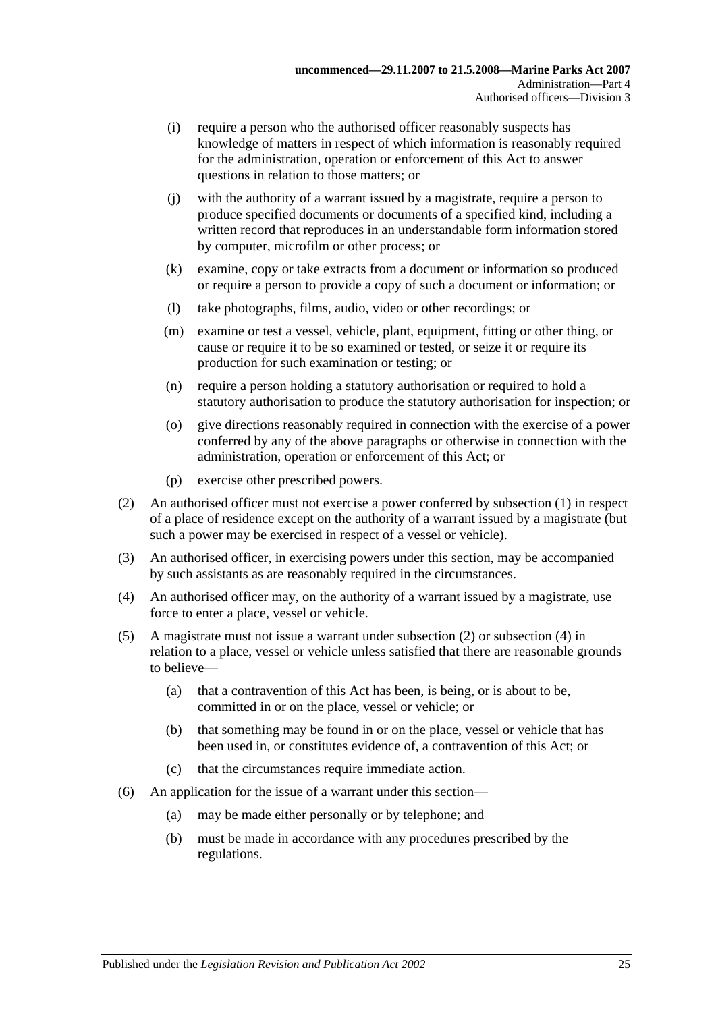- (i) require a person who the authorised officer reasonably suspects has knowledge of matters in respect of which information is reasonably required for the administration, operation or enforcement of this Act to answer questions in relation to those matters; or
- (j) with the authority of a warrant issued by a magistrate, require a person to produce specified documents or documents of a specified kind, including a written record that reproduces in an understandable form information stored by computer, microfilm or other process; or
- (k) examine, copy or take extracts from a document or information so produced or require a person to provide a copy of such a document or information; or
- (l) take photographs, films, audio, video or other recordings; or
- (m) examine or test a vessel, vehicle, plant, equipment, fitting or other thing, or cause or require it to be so examined or tested, or seize it or require its production for such examination or testing; or
- (n) require a person holding a statutory authorisation or required to hold a statutory authorisation to produce the statutory authorisation for inspection; or
- (o) give directions reasonably required in connection with the exercise of a power conferred by any of the above paragraphs or otherwise in connection with the administration, operation or enforcement of this Act; or
- (p) exercise other prescribed powers.
- <span id="page-24-0"></span>(2) An authorised officer must not exercise a power conferred by [subsection](#page-23-2) (1) in respect of a place of residence except on the authority of a warrant issued by a magistrate (but such a power may be exercised in respect of a vessel or vehicle).
- (3) An authorised officer, in exercising powers under this section, may be accompanied by such assistants as are reasonably required in the circumstances.
- <span id="page-24-1"></span>(4) An authorised officer may, on the authority of a warrant issued by a magistrate, use force to enter a place, vessel or vehicle.
- (5) A magistrate must not issue a warrant under [subsection](#page-24-0) (2) or [subsection](#page-24-1) (4) in relation to a place, vessel or vehicle unless satisfied that there are reasonable grounds to believe—
	- (a) that a contravention of this Act has been, is being, or is about to be, committed in or on the place, vessel or vehicle; or
	- (b) that something may be found in or on the place, vessel or vehicle that has been used in, or constitutes evidence of, a contravention of this Act; or
	- (c) that the circumstances require immediate action.
- (6) An application for the issue of a warrant under this section—
	- (a) may be made either personally or by telephone; and
	- (b) must be made in accordance with any procedures prescribed by the regulations.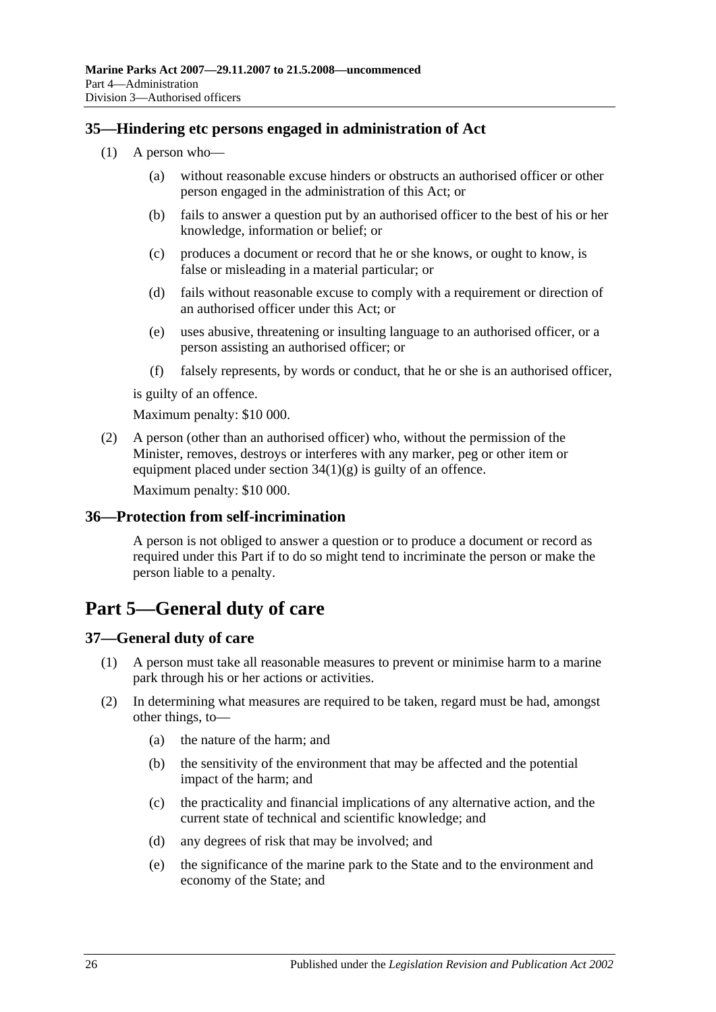# <span id="page-25-0"></span>**35—Hindering etc persons engaged in administration of Act**

- (1) A person who—
	- (a) without reasonable excuse hinders or obstructs an authorised officer or other person engaged in the administration of this Act; or
	- (b) fails to answer a question put by an authorised officer to the best of his or her knowledge, information or belief; or
	- (c) produces a document or record that he or she knows, or ought to know, is false or misleading in a material particular; or
	- (d) fails without reasonable excuse to comply with a requirement or direction of an authorised officer under this Act; or
	- (e) uses abusive, threatening or insulting language to an authorised officer, or a person assisting an authorised officer; or
	- (f) falsely represents, by words or conduct, that he or she is an authorised officer,

is guilty of an offence.

Maximum penalty: \$10 000.

(2) A person (other than an authorised officer) who, without the permission of the Minister, removes, destroys or interferes with any marker, peg or other item or equipment placed under section  $34(1)(g)$  is guilty of an offence.

Maximum penalty: \$10 000.

# <span id="page-25-1"></span>**36—Protection from self-incrimination**

A person is not obliged to answer a question or to produce a document or record as required under this Part if to do so might tend to incriminate the person or make the person liable to a penalty.

# <span id="page-25-2"></span>**Part 5—General duty of care**

# <span id="page-25-4"></span><span id="page-25-3"></span>**37—General duty of care**

- (1) A person must take all reasonable measures to prevent or minimise harm to a marine park through his or her actions or activities.
- (2) In determining what measures are required to be taken, regard must be had, amongst other things, to—
	- (a) the nature of the harm; and
	- (b) the sensitivity of the environment that may be affected and the potential impact of the harm; and
	- (c) the practicality and financial implications of any alternative action, and the current state of technical and scientific knowledge; and
	- (d) any degrees of risk that may be involved; and
	- (e) the significance of the marine park to the State and to the environment and economy of the State; and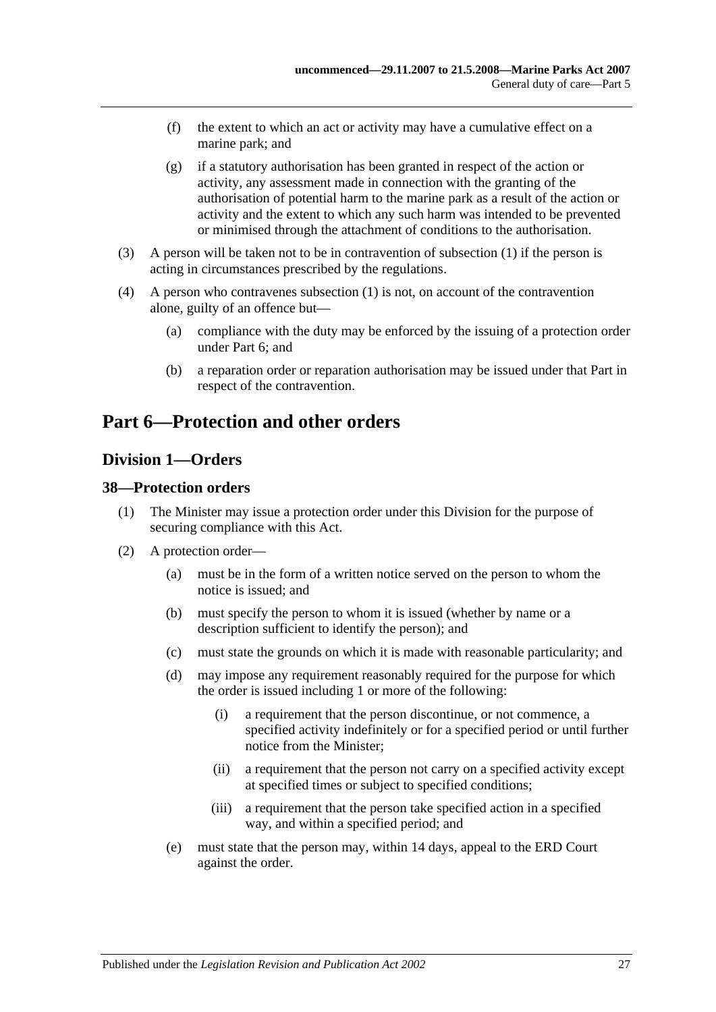- (f) the extent to which an act or activity may have a cumulative effect on a marine park; and
- (g) if a statutory authorisation has been granted in respect of the action or activity, any assessment made in connection with the granting of the authorisation of potential harm to the marine park as a result of the action or activity and the extent to which any such harm was intended to be prevented or minimised through the attachment of conditions to the authorisation.
- (3) A person will be taken not to be in contravention of [subsection](#page-25-4) (1) if the person is acting in circumstances prescribed by the regulations.
- (4) A person who contravenes [subsection](#page-25-4) (1) is not, on account of the contravention alone, guilty of an offence but—
	- (a) compliance with the duty may be enforced by the issuing of a protection order under [Part 6;](#page-26-0) and
	- (b) a reparation order or reparation authorisation may be issued under that Part in respect of the contravention.

# <span id="page-26-0"></span>**Part 6—Protection and other orders**

# <span id="page-26-1"></span>**Division 1—Orders**

# <span id="page-26-2"></span>**38—Protection orders**

- (1) The Minister may issue a protection order under this Division for the purpose of securing compliance with this Act.
- <span id="page-26-3"></span>(2) A protection order—
	- (a) must be in the form of a written notice served on the person to whom the notice is issued; and
	- (b) must specify the person to whom it is issued (whether by name or a description sufficient to identify the person); and
	- (c) must state the grounds on which it is made with reasonable particularity; and
	- (d) may impose any requirement reasonably required for the purpose for which the order is issued including 1 or more of the following:
		- (i) a requirement that the person discontinue, or not commence, a specified activity indefinitely or for a specified period or until further notice from the Minister;
		- (ii) a requirement that the person not carry on a specified activity except at specified times or subject to specified conditions;
		- (iii) a requirement that the person take specified action in a specified way, and within a specified period; and
	- (e) must state that the person may, within 14 days, appeal to the ERD Court against the order.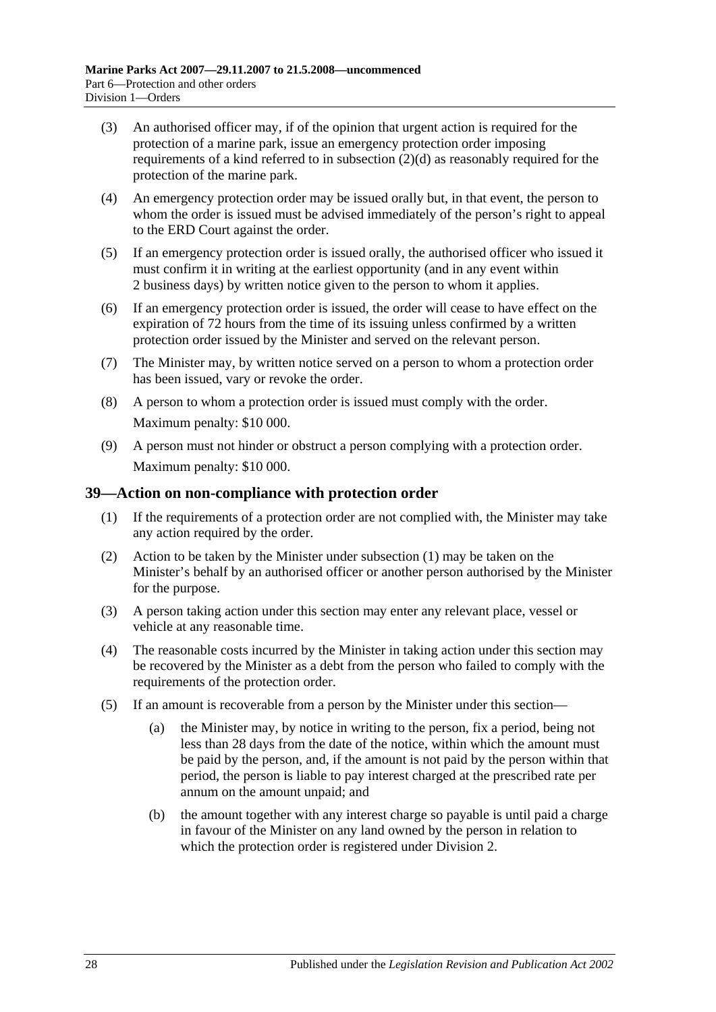- (3) An authorised officer may, if of the opinion that urgent action is required for the protection of a marine park, issue an emergency protection order imposing requirements of a kind referred to in [subsection](#page-26-3) (2)(d) as reasonably required for the protection of the marine park.
- (4) An emergency protection order may be issued orally but, in that event, the person to whom the order is issued must be advised immediately of the person's right to appeal to the ERD Court against the order.
- (5) If an emergency protection order is issued orally, the authorised officer who issued it must confirm it in writing at the earliest opportunity (and in any event within 2 business days) by written notice given to the person to whom it applies.
- (6) If an emergency protection order is issued, the order will cease to have effect on the expiration of 72 hours from the time of its issuing unless confirmed by a written protection order issued by the Minister and served on the relevant person.
- (7) The Minister may, by written notice served on a person to whom a protection order has been issued, vary or revoke the order.
- (8) A person to whom a protection order is issued must comply with the order. Maximum penalty: \$10 000.
- (9) A person must not hinder or obstruct a person complying with a protection order. Maximum penalty: \$10 000.

# <span id="page-27-1"></span><span id="page-27-0"></span>**39—Action on non-compliance with protection order**

- (1) If the requirements of a protection order are not complied with, the Minister may take any action required by the order.
- (2) Action to be taken by the Minister under [subsection](#page-27-1) (1) may be taken on the Minister's behalf by an authorised officer or another person authorised by the Minister for the purpose.
- (3) A person taking action under this section may enter any relevant place, vessel or vehicle at any reasonable time.
- (4) The reasonable costs incurred by the Minister in taking action under this section may be recovered by the Minister as a debt from the person who failed to comply with the requirements of the protection order.
- (5) If an amount is recoverable from a person by the Minister under this section—
	- (a) the Minister may, by notice in writing to the person, fix a period, being not less than 28 days from the date of the notice, within which the amount must be paid by the person, and, if the amount is not paid by the person within that period, the person is liable to pay interest charged at the prescribed rate per annum on the amount unpaid; and
	- (b) the amount together with any interest charge so payable is until paid a charge in favour of the Minister on any land owned by the person in relation to which the protection order is registered under [Division 2.](#page-31-0)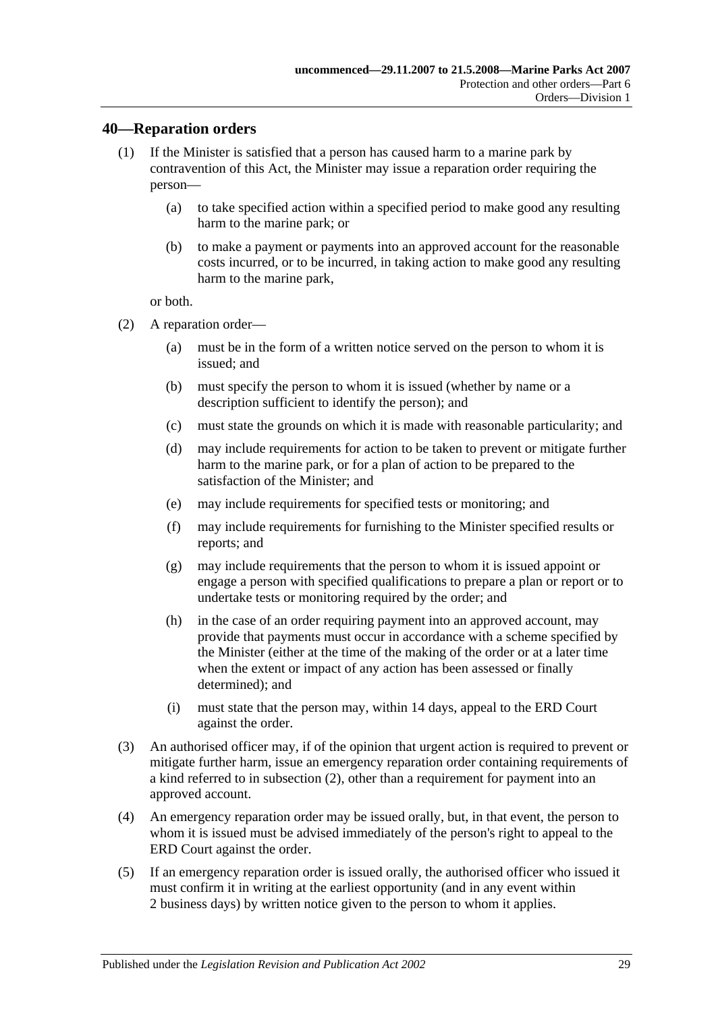## <span id="page-28-0"></span>**40—Reparation orders**

- (1) If the Minister is satisfied that a person has caused harm to a marine park by contravention of this Act, the Minister may issue a reparation order requiring the person—
	- (a) to take specified action within a specified period to make good any resulting harm to the marine park; or
	- (b) to make a payment or payments into an approved account for the reasonable costs incurred, or to be incurred, in taking action to make good any resulting harm to the marine park,

or both.

- <span id="page-28-1"></span>(2) A reparation order—
	- (a) must be in the form of a written notice served on the person to whom it is issued; and
	- (b) must specify the person to whom it is issued (whether by name or a description sufficient to identify the person); and
	- (c) must state the grounds on which it is made with reasonable particularity; and
	- (d) may include requirements for action to be taken to prevent or mitigate further harm to the marine park, or for a plan of action to be prepared to the satisfaction of the Minister; and
	- (e) may include requirements for specified tests or monitoring; and
	- (f) may include requirements for furnishing to the Minister specified results or reports; and
	- (g) may include requirements that the person to whom it is issued appoint or engage a person with specified qualifications to prepare a plan or report or to undertake tests or monitoring required by the order; and
	- (h) in the case of an order requiring payment into an approved account, may provide that payments must occur in accordance with a scheme specified by the Minister (either at the time of the making of the order or at a later time when the extent or impact of any action has been assessed or finally determined); and
	- (i) must state that the person may, within 14 days, appeal to the ERD Court against the order.
- (3) An authorised officer may, if of the opinion that urgent action is required to prevent or mitigate further harm, issue an emergency reparation order containing requirements of a kind referred to in [subsection](#page-28-1) (2), other than a requirement for payment into an approved account.
- (4) An emergency reparation order may be issued orally, but, in that event, the person to whom it is issued must be advised immediately of the person's right to appeal to the ERD Court against the order.
- (5) If an emergency reparation order is issued orally, the authorised officer who issued it must confirm it in writing at the earliest opportunity (and in any event within 2 business days) by written notice given to the person to whom it applies.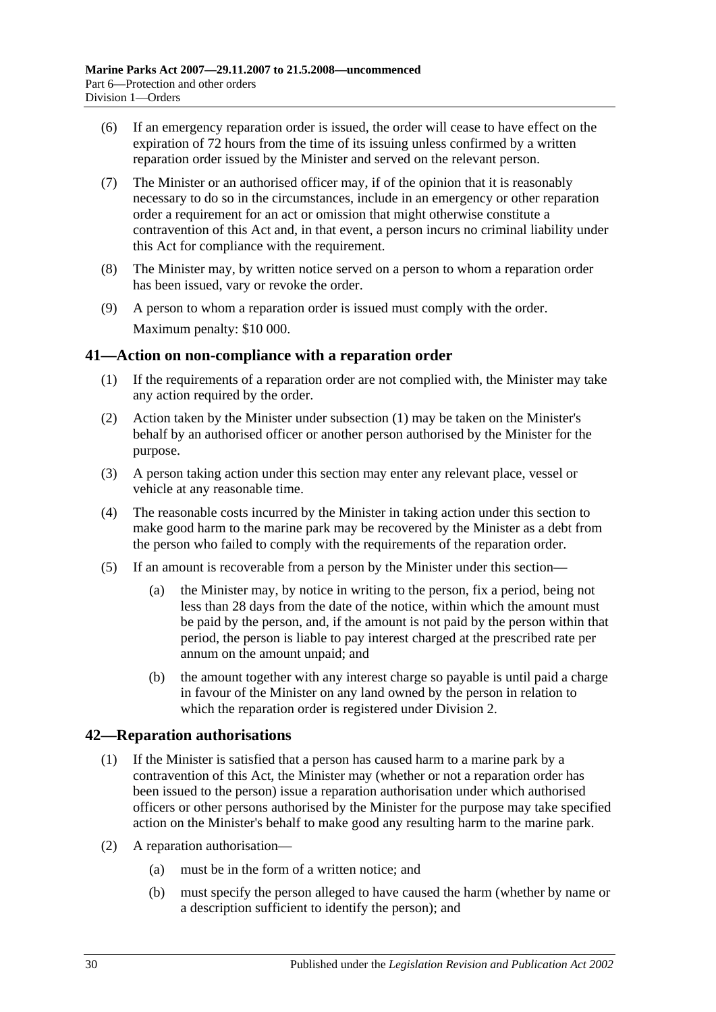- (6) If an emergency reparation order is issued, the order will cease to have effect on the expiration of 72 hours from the time of its issuing unless confirmed by a written reparation order issued by the Minister and served on the relevant person.
- (7) The Minister or an authorised officer may, if of the opinion that it is reasonably necessary to do so in the circumstances, include in an emergency or other reparation order a requirement for an act or omission that might otherwise constitute a contravention of this Act and, in that event, a person incurs no criminal liability under this Act for compliance with the requirement.
- (8) The Minister may, by written notice served on a person to whom a reparation order has been issued, vary or revoke the order.
- (9) A person to whom a reparation order is issued must comply with the order. Maximum penalty: \$10 000.

# <span id="page-29-2"></span><span id="page-29-0"></span>**41—Action on non-compliance with a reparation order**

- (1) If the requirements of a reparation order are not complied with, the Minister may take any action required by the order.
- (2) Action taken by the Minister under [subsection](#page-29-2) (1) may be taken on the Minister's behalf by an authorised officer or another person authorised by the Minister for the purpose.
- (3) A person taking action under this section may enter any relevant place, vessel or vehicle at any reasonable time.
- (4) The reasonable costs incurred by the Minister in taking action under this section to make good harm to the marine park may be recovered by the Minister as a debt from the person who failed to comply with the requirements of the reparation order.
- (5) If an amount is recoverable from a person by the Minister under this section—
	- (a) the Minister may, by notice in writing to the person, fix a period, being not less than 28 days from the date of the notice, within which the amount must be paid by the person, and, if the amount is not paid by the person within that period, the person is liable to pay interest charged at the prescribed rate per annum on the amount unpaid; and
	- (b) the amount together with any interest charge so payable is until paid a charge in favour of the Minister on any land owned by the person in relation to which the reparation order is registered under [Division 2.](#page-31-0)

# <span id="page-29-3"></span><span id="page-29-1"></span>**42—Reparation authorisations**

- (1) If the Minister is satisfied that a person has caused harm to a marine park by a contravention of this Act, the Minister may (whether or not a reparation order has been issued to the person) issue a reparation authorisation under which authorised officers or other persons authorised by the Minister for the purpose may take specified action on the Minister's behalf to make good any resulting harm to the marine park.
- (2) A reparation authorisation—
	- (a) must be in the form of a written notice; and
	- (b) must specify the person alleged to have caused the harm (whether by name or a description sufficient to identify the person); and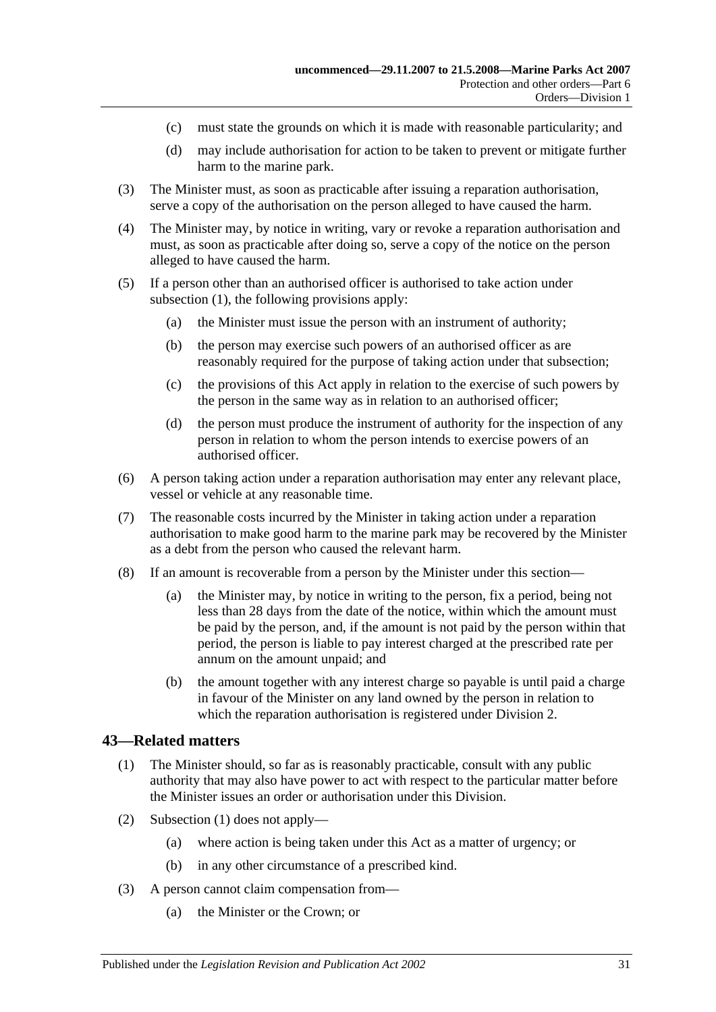- (c) must state the grounds on which it is made with reasonable particularity; and
- (d) may include authorisation for action to be taken to prevent or mitigate further harm to the marine park.
- (3) The Minister must, as soon as practicable after issuing a reparation authorisation, serve a copy of the authorisation on the person alleged to have caused the harm.
- (4) The Minister may, by notice in writing, vary or revoke a reparation authorisation and must, as soon as practicable after doing so, serve a copy of the notice on the person alleged to have caused the harm.
- (5) If a person other than an authorised officer is authorised to take action under [subsection](#page-29-3) (1), the following provisions apply:
	- (a) the Minister must issue the person with an instrument of authority;
	- (b) the person may exercise such powers of an authorised officer as are reasonably required for the purpose of taking action under that subsection;
	- (c) the provisions of this Act apply in relation to the exercise of such powers by the person in the same way as in relation to an authorised officer;
	- (d) the person must produce the instrument of authority for the inspection of any person in relation to whom the person intends to exercise powers of an authorised officer.
- (6) A person taking action under a reparation authorisation may enter any relevant place, vessel or vehicle at any reasonable time.
- (7) The reasonable costs incurred by the Minister in taking action under a reparation authorisation to make good harm to the marine park may be recovered by the Minister as a debt from the person who caused the relevant harm.
- (8) If an amount is recoverable from a person by the Minister under this section—
	- (a) the Minister may, by notice in writing to the person, fix a period, being not less than 28 days from the date of the notice, within which the amount must be paid by the person, and, if the amount is not paid by the person within that period, the person is liable to pay interest charged at the prescribed rate per annum on the amount unpaid; and
	- (b) the amount together with any interest charge so payable is until paid a charge in favour of the Minister on any land owned by the person in relation to which the reparation authorisation is registered under [Division 2.](#page-31-0)

### <span id="page-30-1"></span><span id="page-30-0"></span>**43—Related matters**

- (1) The Minister should, so far as is reasonably practicable, consult with any public authority that may also have power to act with respect to the particular matter before the Minister issues an order or authorisation under this Division.
- (2) [Subsection](#page-30-1) (1) does not apply—
	- (a) where action is being taken under this Act as a matter of urgency; or
	- (b) in any other circumstance of a prescribed kind.
- (3) A person cannot claim compensation from—
	- (a) the Minister or the Crown; or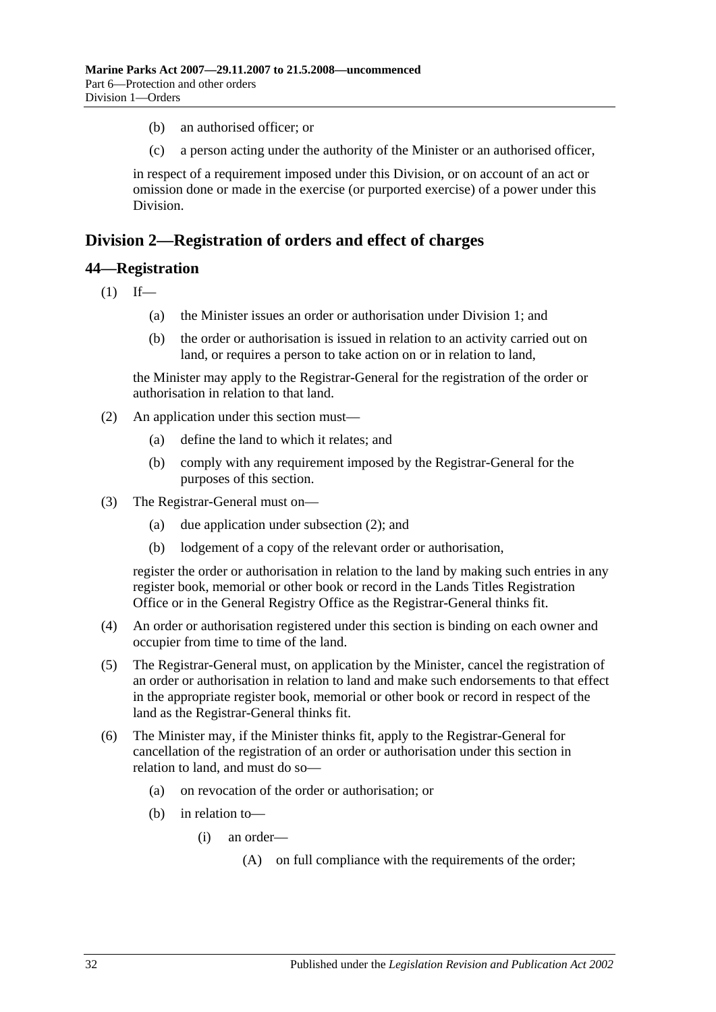- (b) an authorised officer; or
- (c) a person acting under the authority of the Minister or an authorised officer,

in respect of a requirement imposed under this Division, or on account of an act or omission done or made in the exercise (or purported exercise) of a power under this Division.

# <span id="page-31-0"></span>**Division 2—Registration of orders and effect of charges**

## <span id="page-31-1"></span>**44—Registration**

 $(1)$  If—

- (a) the Minister issues an order or authorisation under [Division 1;](#page-26-1) and
- (b) the order or authorisation is issued in relation to an activity carried out on land, or requires a person to take action on or in relation to land,

the Minister may apply to the Registrar-General for the registration of the order or authorisation in relation to that land.

- <span id="page-31-2"></span>(2) An application under this section must—
	- (a) define the land to which it relates; and
	- (b) comply with any requirement imposed by the Registrar-General for the purposes of this section.
- (3) The Registrar-General must on—
	- (a) due application under [subsection](#page-31-2) (2); and
	- (b) lodgement of a copy of the relevant order or authorisation,

register the order or authorisation in relation to the land by making such entries in any register book, memorial or other book or record in the Lands Titles Registration Office or in the General Registry Office as the Registrar-General thinks fit.

- (4) An order or authorisation registered under this section is binding on each owner and occupier from time to time of the land.
- (5) The Registrar-General must, on application by the Minister, cancel the registration of an order or authorisation in relation to land and make such endorsements to that effect in the appropriate register book, memorial or other book or record in respect of the land as the Registrar-General thinks fit.
- (6) The Minister may, if the Minister thinks fit, apply to the Registrar-General for cancellation of the registration of an order or authorisation under this section in relation to land, and must do so—
	- (a) on revocation of the order or authorisation; or
	- (b) in relation to—
		- (i) an order—
			- (A) on full compliance with the requirements of the order;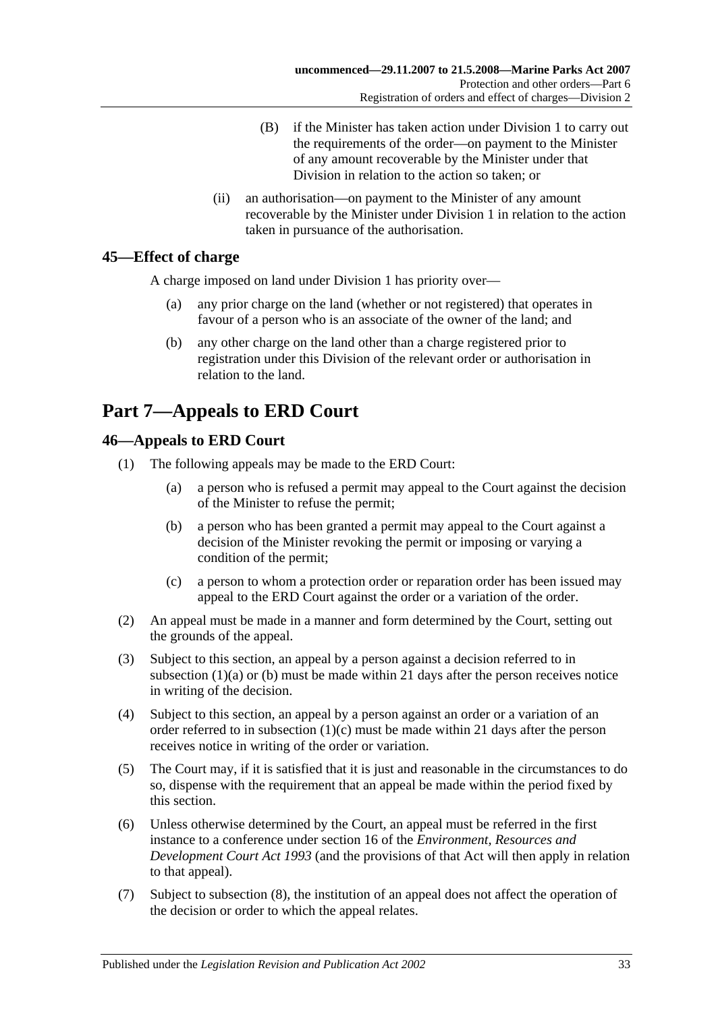- (B) if the Minister has taken action under [Division 1](#page-26-1) to carry out the requirements of the order—on payment to the Minister of any amount recoverable by the Minister under that Division in relation to the action so taken; or
- (ii) an authorisation—on payment to the Minister of any amount recoverable by the Minister under [Division 1](#page-26-1) in relation to the action taken in pursuance of the authorisation.

# <span id="page-32-0"></span>**45—Effect of charge**

A charge imposed on land under [Division 1](#page-26-1) has priority over—

- (a) any prior charge on the land (whether or not registered) that operates in favour of a person who is an associate of the owner of the land; and
- (b) any other charge on the land other than a charge registered prior to registration under this Division of the relevant order or authorisation in relation to the land.

# <span id="page-32-1"></span>**Part 7—Appeals to ERD Court**

# <span id="page-32-2"></span>**46—Appeals to ERD Court**

- <span id="page-32-4"></span><span id="page-32-3"></span>(1) The following appeals may be made to the ERD Court:
	- (a) a person who is refused a permit may appeal to the Court against the decision of the Minister to refuse the permit;
	- (b) a person who has been granted a permit may appeal to the Court against a decision of the Minister revoking the permit or imposing or varying a condition of the permit;
	- (c) a person to whom a protection order or reparation order has been issued may appeal to the ERD Court against the order or a variation of the order.
- <span id="page-32-5"></span>(2) An appeal must be made in a manner and form determined by the Court, setting out the grounds of the appeal.
- (3) Subject to this section, an appeal by a person against a decision referred to in [subsection](#page-32-3)  $(1)(a)$  or  $(b)$  must be made within 21 days after the person receives notice in writing of the decision.
- (4) Subject to this section, an appeal by a person against an order or a variation of an order referred to in [subsection](#page-32-5)  $(1)(c)$  must be made within 21 days after the person receives notice in writing of the order or variation.
- (5) The Court may, if it is satisfied that it is just and reasonable in the circumstances to do so, dispense with the requirement that an appeal be made within the period fixed by this section.
- (6) Unless otherwise determined by the Court, an appeal must be referred in the first instance to a conference under section 16 of the *[Environment, Resources and](http://www.legislation.sa.gov.au/index.aspx?action=legref&type=act&legtitle=Environment%20Resources%20and%20Development%20Court%20Act%201993)  [Development Court Act](http://www.legislation.sa.gov.au/index.aspx?action=legref&type=act&legtitle=Environment%20Resources%20and%20Development%20Court%20Act%201993) 1993* (and the provisions of that Act will then apply in relation to that appeal).
- (7) Subject to [subsection](#page-33-2) (8), the institution of an appeal does not affect the operation of the decision or order to which the appeal relates.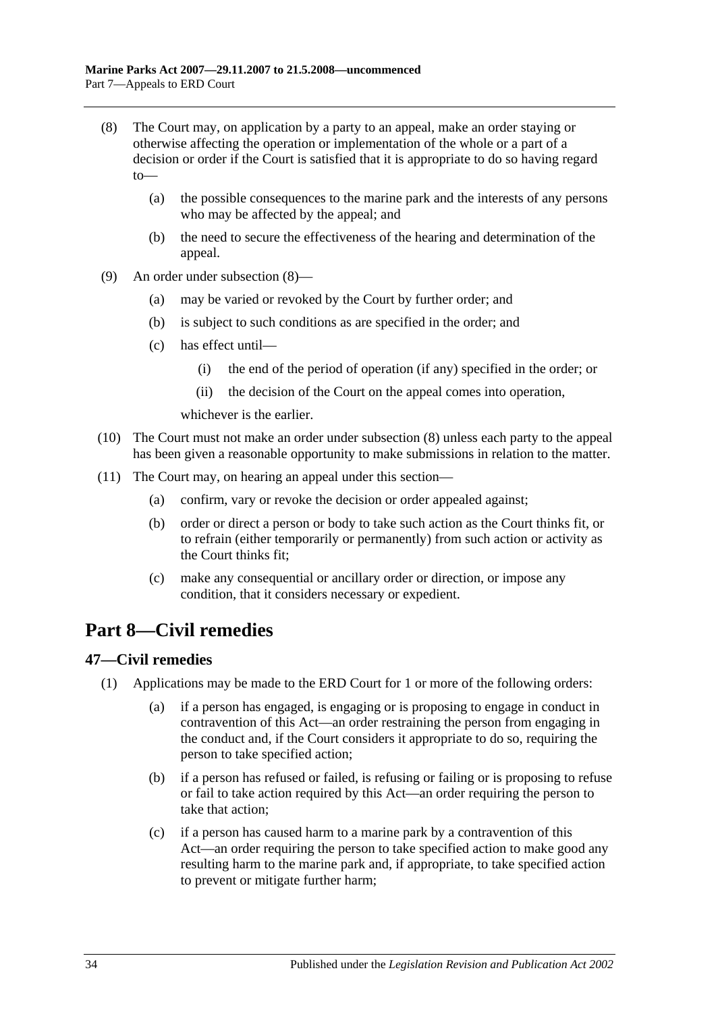- <span id="page-33-2"></span>(8) The Court may, on application by a party to an appeal, make an order staying or otherwise affecting the operation or implementation of the whole or a part of a decision or order if the Court is satisfied that it is appropriate to do so having regard to—
	- (a) the possible consequences to the marine park and the interests of any persons who may be affected by the appeal; and
	- (b) the need to secure the effectiveness of the hearing and determination of the appeal.
- (9) An order under [subsection](#page-33-2) (8)—
	- (a) may be varied or revoked by the Court by further order; and
	- (b) is subject to such conditions as are specified in the order; and
	- (c) has effect until—
		- (i) the end of the period of operation (if any) specified in the order; or
		- (ii) the decision of the Court on the appeal comes into operation,

whichever is the earlier.

- (10) The Court must not make an order under [subsection](#page-33-2) (8) unless each party to the appeal has been given a reasonable opportunity to make submissions in relation to the matter.
- (11) The Court may, on hearing an appeal under this section—
	- (a) confirm, vary or revoke the decision or order appealed against;
	- (b) order or direct a person or body to take such action as the Court thinks fit, or to refrain (either temporarily or permanently) from such action or activity as the Court thinks fit;
	- (c) make any consequential or ancillary order or direction, or impose any condition, that it considers necessary or expedient.

# <span id="page-33-0"></span>**Part 8—Civil remedies**

# <span id="page-33-3"></span><span id="page-33-1"></span>**47—Civil remedies**

- (1) Applications may be made to the ERD Court for 1 or more of the following orders:
	- (a) if a person has engaged, is engaging or is proposing to engage in conduct in contravention of this Act—an order restraining the person from engaging in the conduct and, if the Court considers it appropriate to do so, requiring the person to take specified action;
	- (b) if a person has refused or failed, is refusing or failing or is proposing to refuse or fail to take action required by this Act—an order requiring the person to take that action;
	- (c) if a person has caused harm to a marine park by a contravention of this Act—an order requiring the person to take specified action to make good any resulting harm to the marine park and, if appropriate, to take specified action to prevent or mitigate further harm;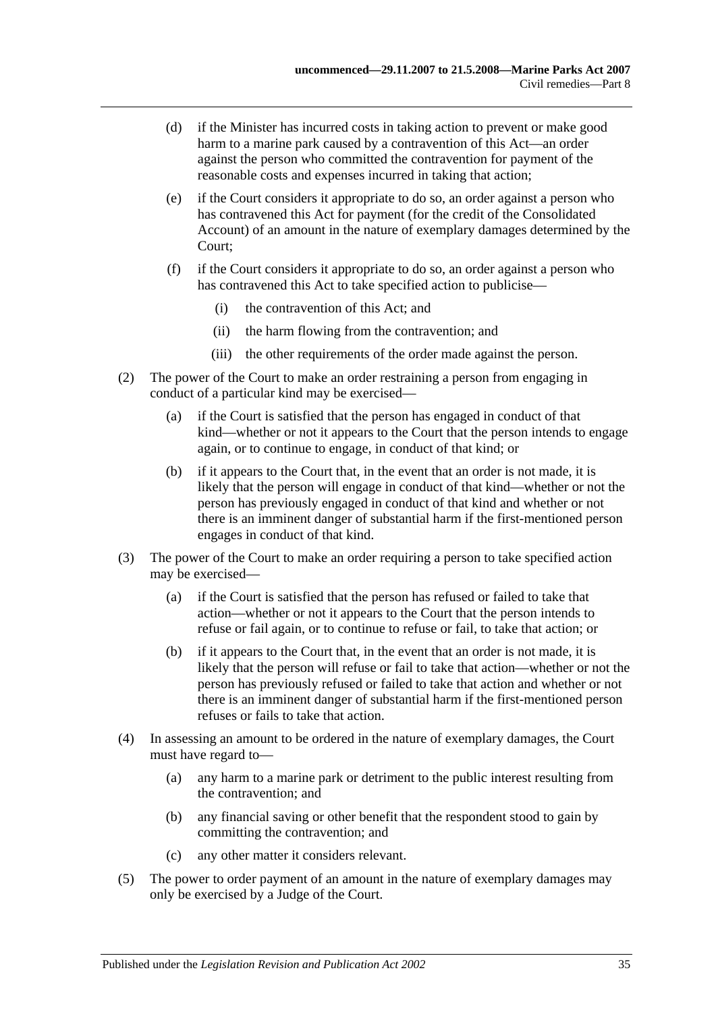- (d) if the Minister has incurred costs in taking action to prevent or make good harm to a marine park caused by a contravention of this Act—an order against the person who committed the contravention for payment of the reasonable costs and expenses incurred in taking that action;
- (e) if the Court considers it appropriate to do so, an order against a person who has contravened this Act for payment (for the credit of the Consolidated Account) of an amount in the nature of exemplary damages determined by the Court;
- (f) if the Court considers it appropriate to do so, an order against a person who has contravened this Act to take specified action to publicise—
	- (i) the contravention of this Act; and
	- (ii) the harm flowing from the contravention; and
	- (iii) the other requirements of the order made against the person.
- (2) The power of the Court to make an order restraining a person from engaging in conduct of a particular kind may be exercised—
	- (a) if the Court is satisfied that the person has engaged in conduct of that kind—whether or not it appears to the Court that the person intends to engage again, or to continue to engage, in conduct of that kind; or
	- (b) if it appears to the Court that, in the event that an order is not made, it is likely that the person will engage in conduct of that kind—whether or not the person has previously engaged in conduct of that kind and whether or not there is an imminent danger of substantial harm if the first-mentioned person engages in conduct of that kind.
- (3) The power of the Court to make an order requiring a person to take specified action may be exercised—
	- (a) if the Court is satisfied that the person has refused or failed to take that action—whether or not it appears to the Court that the person intends to refuse or fail again, or to continue to refuse or fail, to take that action; or
	- (b) if it appears to the Court that, in the event that an order is not made, it is likely that the person will refuse or fail to take that action—whether or not the person has previously refused or failed to take that action and whether or not there is an imminent danger of substantial harm if the first-mentioned person refuses or fails to take that action.
- (4) In assessing an amount to be ordered in the nature of exemplary damages, the Court must have regard to—
	- (a) any harm to a marine park or detriment to the public interest resulting from the contravention; and
	- (b) any financial saving or other benefit that the respondent stood to gain by committing the contravention; and
	- (c) any other matter it considers relevant.
- (5) The power to order payment of an amount in the nature of exemplary damages may only be exercised by a Judge of the Court.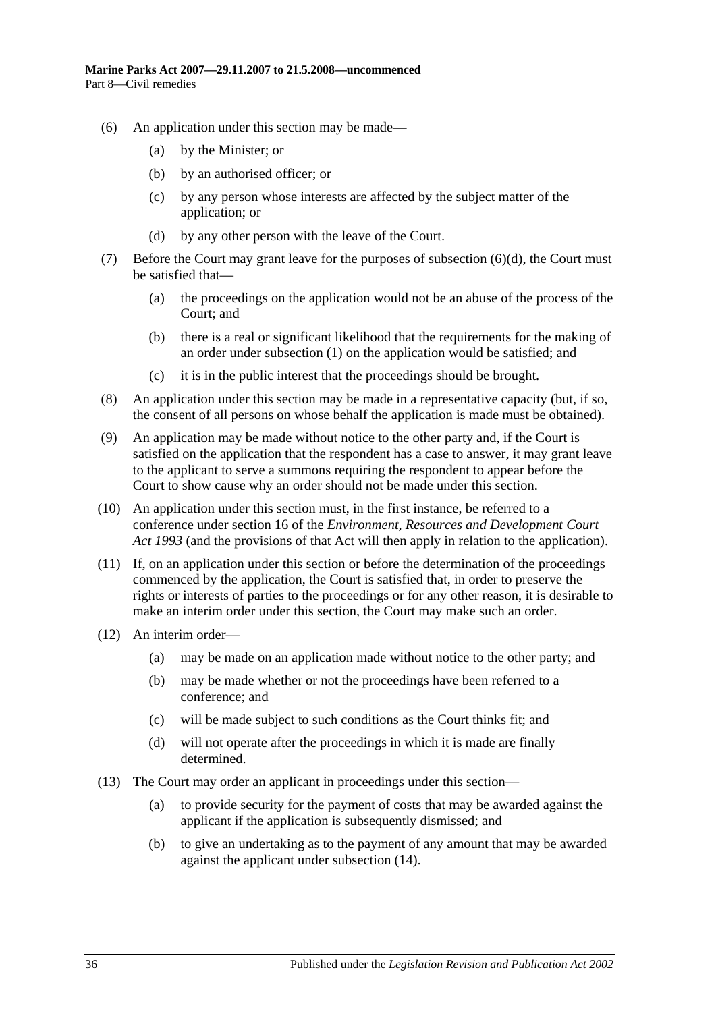- (6) An application under this section may be made—
	- (a) by the Minister; or
	- (b) by an authorised officer; or
	- (c) by any person whose interests are affected by the subject matter of the application; or
	- (d) by any other person with the leave of the Court.
- <span id="page-35-0"></span>(7) Before the Court may grant leave for the purposes of [subsection](#page-35-0) (6)(d), the Court must be satisfied that—
	- (a) the proceedings on the application would not be an abuse of the process of the Court; and
	- (b) there is a real or significant likelihood that the requirements for the making of an order under [subsection](#page-33-3) (1) on the application would be satisfied; and
	- (c) it is in the public interest that the proceedings should be brought.
- (8) An application under this section may be made in a representative capacity (but, if so, the consent of all persons on whose behalf the application is made must be obtained).
- (9) An application may be made without notice to the other party and, if the Court is satisfied on the application that the respondent has a case to answer, it may grant leave to the applicant to serve a summons requiring the respondent to appear before the Court to show cause why an order should not be made under this section.
- (10) An application under this section must, in the first instance, be referred to a conference under section 16 of the *[Environment, Resources and Development Court](http://www.legislation.sa.gov.au/index.aspx?action=legref&type=act&legtitle=Environment%20Resources%20and%20Development%20Court%20Act%201993)  Act [1993](http://www.legislation.sa.gov.au/index.aspx?action=legref&type=act&legtitle=Environment%20Resources%20and%20Development%20Court%20Act%201993)* (and the provisions of that Act will then apply in relation to the application).
- (11) If, on an application under this section or before the determination of the proceedings commenced by the application, the Court is satisfied that, in order to preserve the rights or interests of parties to the proceedings or for any other reason, it is desirable to make an interim order under this section, the Court may make such an order.
- (12) An interim order—
	- (a) may be made on an application made without notice to the other party; and
	- (b) may be made whether or not the proceedings have been referred to a conference; and
	- (c) will be made subject to such conditions as the Court thinks fit; and
	- (d) will not operate after the proceedings in which it is made are finally determined.
- (13) The Court may order an applicant in proceedings under this section—
	- (a) to provide security for the payment of costs that may be awarded against the applicant if the application is subsequently dismissed; and
	- (b) to give an undertaking as to the payment of any amount that may be awarded against the applicant under [subsection](#page-36-2) (14).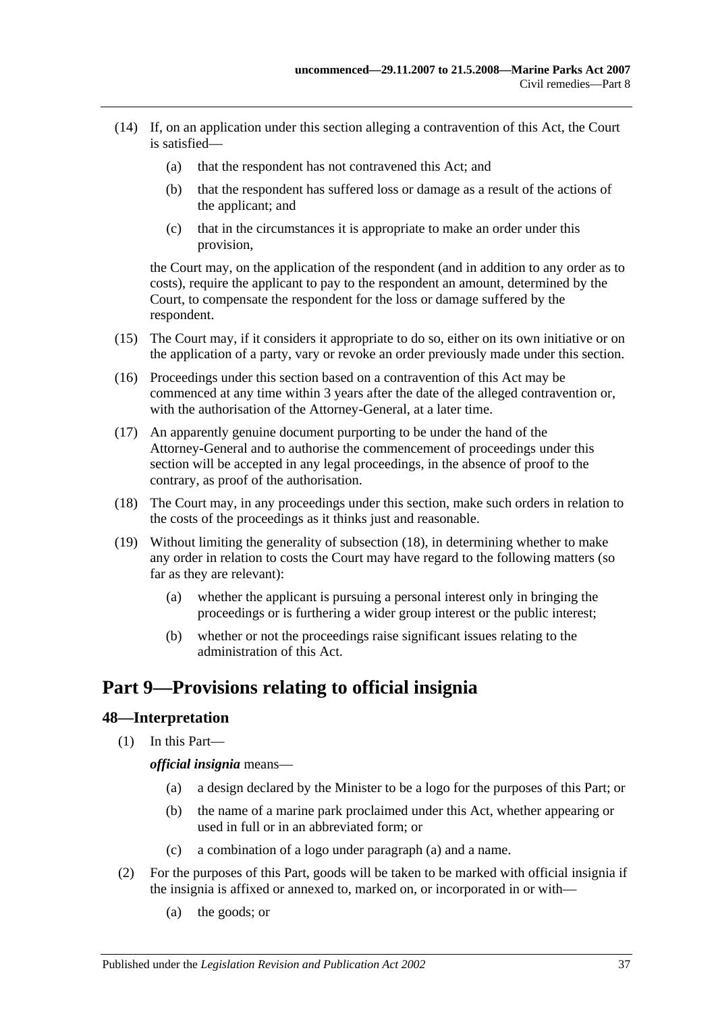- <span id="page-36-2"></span>(14) If, on an application under this section alleging a contravention of this Act, the Court is satisfied—
	- (a) that the respondent has not contravened this Act; and
	- (b) that the respondent has suffered loss or damage as a result of the actions of the applicant; and
	- (c) that in the circumstances it is appropriate to make an order under this provision,

the Court may, on the application of the respondent (and in addition to any order as to costs), require the applicant to pay to the respondent an amount, determined by the Court, to compensate the respondent for the loss or damage suffered by the respondent.

- (15) The Court may, if it considers it appropriate to do so, either on its own initiative or on the application of a party, vary or revoke an order previously made under this section.
- (16) Proceedings under this section based on a contravention of this Act may be commenced at any time within 3 years after the date of the alleged contravention or, with the authorisation of the Attorney-General, at a later time.
- (17) An apparently genuine document purporting to be under the hand of the Attorney-General and to authorise the commencement of proceedings under this section will be accepted in any legal proceedings, in the absence of proof to the contrary, as proof of the authorisation.
- <span id="page-36-3"></span>(18) The Court may, in any proceedings under this section, make such orders in relation to the costs of the proceedings as it thinks just and reasonable.
- (19) Without limiting the generality of [subsection](#page-36-3) (18), in determining whether to make any order in relation to costs the Court may have regard to the following matters (so far as they are relevant):
	- (a) whether the applicant is pursuing a personal interest only in bringing the proceedings or is furthering a wider group interest or the public interest;
	- (b) whether or not the proceedings raise significant issues relating to the administration of this Act.

# <span id="page-36-0"></span>**Part 9—Provisions relating to official insignia**

# <span id="page-36-1"></span>**48—Interpretation**

<span id="page-36-4"></span>(1) In this Part—

*official insignia* means—

- (a) a design declared by the Minister to be a logo for the purposes of this Part; or
- (b) the name of a marine park proclaimed under this Act, whether appearing or used in full or in an abbreviated form; or
- (c) a combination of a logo under [paragraph](#page-36-4) (a) and a name.
- (2) For the purposes of this Part, goods will be taken to be marked with official insignia if the insignia is affixed or annexed to, marked on, or incorporated in or with—
	- (a) the goods; or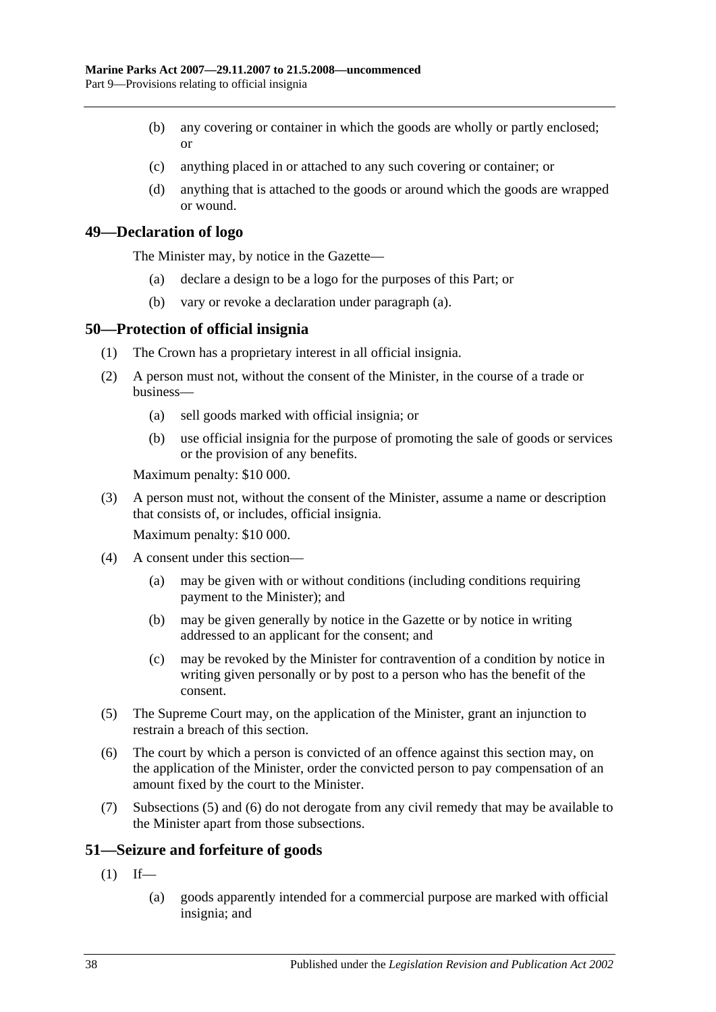- (b) any covering or container in which the goods are wholly or partly enclosed; or
- (c) anything placed in or attached to any such covering or container; or
- (d) anything that is attached to the goods or around which the goods are wrapped or wound.

# <span id="page-37-3"></span><span id="page-37-0"></span>**49—Declaration of logo**

The Minister may, by notice in the Gazette—

- (a) declare a design to be a logo for the purposes of this Part; or
- (b) vary or revoke a declaration under [paragraph](#page-37-3) (a).

## <span id="page-37-1"></span>**50—Protection of official insignia**

- (1) The Crown has a proprietary interest in all official insignia.
- <span id="page-37-6"></span>(2) A person must not, without the consent of the Minister, in the course of a trade or business—
	- (a) sell goods marked with official insignia; or
	- (b) use official insignia for the purpose of promoting the sale of goods or services or the provision of any benefits.

Maximum penalty: \$10 000.

(3) A person must not, without the consent of the Minister, assume a name or description that consists of, or includes, official insignia.

Maximum penalty: \$10 000.

- (4) A consent under this section—
	- (a) may be given with or without conditions (including conditions requiring payment to the Minister); and
	- (b) may be given generally by notice in the Gazette or by notice in writing addressed to an applicant for the consent; and
	- (c) may be revoked by the Minister for contravention of a condition by notice in writing given personally or by post to a person who has the benefit of the consent.
- <span id="page-37-4"></span>(5) The Supreme Court may, on the application of the Minister, grant an injunction to restrain a breach of this section.
- <span id="page-37-5"></span>(6) The court by which a person is convicted of an offence against this section may, on the application of the Minister, order the convicted person to pay compensation of an amount fixed by the court to the Minister.
- (7) [Subsections](#page-37-4) (5) and [\(6\)](#page-37-5) do not derogate from any civil remedy that may be available to the Minister apart from those subsections.

# <span id="page-37-2"></span>**51—Seizure and forfeiture of goods**

- $(1)$  If—
	- (a) goods apparently intended for a commercial purpose are marked with official insignia; and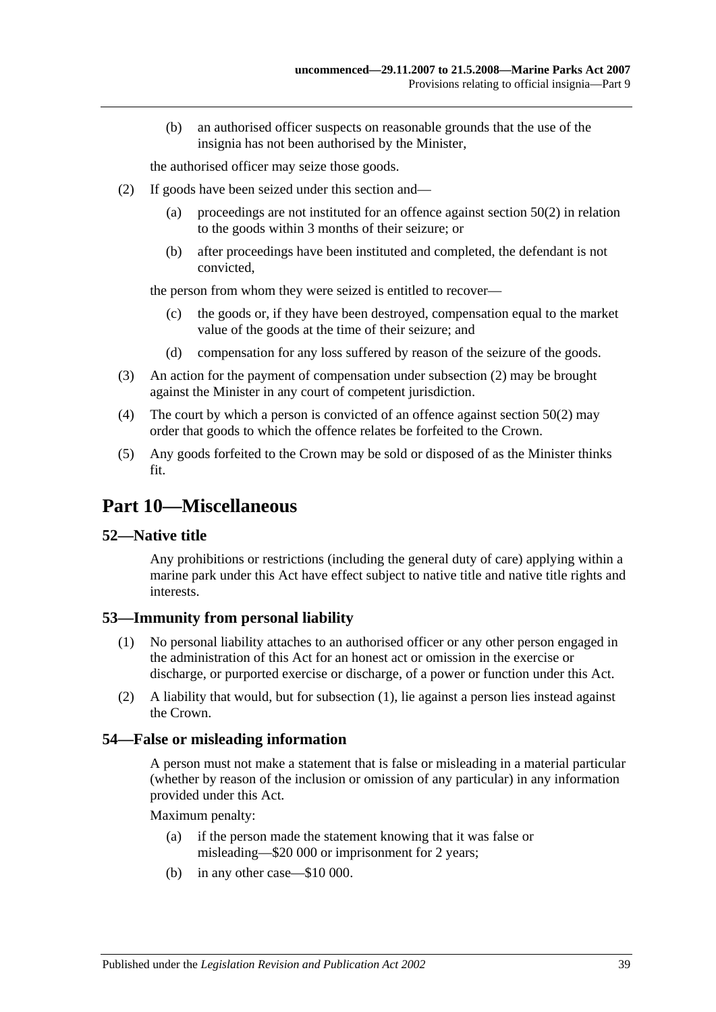(b) an authorised officer suspects on reasonable grounds that the use of the insignia has not been authorised by the Minister,

the authorised officer may seize those goods.

- <span id="page-38-4"></span>(2) If goods have been seized under this section and—
	- (a) proceedings are not instituted for an offence against [section](#page-37-6) 50(2) in relation to the goods within 3 months of their seizure; or
	- (b) after proceedings have been instituted and completed, the defendant is not convicted,

the person from whom they were seized is entitled to recover—

- (c) the goods or, if they have been destroyed, compensation equal to the market value of the goods at the time of their seizure; and
- (d) compensation for any loss suffered by reason of the seizure of the goods.
- (3) An action for the payment of compensation under [subsection](#page-38-4) (2) may be brought against the Minister in any court of competent jurisdiction.
- (4) The court by which a person is convicted of an offence against [section](#page-37-6) 50(2) may order that goods to which the offence relates be forfeited to the Crown.
- (5) Any goods forfeited to the Crown may be sold or disposed of as the Minister thinks fit.

# <span id="page-38-0"></span>**Part 10—Miscellaneous**

# <span id="page-38-1"></span>**52—Native title**

Any prohibitions or restrictions (including the general duty of care) applying within a marine park under this Act have effect subject to native title and native title rights and interests.

# <span id="page-38-5"></span><span id="page-38-2"></span>**53—Immunity from personal liability**

- (1) No personal liability attaches to an authorised officer or any other person engaged in the administration of this Act for an honest act or omission in the exercise or discharge, or purported exercise or discharge, of a power or function under this Act.
- (2) A liability that would, but for [subsection](#page-38-5) (1), lie against a person lies instead against the Crown.

### <span id="page-38-3"></span>**54—False or misleading information**

A person must not make a statement that is false or misleading in a material particular (whether by reason of the inclusion or omission of any particular) in any information provided under this Act.

Maximum penalty:

- (a) if the person made the statement knowing that it was false or misleading—\$20 000 or imprisonment for 2 years;
- (b) in any other case—\$10 000.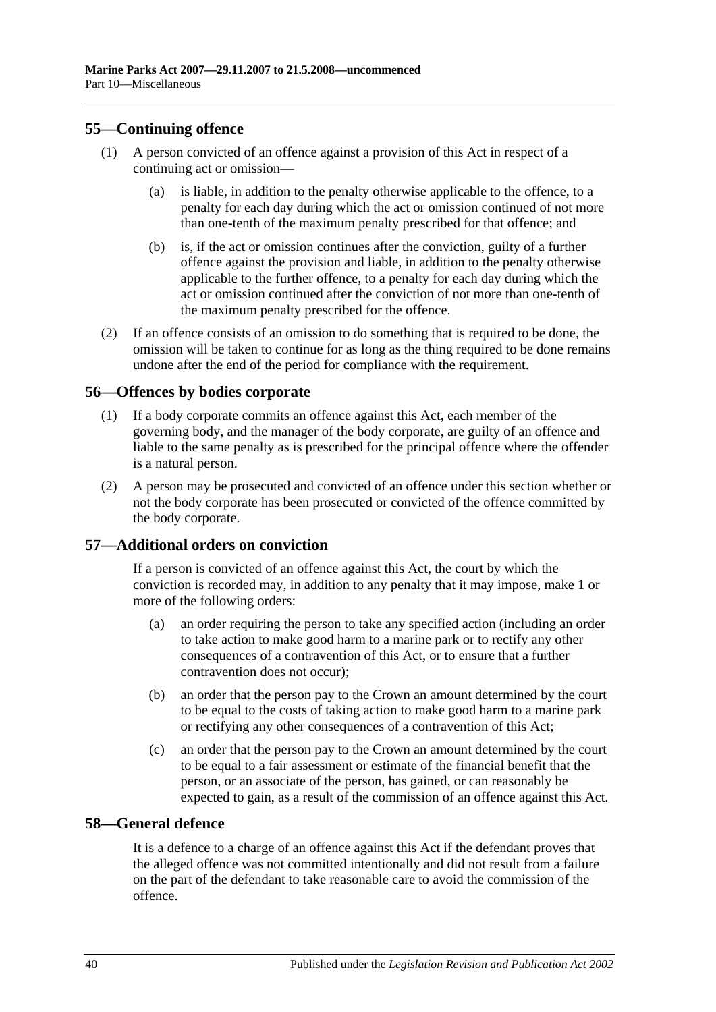# <span id="page-39-0"></span>**55—Continuing offence**

- (1) A person convicted of an offence against a provision of this Act in respect of a continuing act or omission—
	- (a) is liable, in addition to the penalty otherwise applicable to the offence, to a penalty for each day during which the act or omission continued of not more than one-tenth of the maximum penalty prescribed for that offence; and
	- (b) is, if the act or omission continues after the conviction, guilty of a further offence against the provision and liable, in addition to the penalty otherwise applicable to the further offence, to a penalty for each day during which the act or omission continued after the conviction of not more than one-tenth of the maximum penalty prescribed for the offence.
- (2) If an offence consists of an omission to do something that is required to be done, the omission will be taken to continue for as long as the thing required to be done remains undone after the end of the period for compliance with the requirement.

# <span id="page-39-1"></span>**56—Offences by bodies corporate**

- (1) If a body corporate commits an offence against this Act, each member of the governing body, and the manager of the body corporate, are guilty of an offence and liable to the same penalty as is prescribed for the principal offence where the offender is a natural person.
- (2) A person may be prosecuted and convicted of an offence under this section whether or not the body corporate has been prosecuted or convicted of the offence committed by the body corporate.

# <span id="page-39-2"></span>**57—Additional orders on conviction**

If a person is convicted of an offence against this Act, the court by which the conviction is recorded may, in addition to any penalty that it may impose, make 1 or more of the following orders:

- (a) an order requiring the person to take any specified action (including an order to take action to make good harm to a marine park or to rectify any other consequences of a contravention of this Act, or to ensure that a further contravention does not occur);
- (b) an order that the person pay to the Crown an amount determined by the court to be equal to the costs of taking action to make good harm to a marine park or rectifying any other consequences of a contravention of this Act;
- (c) an order that the person pay to the Crown an amount determined by the court to be equal to a fair assessment or estimate of the financial benefit that the person, or an associate of the person, has gained, or can reasonably be expected to gain, as a result of the commission of an offence against this Act.

### <span id="page-39-3"></span>**58—General defence**

It is a defence to a charge of an offence against this Act if the defendant proves that the alleged offence was not committed intentionally and did not result from a failure on the part of the defendant to take reasonable care to avoid the commission of the offence.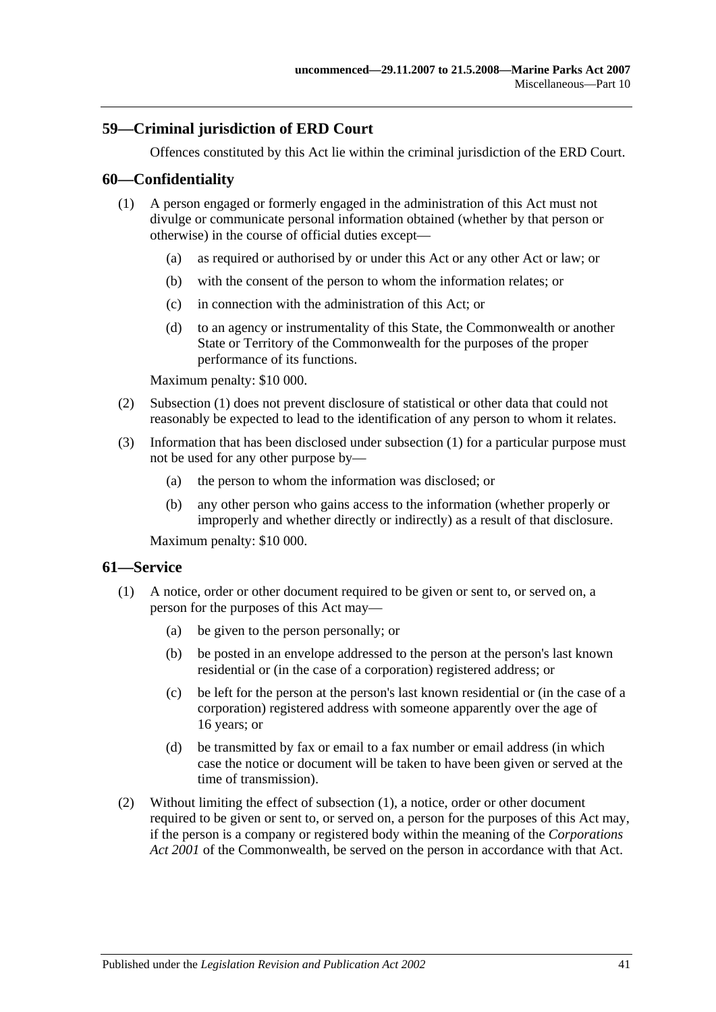# <span id="page-40-0"></span>**59—Criminal jurisdiction of ERD Court**

Offences constituted by this Act lie within the criminal jurisdiction of the ERD Court.

## <span id="page-40-3"></span><span id="page-40-1"></span>**60—Confidentiality**

- (1) A person engaged or formerly engaged in the administration of this Act must not divulge or communicate personal information obtained (whether by that person or otherwise) in the course of official duties except—
	- (a) as required or authorised by or under this Act or any other Act or law; or
	- (b) with the consent of the person to whom the information relates; or
	- (c) in connection with the administration of this Act; or
	- (d) to an agency or instrumentality of this State, the Commonwealth or another State or Territory of the Commonwealth for the purposes of the proper performance of its functions.

Maximum penalty: \$10 000.

- (2) [Subsection](#page-40-3) (1) does not prevent disclosure of statistical or other data that could not reasonably be expected to lead to the identification of any person to whom it relates.
- (3) Information that has been disclosed under [subsection](#page-40-3) (1) for a particular purpose must not be used for any other purpose by—
	- (a) the person to whom the information was disclosed; or
	- (b) any other person who gains access to the information (whether properly or improperly and whether directly or indirectly) as a result of that disclosure.

Maximum penalty: \$10 000.

### <span id="page-40-4"></span><span id="page-40-2"></span>**61—Service**

- (1) A notice, order or other document required to be given or sent to, or served on, a person for the purposes of this Act may—
	- (a) be given to the person personally; or
	- (b) be posted in an envelope addressed to the person at the person's last known residential or (in the case of a corporation) registered address; or
	- (c) be left for the person at the person's last known residential or (in the case of a corporation) registered address with someone apparently over the age of 16 years; or
	- (d) be transmitted by fax or email to a fax number or email address (in which case the notice or document will be taken to have been given or served at the time of transmission).
- (2) Without limiting the effect of [subsection](#page-40-4) (1), a notice, order or other document required to be given or sent to, or served on, a person for the purposes of this Act may, if the person is a company or registered body within the meaning of the *Corporations Act 2001* of the Commonwealth, be served on the person in accordance with that Act.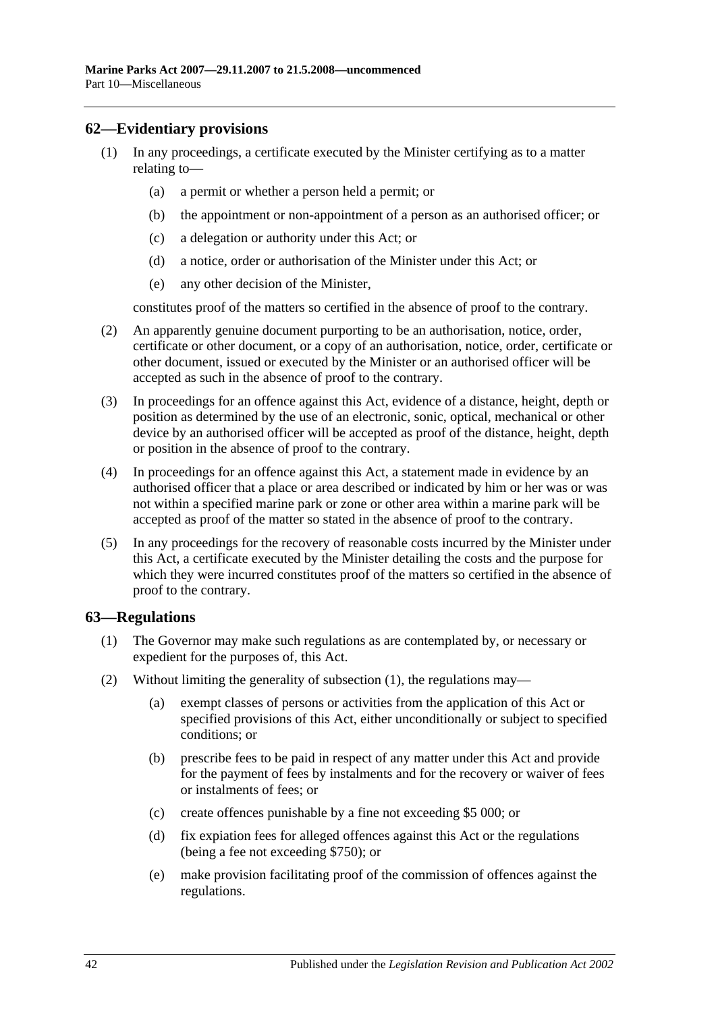# <span id="page-41-0"></span>**62—Evidentiary provisions**

- (1) In any proceedings, a certificate executed by the Minister certifying as to a matter relating to—
	- (a) a permit or whether a person held a permit; or
	- (b) the appointment or non-appointment of a person as an authorised officer; or
	- (c) a delegation or authority under this Act; or
	- (d) a notice, order or authorisation of the Minister under this Act; or
	- (e) any other decision of the Minister,

constitutes proof of the matters so certified in the absence of proof to the contrary.

- (2) An apparently genuine document purporting to be an authorisation, notice, order, certificate or other document, or a copy of an authorisation, notice, order, certificate or other document, issued or executed by the Minister or an authorised officer will be accepted as such in the absence of proof to the contrary.
- (3) In proceedings for an offence against this Act, evidence of a distance, height, depth or position as determined by the use of an electronic, sonic, optical, mechanical or other device by an authorised officer will be accepted as proof of the distance, height, depth or position in the absence of proof to the contrary.
- (4) In proceedings for an offence against this Act, a statement made in evidence by an authorised officer that a place or area described or indicated by him or her was or was not within a specified marine park or zone or other area within a marine park will be accepted as proof of the matter so stated in the absence of proof to the contrary.
- (5) In any proceedings for the recovery of reasonable costs incurred by the Minister under this Act, a certificate executed by the Minister detailing the costs and the purpose for which they were incurred constitutes proof of the matters so certified in the absence of proof to the contrary.

# <span id="page-41-2"></span><span id="page-41-1"></span>**63—Regulations**

- (1) The Governor may make such regulations as are contemplated by, or necessary or expedient for the purposes of, this Act.
- (2) Without limiting the generality of [subsection](#page-41-2) (1), the regulations may—
	- (a) exempt classes of persons or activities from the application of this Act or specified provisions of this Act, either unconditionally or subject to specified conditions; or
	- (b) prescribe fees to be paid in respect of any matter under this Act and provide for the payment of fees by instalments and for the recovery or waiver of fees or instalments of fees; or
	- (c) create offences punishable by a fine not exceeding \$5 000; or
	- (d) fix expiation fees for alleged offences against this Act or the regulations (being a fee not exceeding \$750); or
	- (e) make provision facilitating proof of the commission of offences against the regulations.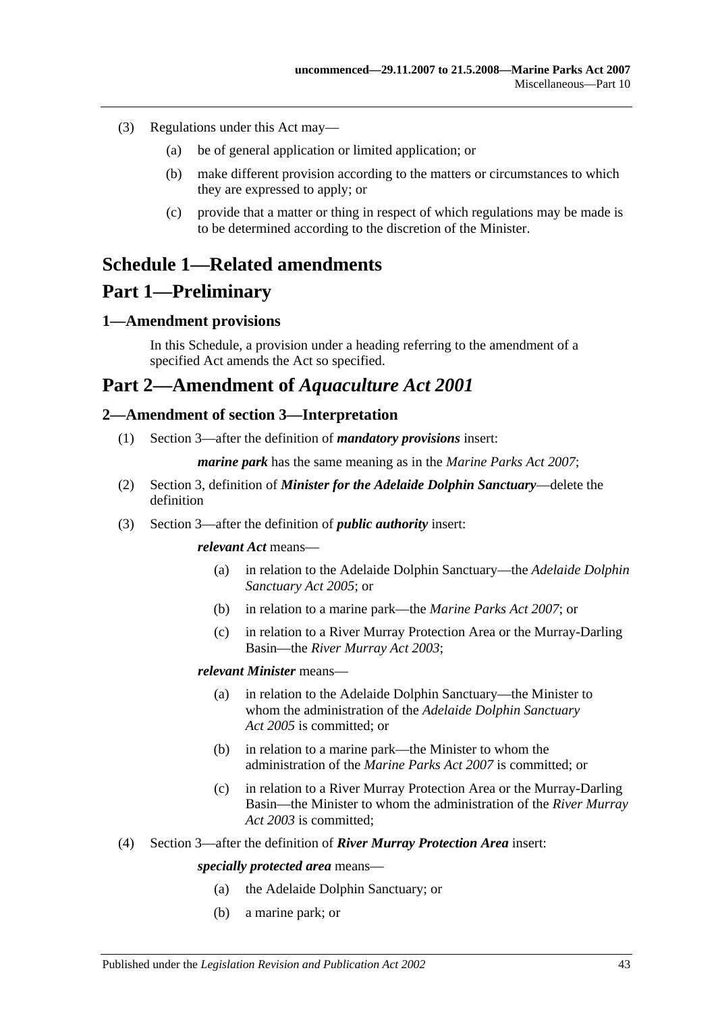- (3) Regulations under this Act may—
	- (a) be of general application or limited application; or
	- (b) make different provision according to the matters or circumstances to which they are expressed to apply; or
	- (c) provide that a matter or thing in respect of which regulations may be made is to be determined according to the discretion of the Minister.

# <span id="page-42-0"></span>**Schedule 1—Related amendments**

# **Part 1—Preliminary**

# <span id="page-42-1"></span>**1—Amendment provisions**

In this Schedule, a provision under a heading referring to the amendment of a specified Act amends the Act so specified.

# **Part 2—Amendment of** *Aquaculture Act 2001*

# <span id="page-42-2"></span>**2—Amendment of section 3—Interpretation**

(1) Section 3—after the definition of *mandatory provisions* insert:

*marine park* has the same meaning as in the *[Marine Parks Act 2007](http://www.legislation.sa.gov.au/index.aspx?action=legref&type=act&legtitle=Marine%20Parks%20Act%202007)*;

- (2) Section 3, definition of *Minister for the Adelaide Dolphin Sanctuary*—delete the definition
- (3) Section 3—after the definition of *public authority* insert:

*relevant Act* means—

- (a) in relation to the Adelaide Dolphin Sanctuary—the *[Adelaide Dolphin](http://www.legislation.sa.gov.au/index.aspx?action=legref&type=act&legtitle=Adelaide%20Dolphin%20Sanctuary%20Act%202005)  [Sanctuary Act](http://www.legislation.sa.gov.au/index.aspx?action=legref&type=act&legtitle=Adelaide%20Dolphin%20Sanctuary%20Act%202005) 2005*; or
- (b) in relation to a marine park—the *[Marine Parks Act 2007](http://www.legislation.sa.gov.au/index.aspx?action=legref&type=act&legtitle=Marine%20Parks%20Act%202007)*; or
- (c) in relation to a River Murray Protection Area or the Murray-Darling Basin—the *[River Murray Act](http://www.legislation.sa.gov.au/index.aspx?action=legref&type=act&legtitle=River%20Murray%20Act%202003) 2003*;

### *relevant Minister* means—

- (a) in relation to the Adelaide Dolphin Sanctuary—the Minister to whom the administration of the *[Adelaide Dolphin Sanctuary](http://www.legislation.sa.gov.au/index.aspx?action=legref&type=act&legtitle=Adelaide%20Dolphin%20Sanctuary%20Act%202005)  Act [2005](http://www.legislation.sa.gov.au/index.aspx?action=legref&type=act&legtitle=Adelaide%20Dolphin%20Sanctuary%20Act%202005)* is committed; or
- (b) in relation to a marine park—the Minister to whom the administration of the *[Marine Parks Act](http://www.legislation.sa.gov.au/index.aspx?action=legref&type=act&legtitle=Marine%20Parks%20Act%202007) 2007* is committed; or
- (c) in relation to a River Murray Protection Area or the Murray-Darling Basin—the Minister to whom the administration of the *[River Murray](http://www.legislation.sa.gov.au/index.aspx?action=legref&type=act&legtitle=River%20Murray%20Act%202003)  Act [2003](http://www.legislation.sa.gov.au/index.aspx?action=legref&type=act&legtitle=River%20Murray%20Act%202003)* is committed;
- (4) Section 3—after the definition of *River Murray Protection Area* insert:

### *specially protected area* means—

- (a) the Adelaide Dolphin Sanctuary; or
- (b) a marine park; or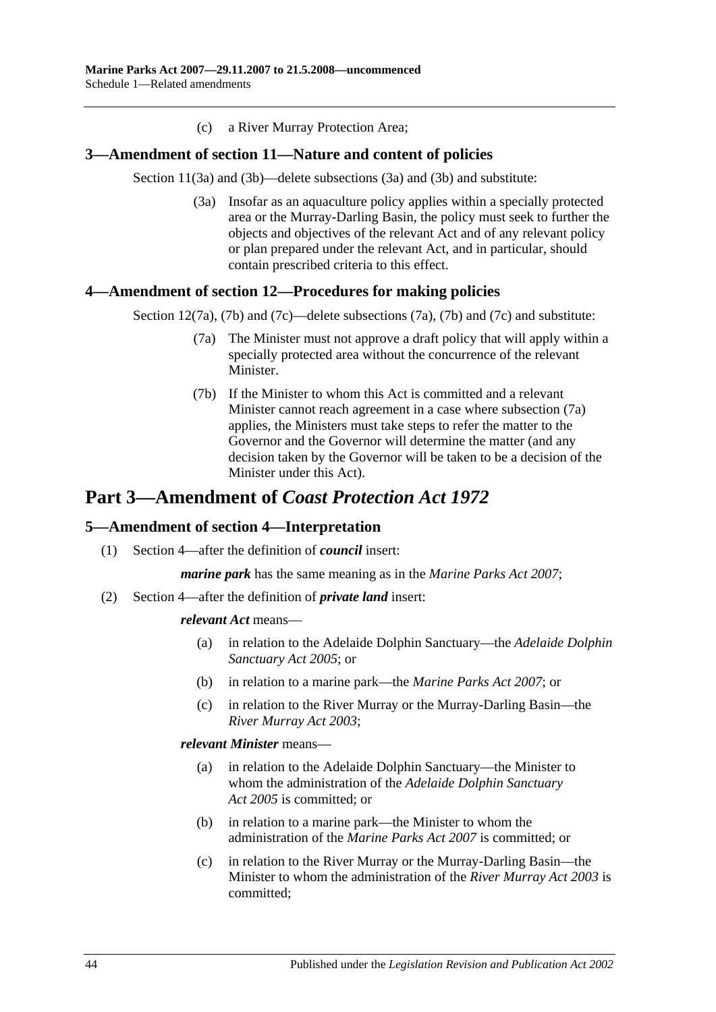(c) a River Murray Protection Area;

## <span id="page-43-0"></span>**3—Amendment of section 11—Nature and content of policies**

Section 11(3a) and (3b)—delete subsections (3a) and (3b) and substitute:

(3a) Insofar as an aquaculture policy applies within a specially protected area or the Murray-Darling Basin, the policy must seek to further the objects and objectives of the relevant Act and of any relevant policy or plan prepared under the relevant Act, and in particular, should contain prescribed criteria to this effect.

## <span id="page-43-3"></span><span id="page-43-1"></span>**4—Amendment of section 12—Procedures for making policies**

Section 12(7a), (7b) and (7c)—delete subsections (7a), (7b) and (7c) and substitute:

- (7a) The Minister must not approve a draft policy that will apply within a specially protected area without the concurrence of the relevant Minister.
- (7b) If the Minister to whom this Act is committed and a relevant Minister cannot reach agreement in a case where [subsection](#page-43-3) (7a) applies, the Ministers must take steps to refer the matter to the Governor and the Governor will determine the matter (and any decision taken by the Governor will be taken to be a decision of the Minister under this Act).

# **Part 3—Amendment of** *Coast Protection Act 1972*

# <span id="page-43-2"></span>**5—Amendment of section 4—Interpretation**

(1) Section 4—after the definition of *council* insert:

*marine park* has the same meaning as in the *[Marine Parks Act 2007](http://www.legislation.sa.gov.au/index.aspx?action=legref&type=act&legtitle=Marine%20Parks%20Act%202007)*;

(2) Section 4—after the definition of *private land* insert:

#### *relevant Act* means—

- (a) in relation to the Adelaide Dolphin Sanctuary—the *[Adelaide Dolphin](http://www.legislation.sa.gov.au/index.aspx?action=legref&type=act&legtitle=Adelaide%20Dolphin%20Sanctuary%20Act%202005)  [Sanctuary Act](http://www.legislation.sa.gov.au/index.aspx?action=legref&type=act&legtitle=Adelaide%20Dolphin%20Sanctuary%20Act%202005) 2005*; or
- (b) in relation to a marine park—the *[Marine Parks Act 2007](http://www.legislation.sa.gov.au/index.aspx?action=legref&type=act&legtitle=Marine%20Parks%20Act%202007)*; or
- (c) in relation to the River Murray or the Murray-Darling Basin—the *[River Murray Act](http://www.legislation.sa.gov.au/index.aspx?action=legref&type=act&legtitle=River%20Murray%20Act%202003) 2003*;

#### *relevant Minister* means—

- (a) in relation to the Adelaide Dolphin Sanctuary—the Minister to whom the administration of the *[Adelaide Dolphin Sanctuary](http://www.legislation.sa.gov.au/index.aspx?action=legref&type=act&legtitle=Adelaide%20Dolphin%20Sanctuary%20Act%202005)  Act [2005](http://www.legislation.sa.gov.au/index.aspx?action=legref&type=act&legtitle=Adelaide%20Dolphin%20Sanctuary%20Act%202005)* is committed; or
- (b) in relation to a marine park—the Minister to whom the administration of the *[Marine Parks Act](http://www.legislation.sa.gov.au/index.aspx?action=legref&type=act&legtitle=Marine%20Parks%20Act%202007) 2007* is committed; or
- (c) in relation to the River Murray or the Murray-Darling Basin—the Minister to whom the administration of the *[River Murray Act](http://www.legislation.sa.gov.au/index.aspx?action=legref&type=act&legtitle=River%20Murray%20Act%202003) 2003* is committed;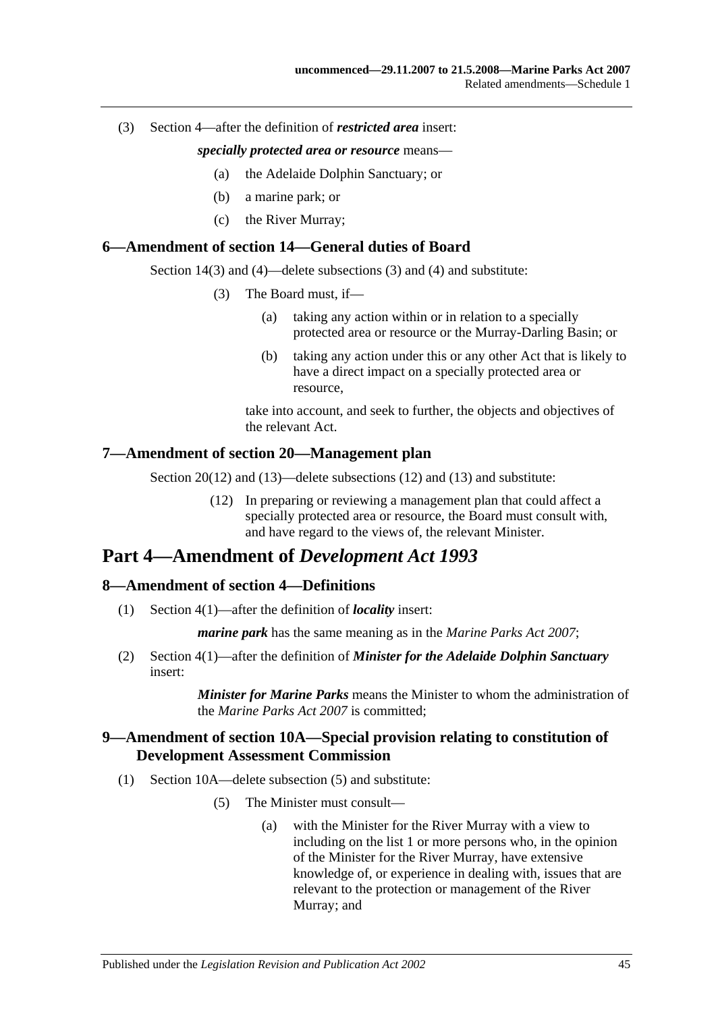#### (3) Section 4—after the definition of *restricted area* insert:

#### *specially protected area or resource* means—

- (a) the Adelaide Dolphin Sanctuary; or
- (b) a marine park; or
- (c) the River Murray;

#### <span id="page-44-0"></span>**6—Amendment of section 14—General duties of Board**

Section 14(3) and (4)—delete subsections (3) and (4) and substitute:

- (3) The Board must, if—
	- (a) taking any action within or in relation to a specially protected area or resource or the Murray-Darling Basin; or
	- (b) taking any action under this or any other Act that is likely to have a direct impact on a specially protected area or resource,

take into account, and seek to further, the objects and objectives of the relevant Act.

#### <span id="page-44-1"></span>**7—Amendment of section 20—Management plan**

Section 20(12) and (13)—delete subsections (12) and (13) and substitute:

(12) In preparing or reviewing a management plan that could affect a specially protected area or resource, the Board must consult with, and have regard to the views of, the relevant Minister.

# **Part 4—Amendment of** *Development Act 1993*

# <span id="page-44-2"></span>**8—Amendment of section 4—Definitions**

(1) Section 4(1)—after the definition of *locality* insert:

*marine park* has the same meaning as in the *[Marine Parks Act 2007](http://www.legislation.sa.gov.au/index.aspx?action=legref&type=act&legtitle=Marine%20Parks%20Act%202007)*;

(2) Section 4(1)—after the definition of *Minister for the Adelaide Dolphin Sanctuary* insert:

> *Minister for Marine Parks* means the Minister to whom the administration of the *[Marine Parks Act 2007](http://www.legislation.sa.gov.au/index.aspx?action=legref&type=act&legtitle=Marine%20Parks%20Act%202007)* is committed;

### <span id="page-44-3"></span>**9—Amendment of section 10A—Special provision relating to constitution of Development Assessment Commission**

- (1) Section 10A—delete subsection (5) and substitute:
	- (5) The Minister must consult—
		- (a) with the Minister for the River Murray with a view to including on the list 1 or more persons who, in the opinion of the Minister for the River Murray, have extensive knowledge of, or experience in dealing with, issues that are relevant to the protection or management of the River Murray; and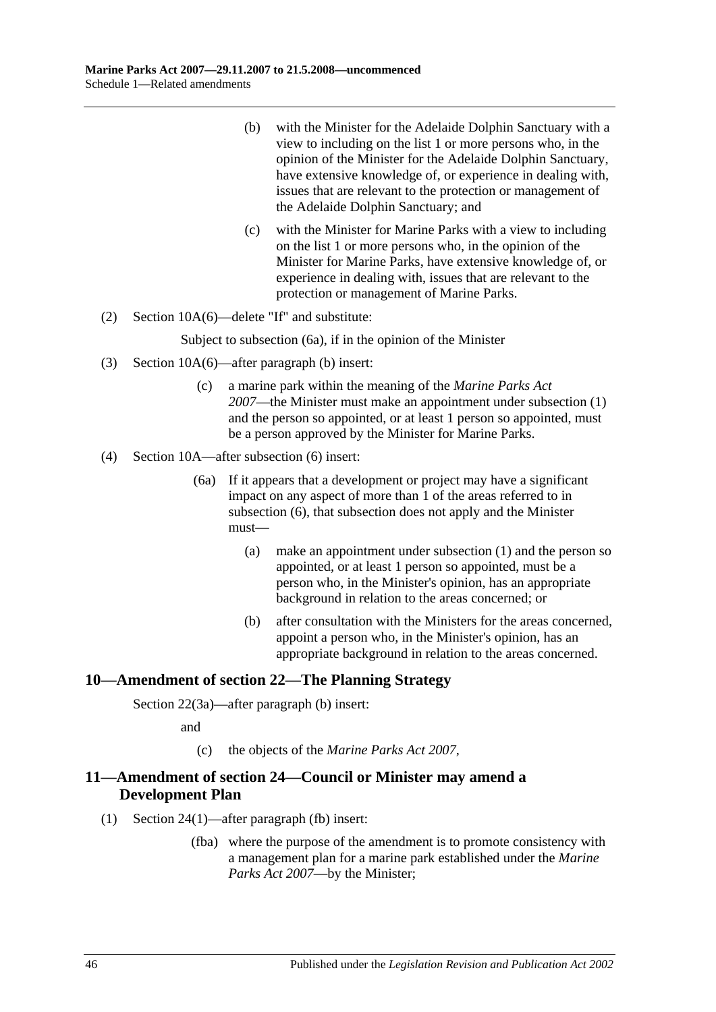- (b) with the Minister for the Adelaide Dolphin Sanctuary with a view to including on the list 1 or more persons who, in the opinion of the Minister for the Adelaide Dolphin Sanctuary, have extensive knowledge of, or experience in dealing with, issues that are relevant to the protection or management of the Adelaide Dolphin Sanctuary; and
- (c) with the Minister for Marine Parks with a view to including on the list 1 or more persons who, in the opinion of the Minister for Marine Parks, have extensive knowledge of, or experience in dealing with, issues that are relevant to the protection or management of Marine Parks.
- (2) Section 10A(6)—delete "If" and substitute:

Subject to subsection (6a), if in the opinion of the Minister

- (3) Section 10A(6)—after paragraph (b) insert:
	- (c) a marine park within the meaning of the *[Marine Parks Act](http://www.legislation.sa.gov.au/index.aspx?action=legref&type=act&legtitle=Marine%20Parks%20Act%202007)  [2007](http://www.legislation.sa.gov.au/index.aspx?action=legref&type=act&legtitle=Marine%20Parks%20Act%202007)*—the Minister must make an appointment under subsection (1) and the person so appointed, or at least 1 person so appointed, must be a person approved by the Minister for Marine Parks.
- (4) Section 10A—after subsection (6) insert:
	- (6a) If it appears that a development or project may have a significant impact on any aspect of more than 1 of the areas referred to in subsection (6), that subsection does not apply and the Minister must—
		- (a) make an appointment under subsection (1) and the person so appointed, or at least 1 person so appointed, must be a person who, in the Minister's opinion, has an appropriate background in relation to the areas concerned; or
		- (b) after consultation with the Ministers for the areas concerned, appoint a person who, in the Minister's opinion, has an appropriate background in relation to the areas concerned.

# <span id="page-45-0"></span>**10—Amendment of section 22—The Planning Strategy**

Section 22(3a)—after paragraph (b) insert:

and

(c) the objects of the *[Marine Parks Act](http://www.legislation.sa.gov.au/index.aspx?action=legref&type=act&legtitle=Marine%20Parks%20Act%202007) 2007*,

# <span id="page-45-1"></span>**11—Amendment of section 24—Council or Minister may amend a Development Plan**

- (1) Section 24(1)—after paragraph (fb) insert:
	- (fba) where the purpose of the amendment is to promote consistency with a management plan for a marine park established under the *[Marine](http://www.legislation.sa.gov.au/index.aspx?action=legref&type=act&legtitle=Marine%20Parks%20Act%202007)  [Parks Act 2007](http://www.legislation.sa.gov.au/index.aspx?action=legref&type=act&legtitle=Marine%20Parks%20Act%202007)*—by the Minister;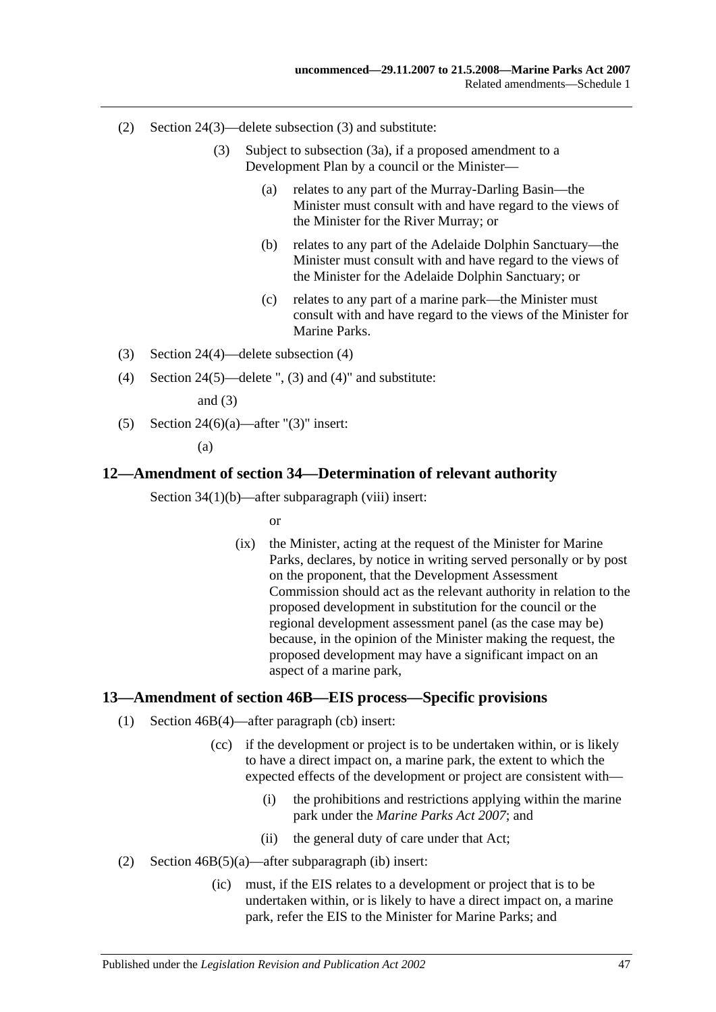- (2) Section 24(3)—delete subsection (3) and substitute:
	- (3) Subject to subsection (3a), if a proposed amendment to a Development Plan by a council or the Minister—
		- (a) relates to any part of the Murray-Darling Basin—the Minister must consult with and have regard to the views of the Minister for the River Murray; or
		- (b) relates to any part of the Adelaide Dolphin Sanctuary—the Minister must consult with and have regard to the views of the Minister for the Adelaide Dolphin Sanctuary; or
		- (c) relates to any part of a marine park—the Minister must consult with and have regard to the views of the Minister for Marine Parks.
- (3) Section 24(4)—delete subsection (4)
- (4) Section 24(5)—delete ", (3) and (4)" and substitute:

and  $(3)$ 

(5) Section 24(6)(a)—after " $(3)$ " insert:

(a)

### <span id="page-46-0"></span>**12—Amendment of section 34—Determination of relevant authority**

Section 34(1)(b)—after subparagraph (viii) insert:

or

(ix) the Minister, acting at the request of the Minister for Marine Parks, declares, by notice in writing served personally or by post on the proponent, that the Development Assessment Commission should act as the relevant authority in relation to the proposed development in substitution for the council or the regional development assessment panel (as the case may be) because, in the opinion of the Minister making the request, the proposed development may have a significant impact on an aspect of a marine park,

### <span id="page-46-1"></span>**13—Amendment of section 46B—EIS process—Specific provisions**

- (1) Section 46B(4)—after paragraph (cb) insert:
	- (cc) if the development or project is to be undertaken within, or is likely to have a direct impact on, a marine park, the extent to which the expected effects of the development or project are consistent with—
		- (i) the prohibitions and restrictions applying within the marine park under the *[Marine Parks Act 2007](http://www.legislation.sa.gov.au/index.aspx?action=legref&type=act&legtitle=Marine%20Parks%20Act%202007)*; and
		- (ii) the general duty of care under that Act;
- (2) Section 46B(5)(a)—after subparagraph (ib) insert:
	- (ic) must, if the EIS relates to a development or project that is to be undertaken within, or is likely to have a direct impact on, a marine park, refer the EIS to the Minister for Marine Parks; and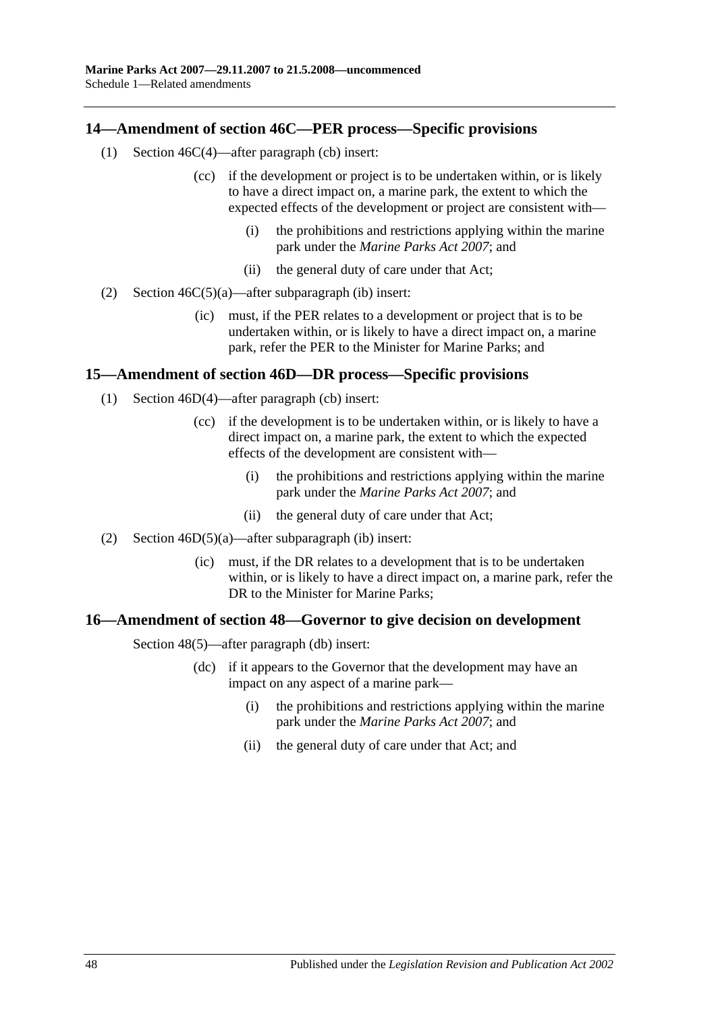# <span id="page-47-0"></span>**14—Amendment of section 46C—PER process—Specific provisions**

- (1) Section 46C(4)—after paragraph (cb) insert:
	- (cc) if the development or project is to be undertaken within, or is likely to have a direct impact on, a marine park, the extent to which the expected effects of the development or project are consistent with—
		- (i) the prohibitions and restrictions applying within the marine park under the *[Marine Parks Act 2007](http://www.legislation.sa.gov.au/index.aspx?action=legref&type=act&legtitle=Marine%20Parks%20Act%202007)*; and
		- (ii) the general duty of care under that Act;
- (2) Section  $46C(5)(a)$ —after subparagraph (ib) insert:
	- (ic) must, if the PER relates to a development or project that is to be undertaken within, or is likely to have a direct impact on, a marine park, refer the PER to the Minister for Marine Parks; and

## <span id="page-47-1"></span>**15—Amendment of section 46D—DR process—Specific provisions**

- (1) Section 46D(4)—after paragraph (cb) insert:
	- (cc) if the development is to be undertaken within, or is likely to have a direct impact on, a marine park, the extent to which the expected effects of the development are consistent with—
		- (i) the prohibitions and restrictions applying within the marine park under the *[Marine Parks Act 2007](http://www.legislation.sa.gov.au/index.aspx?action=legref&type=act&legtitle=Marine%20Parks%20Act%202007)*; and
		- (ii) the general duty of care under that Act;
- (2) Section 46D(5)(a)—after subparagraph (ib) insert:
	- (ic) must, if the DR relates to a development that is to be undertaken within, or is likely to have a direct impact on, a marine park, refer the DR to the Minister for Marine Parks;

### <span id="page-47-2"></span>**16—Amendment of section 48—Governor to give decision on development**

Section 48(5)—after paragraph (db) insert:

- (dc) if it appears to the Governor that the development may have an impact on any aspect of a marine park—
	- (i) the prohibitions and restrictions applying within the marine park under the *[Marine Parks Act 2007](http://www.legislation.sa.gov.au/index.aspx?action=legref&type=act&legtitle=Marine%20Parks%20Act%202007)*; and
	- (ii) the general duty of care under that Act; and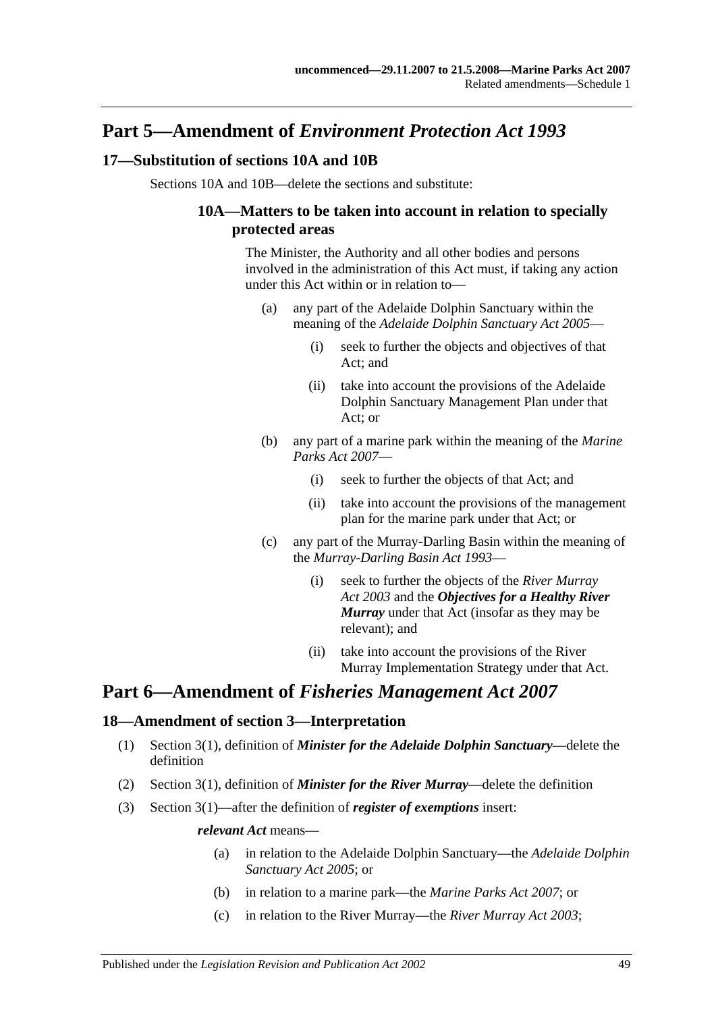# **Part 5—Amendment of** *Environment Protection Act 1993*

# <span id="page-48-0"></span>**17—Substitution of sections 10A and 10B**

Sections 10A and 10B—delete the sections and substitute:

# **10A—Matters to be taken into account in relation to specially protected areas**

The Minister, the Authority and all other bodies and persons involved in the administration of this Act must, if taking any action under this Act within or in relation to—

- (a) any part of the Adelaide Dolphin Sanctuary within the meaning of the *[Adelaide Dolphin Sanctuary Act](http://www.legislation.sa.gov.au/index.aspx?action=legref&type=act&legtitle=Adelaide%20Dolphin%20Sanctuary%20Act%202005) 2005*—
	- (i) seek to further the objects and objectives of that Act; and
	- (ii) take into account the provisions of the Adelaide Dolphin Sanctuary Management Plan under that Act; or
- (b) any part of a marine park within the meaning of the *[Marine](http://www.legislation.sa.gov.au/index.aspx?action=legref&type=act&legtitle=Marine%20Parks%20Act%202007)  [Parks Act 2007](http://www.legislation.sa.gov.au/index.aspx?action=legref&type=act&legtitle=Marine%20Parks%20Act%202007)*—
	- (i) seek to further the objects of that Act; and
	- (ii) take into account the provisions of the management plan for the marine park under that Act; or
- (c) any part of the Murray-Darling Basin within the meaning of the *[Murray-Darling Basin Act](http://www.legislation.sa.gov.au/index.aspx?action=legref&type=act&legtitle=Murray-Darling%20Basin%20Act%201993) 1993*—
	- (i) seek to further the objects of the *[River Murray](http://www.legislation.sa.gov.au/index.aspx?action=legref&type=act&legtitle=River%20Murray%20Act%202003)  Act [2003](http://www.legislation.sa.gov.au/index.aspx?action=legref&type=act&legtitle=River%20Murray%20Act%202003)* and the *Objectives for a Healthy River Murray* under that Act (insofar as they may be relevant); and
	- (ii) take into account the provisions of the River Murray Implementation Strategy under that Act.

# **Part 6—Amendment of** *Fisheries Management Act 2007*

# <span id="page-48-1"></span>**18—Amendment of section 3—Interpretation**

- (1) Section 3(1), definition of *Minister for the Adelaide Dolphin Sanctuary*—delete the definition
- (2) Section 3(1), definition of *Minister for the River Murray*—delete the definition
- (3) Section 3(1)—after the definition of *register of exemptions* insert:

#### *relevant Act* means—

- (a) in relation to the Adelaide Dolphin Sanctuary—the *[Adelaide Dolphin](http://www.legislation.sa.gov.au/index.aspx?action=legref&type=act&legtitle=Adelaide%20Dolphin%20Sanctuary%20Act%202005)  [Sanctuary Act](http://www.legislation.sa.gov.au/index.aspx?action=legref&type=act&legtitle=Adelaide%20Dolphin%20Sanctuary%20Act%202005) 2005*; or
- (b) in relation to a marine park—the *[Marine Parks Act 2007](http://www.legislation.sa.gov.au/index.aspx?action=legref&type=act&legtitle=Marine%20Parks%20Act%202007)*; or
- (c) in relation to the River Murray—the *[River Murray Act](http://www.legislation.sa.gov.au/index.aspx?action=legref&type=act&legtitle=River%20Murray%20Act%202003) 2003*;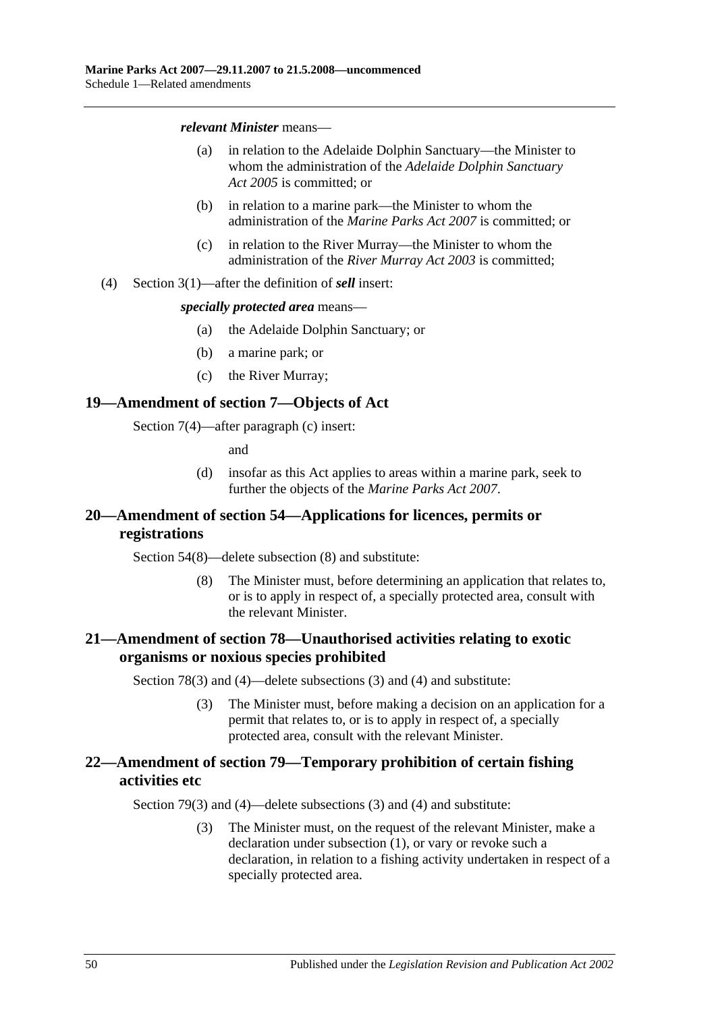#### *relevant Minister* means—

- (a) in relation to the Adelaide Dolphin Sanctuary—the Minister to whom the administration of the *[Adelaide Dolphin Sanctuary](http://www.legislation.sa.gov.au/index.aspx?action=legref&type=act&legtitle=Adelaide%20Dolphin%20Sanctuary%20Act%202005)  Act [2005](http://www.legislation.sa.gov.au/index.aspx?action=legref&type=act&legtitle=Adelaide%20Dolphin%20Sanctuary%20Act%202005)* is committed; or
- (b) in relation to a marine park—the Minister to whom the administration of the *[Marine Parks Act 2007](http://www.legislation.sa.gov.au/index.aspx?action=legref&type=act&legtitle=Marine%20Parks%20Act%202007)* is committed; or
- (c) in relation to the River Murray—the Minister to whom the administration of the *[River Murray Act](http://www.legislation.sa.gov.au/index.aspx?action=legref&type=act&legtitle=River%20Murray%20Act%202003) 2003* is committed;
- (4) Section 3(1)—after the definition of *sell* insert:

#### *specially protected area* means—

- (a) the Adelaide Dolphin Sanctuary; or
- (b) a marine park; or
- (c) the River Murray;

### <span id="page-49-0"></span>**19—Amendment of section 7—Objects of Act**

Section 7(4)—after paragraph (c) insert:

and

(d) insofar as this Act applies to areas within a marine park, seek to further the objects of the *[Marine Parks Act](http://www.legislation.sa.gov.au/index.aspx?action=legref&type=act&legtitle=Marine%20Parks%20Act%202007) 2007*.

# <span id="page-49-1"></span>**20—Amendment of section 54—Applications for licences, permits or registrations**

Section 54(8)—delete subsection (8) and substitute:

(8) The Minister must, before determining an application that relates to, or is to apply in respect of, a specially protected area, consult with the relevant Minister.

# <span id="page-49-2"></span>**21—Amendment of section 78—Unauthorised activities relating to exotic organisms or noxious species prohibited**

Section 78(3) and (4)—delete subsections (3) and (4) and substitute:

(3) The Minister must, before making a decision on an application for a permit that relates to, or is to apply in respect of, a specially protected area, consult with the relevant Minister.

# <span id="page-49-3"></span>**22—Amendment of section 79—Temporary prohibition of certain fishing activities etc**

Section 79(3) and (4)—delete subsections (3) and (4) and substitute:

(3) The Minister must, on the request of the relevant Minister, make a declaration under subsection (1), or vary or revoke such a declaration, in relation to a fishing activity undertaken in respect of a specially protected area.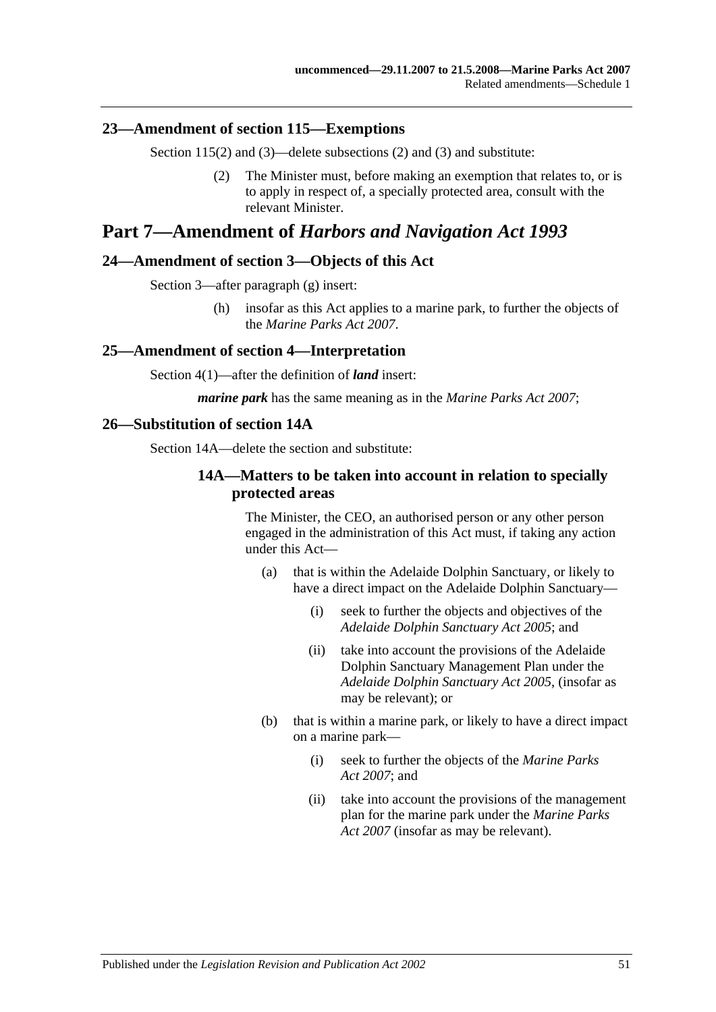## <span id="page-50-0"></span>**23—Amendment of section 115—Exemptions**

Section 115(2) and (3)—delete subsections (2) and (3) and substitute:

(2) The Minister must, before making an exemption that relates to, or is to apply in respect of, a specially protected area, consult with the relevant Minister.

# **Part 7—Amendment of** *Harbors and Navigation Act 1993*

### <span id="page-50-1"></span>**24—Amendment of section 3—Objects of this Act**

Section 3—after paragraph (g) insert:

(h) insofar as this Act applies to a marine park, to further the objects of the *[Marine Parks Act](http://www.legislation.sa.gov.au/index.aspx?action=legref&type=act&legtitle=Marine%20Parks%20Act%202007) 2007*.

### <span id="page-50-2"></span>**25—Amendment of section 4—Interpretation**

Section 4(1)—after the definition of *land* insert:

*marine park* has the same meaning as in the *[Marine Parks Act 2007](http://www.legislation.sa.gov.au/index.aspx?action=legref&type=act&legtitle=Marine%20Parks%20Act%202007)*;

#### <span id="page-50-3"></span>**26—Substitution of section 14A**

Section 14A—delete the section and substitute:

## **14A—Matters to be taken into account in relation to specially protected areas**

The Minister, the CEO, an authorised person or any other person engaged in the administration of this Act must, if taking any action under this Act—

- (a) that is within the Adelaide Dolphin Sanctuary, or likely to have a direct impact on the Adelaide Dolphin Sanctuary—
	- (i) seek to further the objects and objectives of the *[Adelaide Dolphin Sanctuary Act](http://www.legislation.sa.gov.au/index.aspx?action=legref&type=act&legtitle=Adelaide%20Dolphin%20Sanctuary%20Act%202005) 2005*; and
	- (ii) take into account the provisions of the Adelaide Dolphin Sanctuary Management Plan under the *[Adelaide Dolphin Sanctuary Act](http://www.legislation.sa.gov.au/index.aspx?action=legref&type=act&legtitle=Adelaide%20Dolphin%20Sanctuary%20Act%202005) 2005*, (insofar as may be relevant); or
- (b) that is within a marine park, or likely to have a direct impact on a marine park—
	- (i) seek to further the objects of the *[Marine Parks](http://www.legislation.sa.gov.au/index.aspx?action=legref&type=act&legtitle=Marine%20Parks%20Act%202007)  Act [2007](http://www.legislation.sa.gov.au/index.aspx?action=legref&type=act&legtitle=Marine%20Parks%20Act%202007)*; and
	- (ii) take into account the provisions of the management plan for the marine park under the *[Marine Parks](http://www.legislation.sa.gov.au/index.aspx?action=legref&type=act&legtitle=Marine%20Parks%20Act%202007)  [Act 2007](http://www.legislation.sa.gov.au/index.aspx?action=legref&type=act&legtitle=Marine%20Parks%20Act%202007)* (insofar as may be relevant).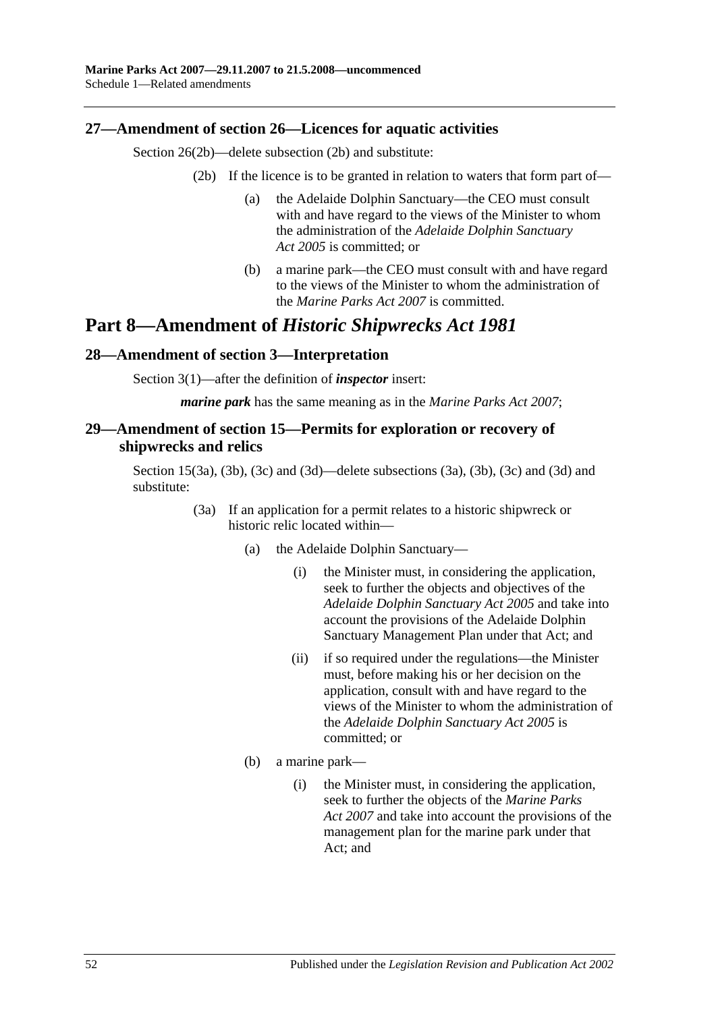# <span id="page-51-0"></span>**27—Amendment of section 26—Licences for aquatic activities**

Section 26(2b)—delete subsection (2b) and substitute:

- (2b) If the licence is to be granted in relation to waters that form part of—
	- (a) the Adelaide Dolphin Sanctuary—the CEO must consult with and have regard to the views of the Minister to whom the administration of the *[Adelaide Dolphin Sanctuary](http://www.legislation.sa.gov.au/index.aspx?action=legref&type=act&legtitle=Adelaide%20Dolphin%20Sanctuary%20Act%202005)  Act [2005](http://www.legislation.sa.gov.au/index.aspx?action=legref&type=act&legtitle=Adelaide%20Dolphin%20Sanctuary%20Act%202005)* is committed; or
	- (b) a marine park—the CEO must consult with and have regard to the views of the Minister to whom the administration of the *[Marine Parks Act 2007](http://www.legislation.sa.gov.au/index.aspx?action=legref&type=act&legtitle=Marine%20Parks%20Act%202007)* is committed.

# **Part 8—Amendment of** *Historic Shipwrecks Act 1981*

# <span id="page-51-1"></span>**28—Amendment of section 3—Interpretation**

Section 3(1)—after the definition of *inspector* insert:

*marine park* has the same meaning as in the *[Marine Parks Act 2007](http://www.legislation.sa.gov.au/index.aspx?action=legref&type=act&legtitle=Marine%20Parks%20Act%202007)*;

# <span id="page-51-2"></span>**29—Amendment of section 15—Permits for exploration or recovery of shipwrecks and relics**

Section 15(3a), (3b), (3c) and (3d)—delete subsections (3a), (3b), (3c) and (3d) and substitute:

- (3a) If an application for a permit relates to a historic shipwreck or historic relic located within—
	- (a) the Adelaide Dolphin Sanctuary—
		- (i) the Minister must, in considering the application, seek to further the objects and objectives of the *[Adelaide Dolphin Sanctuary Act](http://www.legislation.sa.gov.au/index.aspx?action=legref&type=act&legtitle=Adelaide%20Dolphin%20Sanctuary%20Act%202005) 2005* and take into account the provisions of the Adelaide Dolphin Sanctuary Management Plan under that Act; and
		- (ii) if so required under the regulations—the Minister must, before making his or her decision on the application, consult with and have regard to the views of the Minister to whom the administration of the *[Adelaide Dolphin Sanctuary Act](http://www.legislation.sa.gov.au/index.aspx?action=legref&type=act&legtitle=Adelaide%20Dolphin%20Sanctuary%20Act%202005) 2005* is committed; or
	- (b) a marine park—
		- (i) the Minister must, in considering the application, seek to further the objects of the *[Marine Parks](http://www.legislation.sa.gov.au/index.aspx?action=legref&type=act&legtitle=Marine%20Parks%20Act%202007)  Act [2007](http://www.legislation.sa.gov.au/index.aspx?action=legref&type=act&legtitle=Marine%20Parks%20Act%202007)* and take into account the provisions of the management plan for the marine park under that Act; and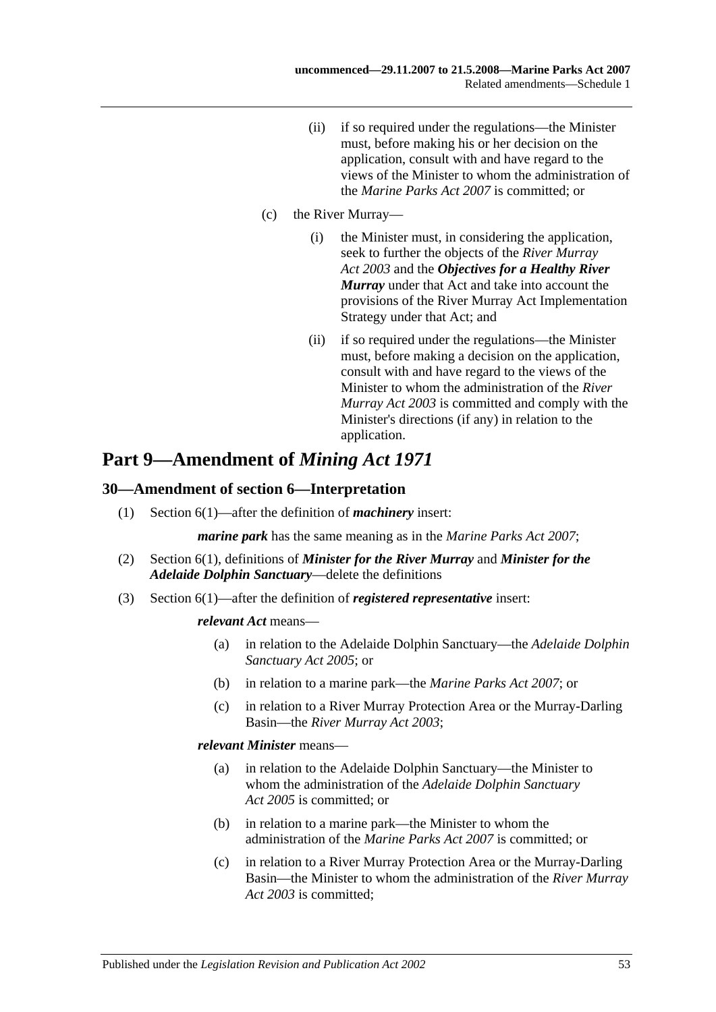(ii) if so required under the regulations—the Minister must, before making his or her decision on the application, consult with and have regard to the views of the Minister to whom the administration of the *[Marine Parks Act 2007](http://www.legislation.sa.gov.au/index.aspx?action=legref&type=act&legtitle=Marine%20Parks%20Act%202007)* is committed; or

#### (c) the River Murray—

- (i) the Minister must, in considering the application, seek to further the objects of the *[River Murray](http://www.legislation.sa.gov.au/index.aspx?action=legref&type=act&legtitle=River%20Murray%20Act%202003)  Act [2003](http://www.legislation.sa.gov.au/index.aspx?action=legref&type=act&legtitle=River%20Murray%20Act%202003)* and the *Objectives for a Healthy River Murray* under that Act and take into account the provisions of the River Murray Act Implementation Strategy under that Act; and
- (ii) if so required under the regulations—the Minister must, before making a decision on the application, consult with and have regard to the views of the Minister to whom the administration of the *[River](http://www.legislation.sa.gov.au/index.aspx?action=legref&type=act&legtitle=River%20Murray%20Act%202003)  [Murray Act](http://www.legislation.sa.gov.au/index.aspx?action=legref&type=act&legtitle=River%20Murray%20Act%202003) 2003* is committed and comply with the Minister's directions (if any) in relation to the application.

# **Part 9—Amendment of** *Mining Act 1971*

# <span id="page-52-0"></span>**30—Amendment of section 6—Interpretation**

(1) Section 6(1)—after the definition of *machinery* insert:

*marine park* has the same meaning as in the *[Marine Parks Act 2007](http://www.legislation.sa.gov.au/index.aspx?action=legref&type=act&legtitle=Marine%20Parks%20Act%202007)*;

- (2) Section 6(1), definitions of *Minister for the River Murray* and *Minister for the Adelaide Dolphin Sanctuary*—delete the definitions
- (3) Section 6(1)—after the definition of *registered representative* insert:

#### *relevant Act* means—

- (a) in relation to the Adelaide Dolphin Sanctuary—the *[Adelaide Dolphin](http://www.legislation.sa.gov.au/index.aspx?action=legref&type=act&legtitle=Adelaide%20Dolphin%20Sanctuary%20Act%202005)  [Sanctuary Act](http://www.legislation.sa.gov.au/index.aspx?action=legref&type=act&legtitle=Adelaide%20Dolphin%20Sanctuary%20Act%202005) 2005*; or
- (b) in relation to a marine park—the *[Marine Parks Act 2007](http://www.legislation.sa.gov.au/index.aspx?action=legref&type=act&legtitle=Marine%20Parks%20Act%202007)*; or
- (c) in relation to a River Murray Protection Area or the Murray-Darling Basin—the *[River Murray Act](http://www.legislation.sa.gov.au/index.aspx?action=legref&type=act&legtitle=River%20Murray%20Act%202003) 2003*;

#### *relevant Minister* means—

- (a) in relation to the Adelaide Dolphin Sanctuary—the Minister to whom the administration of the *[Adelaide Dolphin Sanctuary](http://www.legislation.sa.gov.au/index.aspx?action=legref&type=act&legtitle=Adelaide%20Dolphin%20Sanctuary%20Act%202005)  Act [2005](http://www.legislation.sa.gov.au/index.aspx?action=legref&type=act&legtitle=Adelaide%20Dolphin%20Sanctuary%20Act%202005)* is committed; or
- (b) in relation to a marine park—the Minister to whom the administration of the *[Marine Parks Act 2007](http://www.legislation.sa.gov.au/index.aspx?action=legref&type=act&legtitle=Marine%20Parks%20Act%202007)* is committed; or
- (c) in relation to a River Murray Protection Area or the Murray-Darling Basin—the Minister to whom the administration of the *[River Murray](http://www.legislation.sa.gov.au/index.aspx?action=legref&type=act&legtitle=River%20Murray%20Act%202003)  Act [2003](http://www.legislation.sa.gov.au/index.aspx?action=legref&type=act&legtitle=River%20Murray%20Act%202003)* is committed;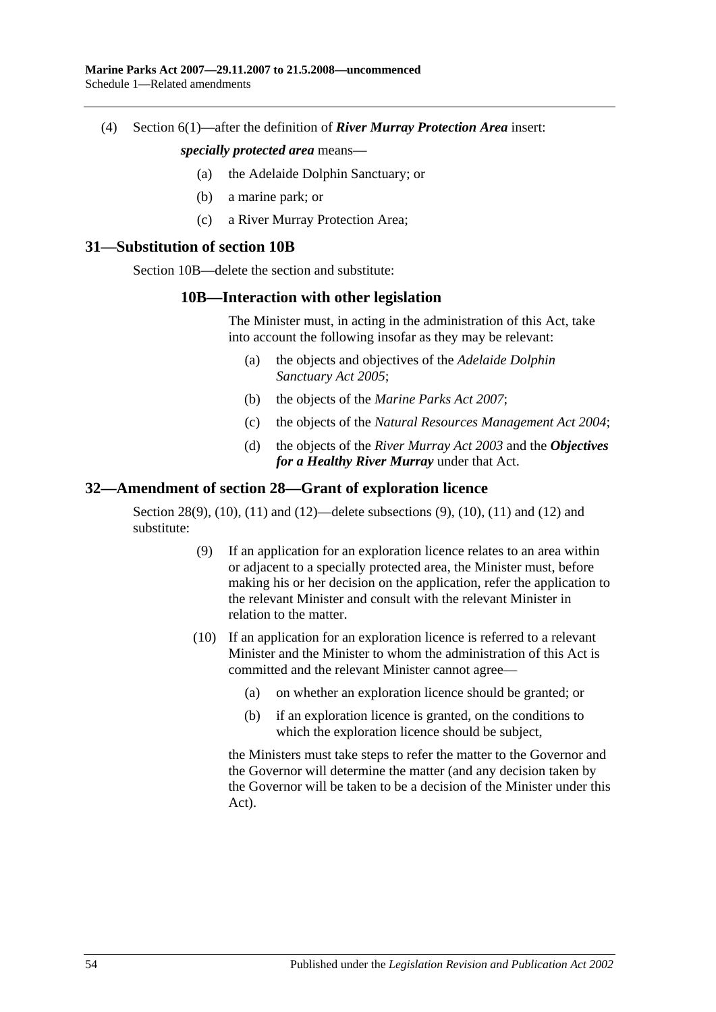(4) Section 6(1)—after the definition of *River Murray Protection Area* insert:

#### *specially protected area* means—

- (a) the Adelaide Dolphin Sanctuary; or
- (b) a marine park; or
- (c) a River Murray Protection Area;

#### <span id="page-53-0"></span>**31—Substitution of section 10B**

Section 10B—delete the section and substitute:

### **10B—Interaction with other legislation**

The Minister must, in acting in the administration of this Act, take into account the following insofar as they may be relevant:

- (a) the objects and objectives of the *[Adelaide Dolphin](http://www.legislation.sa.gov.au/index.aspx?action=legref&type=act&legtitle=Adelaide%20Dolphin%20Sanctuary%20Act%202005)  [Sanctuary Act](http://www.legislation.sa.gov.au/index.aspx?action=legref&type=act&legtitle=Adelaide%20Dolphin%20Sanctuary%20Act%202005) 2005*;
- (b) the objects of the *[Marine Parks Act](http://www.legislation.sa.gov.au/index.aspx?action=legref&type=act&legtitle=Marine%20Parks%20Act%202007) 2007*;
- (c) the objects of the *[Natural Resources Management Act](http://www.legislation.sa.gov.au/index.aspx?action=legref&type=act&legtitle=Natural%20Resources%20Management%20Act%202004) 2004*;
- (d) the objects of the *[River Murray Act](http://www.legislation.sa.gov.au/index.aspx?action=legref&type=act&legtitle=River%20Murray%20Act%202003) 2003* and the *Objectives for a Healthy River Murray* under that Act.

# <span id="page-53-1"></span>**32—Amendment of section 28—Grant of exploration licence**

Section 28(9), (10), (11) and (12)—delete subsections (9), (10), (11) and (12) and substitute:

- (9) If an application for an exploration licence relates to an area within or adjacent to a specially protected area, the Minister must, before making his or her decision on the application, refer the application to the relevant Minister and consult with the relevant Minister in relation to the matter.
- (10) If an application for an exploration licence is referred to a relevant Minister and the Minister to whom the administration of this Act is committed and the relevant Minister cannot agree—
	- (a) on whether an exploration licence should be granted; or
	- (b) if an exploration licence is granted, on the conditions to which the exploration licence should be subject,

the Ministers must take steps to refer the matter to the Governor and the Governor will determine the matter (and any decision taken by the Governor will be taken to be a decision of the Minister under this Act).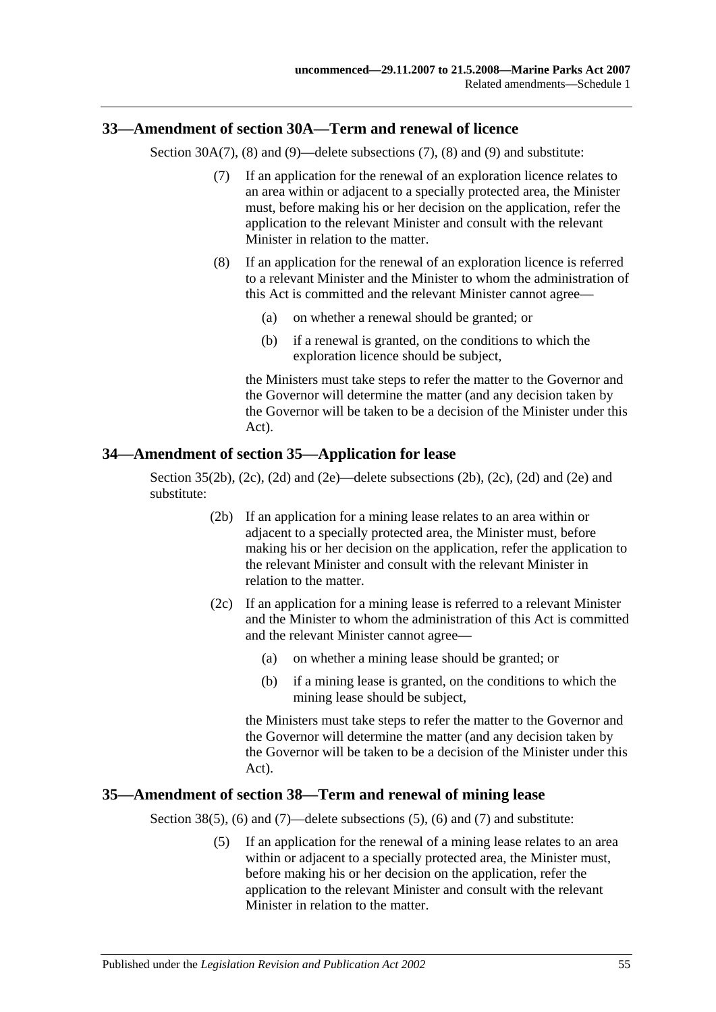## <span id="page-54-0"></span>**33—Amendment of section 30A—Term and renewal of licence**

Section 30A(7), (8) and (9)—delete subsections (7), (8) and (9) and substitute:

- (7) If an application for the renewal of an exploration licence relates to an area within or adjacent to a specially protected area, the Minister must, before making his or her decision on the application, refer the application to the relevant Minister and consult with the relevant Minister in relation to the matter.
- (8) If an application for the renewal of an exploration licence is referred to a relevant Minister and the Minister to whom the administration of this Act is committed and the relevant Minister cannot agree—
	- (a) on whether a renewal should be granted; or
	- (b) if a renewal is granted, on the conditions to which the exploration licence should be subject,

the Ministers must take steps to refer the matter to the Governor and the Governor will determine the matter (and any decision taken by the Governor will be taken to be a decision of the Minister under this Act).

### <span id="page-54-1"></span>**34—Amendment of section 35—Application for lease**

Section  $35(2b)$ ,  $(2c)$ ,  $(2d)$  and  $(2e)$ —delete subsections  $(2b)$ ,  $(2c)$ ,  $(2d)$  and  $(2e)$  and substitute:

- (2b) If an application for a mining lease relates to an area within or adjacent to a specially protected area, the Minister must, before making his or her decision on the application, refer the application to the relevant Minister and consult with the relevant Minister in relation to the matter.
- (2c) If an application for a mining lease is referred to a relevant Minister and the Minister to whom the administration of this Act is committed and the relevant Minister cannot agree—
	- (a) on whether a mining lease should be granted; or
	- (b) if a mining lease is granted, on the conditions to which the mining lease should be subject,

the Ministers must take steps to refer the matter to the Governor and the Governor will determine the matter (and any decision taken by the Governor will be taken to be a decision of the Minister under this Act).

### <span id="page-54-2"></span>**35—Amendment of section 38—Term and renewal of mining lease**

Section 38(5), (6) and (7)—delete subsections (5), (6) and (7) and substitute:

(5) If an application for the renewal of a mining lease relates to an area within or adjacent to a specially protected area, the Minister must, before making his or her decision on the application, refer the application to the relevant Minister and consult with the relevant Minister in relation to the matter.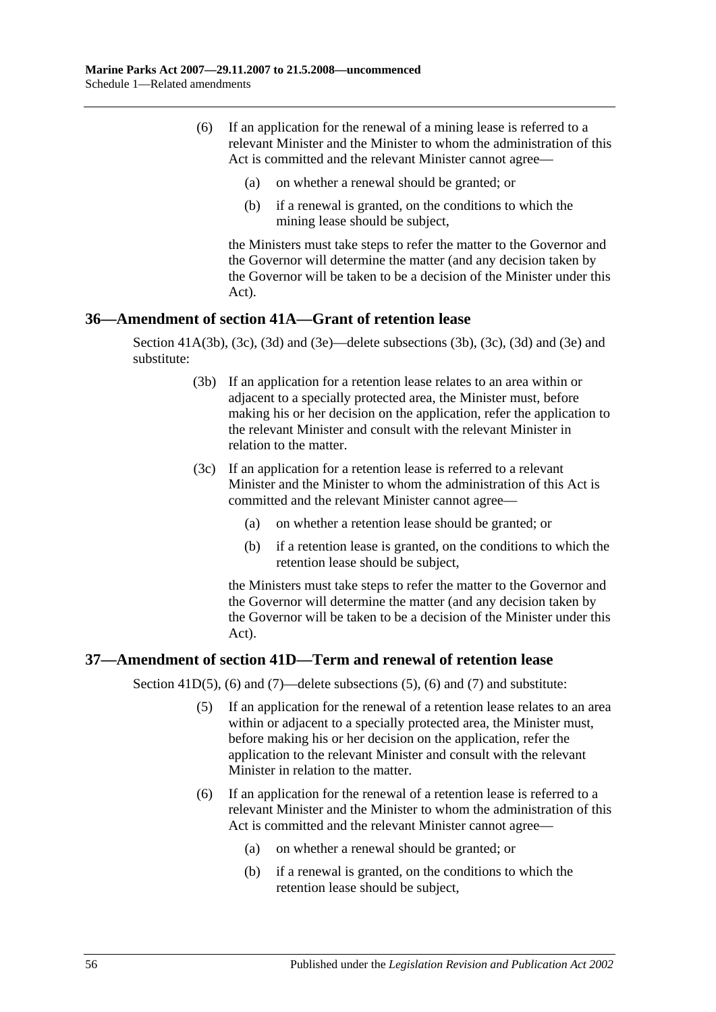- (6) If an application for the renewal of a mining lease is referred to a relevant Minister and the Minister to whom the administration of this Act is committed and the relevant Minister cannot agree—
	- (a) on whether a renewal should be granted; or
	- (b) if a renewal is granted, on the conditions to which the mining lease should be subject,

the Ministers must take steps to refer the matter to the Governor and the Governor will determine the matter (and any decision taken by the Governor will be taken to be a decision of the Minister under this Act).

# <span id="page-55-0"></span>**36—Amendment of section 41A—Grant of retention lease**

Section 41A(3b), (3c), (3d) and (3e)—delete subsections (3b), (3c), (3d) and (3e) and substitute:

- (3b) If an application for a retention lease relates to an area within or adjacent to a specially protected area, the Minister must, before making his or her decision on the application, refer the application to the relevant Minister and consult with the relevant Minister in relation to the matter.
- (3c) If an application for a retention lease is referred to a relevant Minister and the Minister to whom the administration of this Act is committed and the relevant Minister cannot agree—
	- (a) on whether a retention lease should be granted; or
	- (b) if a retention lease is granted, on the conditions to which the retention lease should be subject,

the Ministers must take steps to refer the matter to the Governor and the Governor will determine the matter (and any decision taken by the Governor will be taken to be a decision of the Minister under this Act).

# <span id="page-55-1"></span>**37—Amendment of section 41D—Term and renewal of retention lease**

Section 41D(5), (6) and (7)—delete subsections (5), (6) and (7) and substitute:

- (5) If an application for the renewal of a retention lease relates to an area within or adjacent to a specially protected area, the Minister must, before making his or her decision on the application, refer the application to the relevant Minister and consult with the relevant Minister in relation to the matter.
- (6) If an application for the renewal of a retention lease is referred to a relevant Minister and the Minister to whom the administration of this Act is committed and the relevant Minister cannot agree—
	- (a) on whether a renewal should be granted; or
	- (b) if a renewal is granted, on the conditions to which the retention lease should be subject,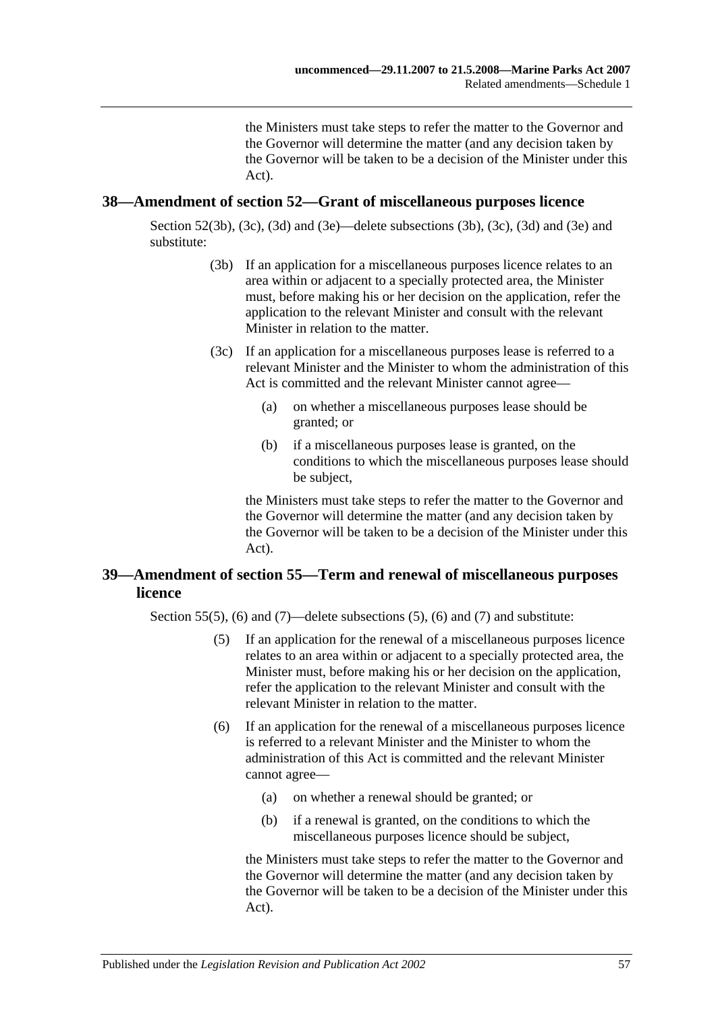the Ministers must take steps to refer the matter to the Governor and the Governor will determine the matter (and any decision taken by the Governor will be taken to be a decision of the Minister under this Act).

### <span id="page-56-0"></span>**38—Amendment of section 52—Grant of miscellaneous purposes licence**

Section 52(3b), (3c), (3d) and (3e)—delete subsections (3b), (3c), (3d) and (3e) and substitute:

- (3b) If an application for a miscellaneous purposes licence relates to an area within or adjacent to a specially protected area, the Minister must, before making his or her decision on the application, refer the application to the relevant Minister and consult with the relevant Minister in relation to the matter.
- (3c) If an application for a miscellaneous purposes lease is referred to a relevant Minister and the Minister to whom the administration of this Act is committed and the relevant Minister cannot agree—
	- (a) on whether a miscellaneous purposes lease should be granted; or
	- (b) if a miscellaneous purposes lease is granted, on the conditions to which the miscellaneous purposes lease should be subject,

the Ministers must take steps to refer the matter to the Governor and the Governor will determine the matter (and any decision taken by the Governor will be taken to be a decision of the Minister under this Act).

# <span id="page-56-1"></span>**39—Amendment of section 55—Term and renewal of miscellaneous purposes licence**

Section 55(5), (6) and (7)—delete subsections (5), (6) and (7) and substitute:

- (5) If an application for the renewal of a miscellaneous purposes licence relates to an area within or adjacent to a specially protected area, the Minister must, before making his or her decision on the application, refer the application to the relevant Minister and consult with the relevant Minister in relation to the matter.
- (6) If an application for the renewal of a miscellaneous purposes licence is referred to a relevant Minister and the Minister to whom the administration of this Act is committed and the relevant Minister cannot agree—
	- (a) on whether a renewal should be granted; or
	- (b) if a renewal is granted, on the conditions to which the miscellaneous purposes licence should be subject,

the Ministers must take steps to refer the matter to the Governor and the Governor will determine the matter (and any decision taken by the Governor will be taken to be a decision of the Minister under this Act).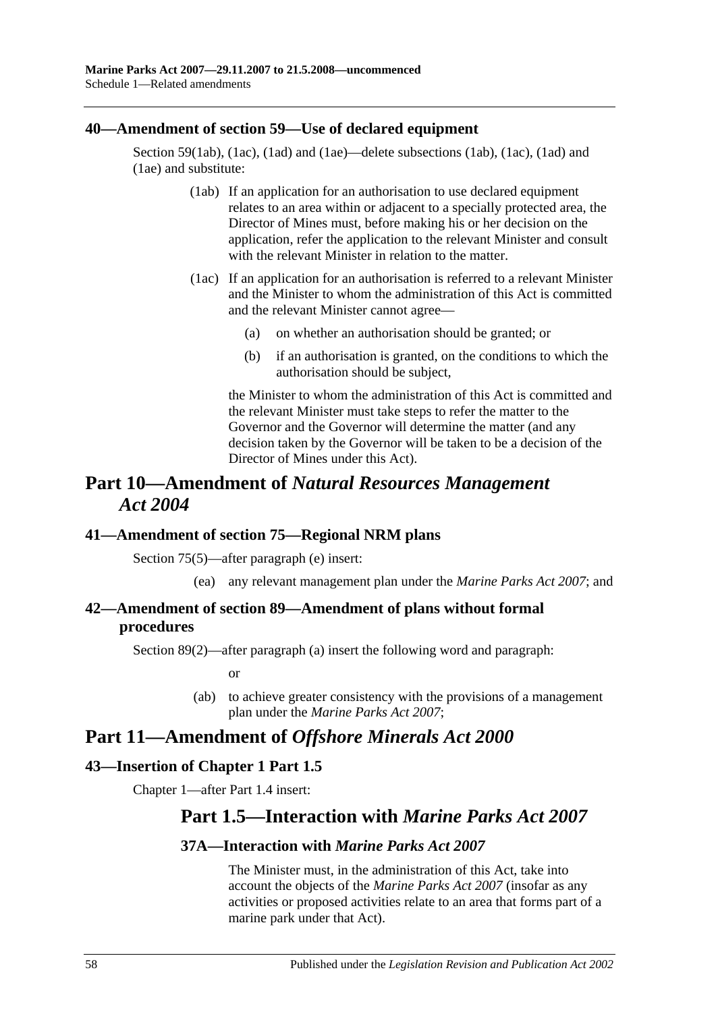## <span id="page-57-0"></span>**40—Amendment of section 59—Use of declared equipment**

Section 59(1ab), (1ac), (1ad) and (1ae)—delete subsections (1ab), (1ac), (1ad) and (1ae) and substitute:

- (1ab) If an application for an authorisation to use declared equipment relates to an area within or adjacent to a specially protected area, the Director of Mines must, before making his or her decision on the application, refer the application to the relevant Minister and consult with the relevant Minister in relation to the matter.
- (1ac) If an application for an authorisation is referred to a relevant Minister and the Minister to whom the administration of this Act is committed and the relevant Minister cannot agree—
	- (a) on whether an authorisation should be granted; or
	- (b) if an authorisation is granted, on the conditions to which the authorisation should be subject,

the Minister to whom the administration of this Act is committed and the relevant Minister must take steps to refer the matter to the Governor and the Governor will determine the matter (and any decision taken by the Governor will be taken to be a decision of the Director of Mines under this Act).

# **Part 10—Amendment of** *Natural Resources Management Act 2004*

# <span id="page-57-1"></span>**41—Amendment of section 75—Regional NRM plans**

Section 75(5)—after paragraph (e) insert:

(ea) any relevant management plan under the *[Marine Parks Act](http://www.legislation.sa.gov.au/index.aspx?action=legref&type=act&legtitle=Marine%20Parks%20Act%202007) 2007*; and

# <span id="page-57-2"></span>**42—Amendment of section 89—Amendment of plans without formal procedures**

Section 89(2)—after paragraph (a) insert the following word and paragraph:

or

(ab) to achieve greater consistency with the provisions of a management plan under the *[Marine Parks Act](http://www.legislation.sa.gov.au/index.aspx?action=legref&type=act&legtitle=Marine%20Parks%20Act%202007) 2007*;

# **Part 11—Amendment of** *Offshore Minerals Act 2000*

# <span id="page-57-3"></span>**43—Insertion of Chapter 1 Part 1.5**

Chapter 1—after Part 1.4 insert:

# **Part 1.5—Interaction with** *Marine Parks Act 2007*

# **37A—Interaction with** *Marine Parks Act 2007*

The Minister must, in the administration of this Act, take into account the objects of the *[Marine Parks Act 2007](http://www.legislation.sa.gov.au/index.aspx?action=legref&type=act&legtitle=Marine%20Parks%20Act%202007)* (insofar as any activities or proposed activities relate to an area that forms part of a marine park under that Act).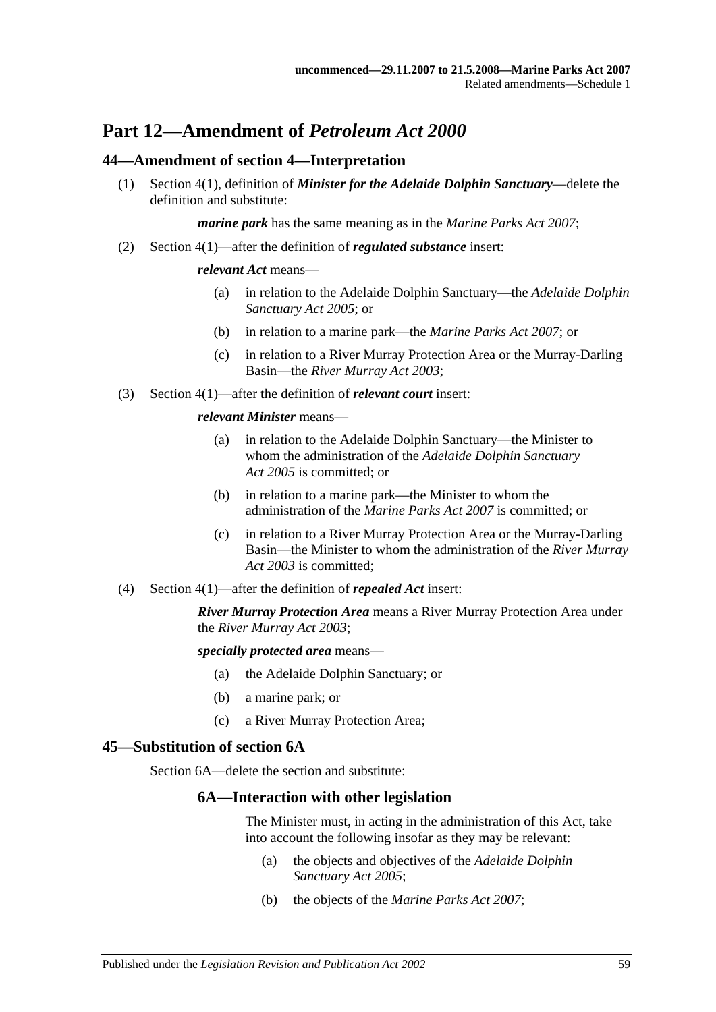# **Part 12—Amendment of** *Petroleum Act 2000*

## <span id="page-58-0"></span>**44—Amendment of section 4—Interpretation**

(1) Section 4(1), definition of *Minister for the Adelaide Dolphin Sanctuary*—delete the definition and substitute:

*marine park* has the same meaning as in the *[Marine Parks Act 2007](http://www.legislation.sa.gov.au/index.aspx?action=legref&type=act&legtitle=Marine%20Parks%20Act%202007)*;

(2) Section 4(1)—after the definition of *regulated substance* insert:

#### *relevant Act* means—

- (a) in relation to the Adelaide Dolphin Sanctuary—the *[Adelaide Dolphin](http://www.legislation.sa.gov.au/index.aspx?action=legref&type=act&legtitle=Adelaide%20Dolphin%20Sanctuary%20Act%202005)  [Sanctuary Act](http://www.legislation.sa.gov.au/index.aspx?action=legref&type=act&legtitle=Adelaide%20Dolphin%20Sanctuary%20Act%202005) 2005*; or
- (b) in relation to a marine park—the *[Marine Parks Act 2007](http://www.legislation.sa.gov.au/index.aspx?action=legref&type=act&legtitle=Marine%20Parks%20Act%202007)*; or
- (c) in relation to a River Murray Protection Area or the Murray-Darling Basin—the *[River Murray Act](http://www.legislation.sa.gov.au/index.aspx?action=legref&type=act&legtitle=River%20Murray%20Act%202003) 2003*;
- (3) Section 4(1)—after the definition of *relevant court* insert:

#### *relevant Minister* means—

- (a) in relation to the Adelaide Dolphin Sanctuary—the Minister to whom the administration of the *[Adelaide Dolphin Sanctuary](http://www.legislation.sa.gov.au/index.aspx?action=legref&type=act&legtitle=Adelaide%20Dolphin%20Sanctuary%20Act%202005)  Act [2005](http://www.legislation.sa.gov.au/index.aspx?action=legref&type=act&legtitle=Adelaide%20Dolphin%20Sanctuary%20Act%202005)* is committed; or
- (b) in relation to a marine park—the Minister to whom the administration of the *[Marine Parks Act 2007](http://www.legislation.sa.gov.au/index.aspx?action=legref&type=act&legtitle=Marine%20Parks%20Act%202007)* is committed; or
- (c) in relation to a River Murray Protection Area or the Murray-Darling Basin—the Minister to whom the administration of the *[River Murray](http://www.legislation.sa.gov.au/index.aspx?action=legref&type=act&legtitle=River%20Murray%20Act%202003)  Act [2003](http://www.legislation.sa.gov.au/index.aspx?action=legref&type=act&legtitle=River%20Murray%20Act%202003)* is committed;
- (4) Section 4(1)—after the definition of *repealed Act* insert:

*River Murray Protection Area* means a River Murray Protection Area under the *[River Murray Act](http://www.legislation.sa.gov.au/index.aspx?action=legref&type=act&legtitle=River%20Murray%20Act%202003) 2003*;

*specially protected area* means—

- (a) the Adelaide Dolphin Sanctuary; or
- (b) a marine park; or
- (c) a River Murray Protection Area;

### <span id="page-58-1"></span>**45—Substitution of section 6A**

Section 6A—delete the section and substitute:

## **6A—Interaction with other legislation**

The Minister must, in acting in the administration of this Act, take into account the following insofar as they may be relevant:

- (a) the objects and objectives of the *[Adelaide Dolphin](http://www.legislation.sa.gov.au/index.aspx?action=legref&type=act&legtitle=Adelaide%20Dolphin%20Sanctuary%20Act%202005)  [Sanctuary Act](http://www.legislation.sa.gov.au/index.aspx?action=legref&type=act&legtitle=Adelaide%20Dolphin%20Sanctuary%20Act%202005) 2005*;
- (b) the objects of the *[Marine Parks Act](http://www.legislation.sa.gov.au/index.aspx?action=legref&type=act&legtitle=Marine%20Parks%20Act%202007) 2007*;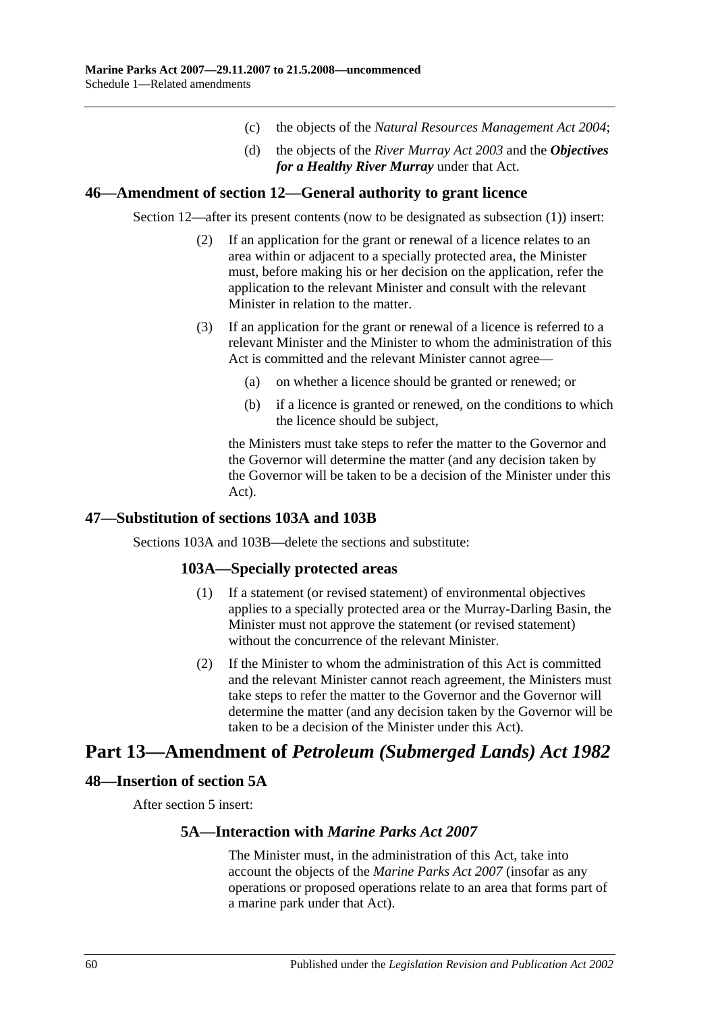- (c) the objects of the *[Natural Resources Management Act](http://www.legislation.sa.gov.au/index.aspx?action=legref&type=act&legtitle=Natural%20Resources%20Management%20Act%202004) 2004*;
- (d) the objects of the *[River Murray Act](http://www.legislation.sa.gov.au/index.aspx?action=legref&type=act&legtitle=River%20Murray%20Act%202003) 2003* and the *Objectives for a Healthy River Murray* under that Act.

### <span id="page-59-0"></span>**46—Amendment of section 12—General authority to grant licence**

Section 12—after its present contents (now to be designated as subsection (1)) insert:

- (2) If an application for the grant or renewal of a licence relates to an area within or adjacent to a specially protected area, the Minister must, before making his or her decision on the application, refer the application to the relevant Minister and consult with the relevant Minister in relation to the matter.
- (3) If an application for the grant or renewal of a licence is referred to a relevant Minister and the Minister to whom the administration of this Act is committed and the relevant Minister cannot agree—
	- (a) on whether a licence should be granted or renewed; or
	- (b) if a licence is granted or renewed, on the conditions to which the licence should be subject,

the Ministers must take steps to refer the matter to the Governor and the Governor will determine the matter (and any decision taken by the Governor will be taken to be a decision of the Minister under this Act).

# <span id="page-59-1"></span>**47—Substitution of sections 103A and 103B**

Sections 103A and 103B—delete the sections and substitute:

# **103A—Specially protected areas**

- (1) If a statement (or revised statement) of environmental objectives applies to a specially protected area or the Murray-Darling Basin, the Minister must not approve the statement (or revised statement) without the concurrence of the relevant Minister.
- (2) If the Minister to whom the administration of this Act is committed and the relevant Minister cannot reach agreement, the Ministers must take steps to refer the matter to the Governor and the Governor will determine the matter (and any decision taken by the Governor will be taken to be a decision of the Minister under this Act).

# **Part 13—Amendment of** *Petroleum (Submerged Lands) Act 1982*

### <span id="page-59-2"></span>**48—Insertion of section 5A**

After section 5 insert:

### **5A—Interaction with** *Marine Parks Act 2007*

The Minister must, in the administration of this Act, take into account the objects of the *[Marine Parks](http://www.legislation.sa.gov.au/index.aspx?action=legref&type=act&legtitle=Marine%20Parks%20Act%202007) Act 2007* (insofar as any operations or proposed operations relate to an area that forms part of a marine park under that Act).